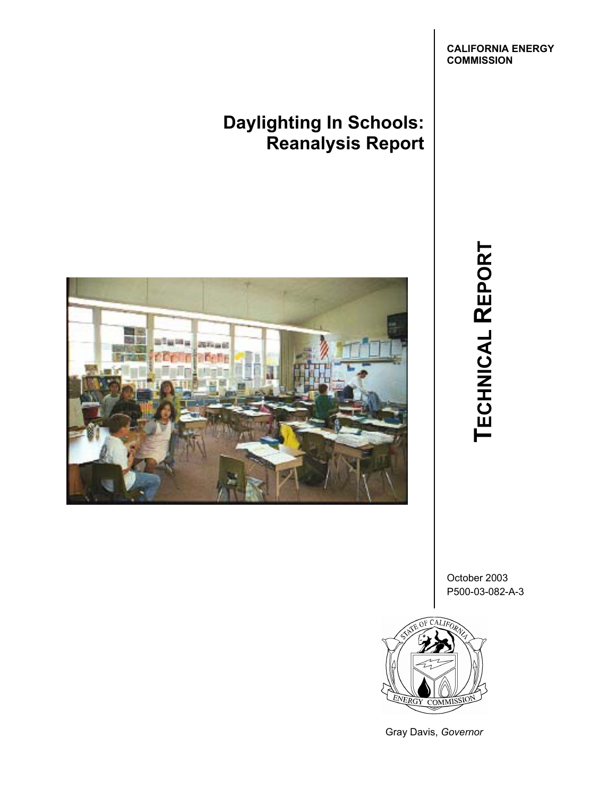**Daylighting In Schools: Reanalysis Report**



**TECHNICAL**  TECHNICAL REPORT

October 2003 P500-03-082-A-3



Gray Davis, *Governor*

**CALIFORNIA ENERGY COMMISSION**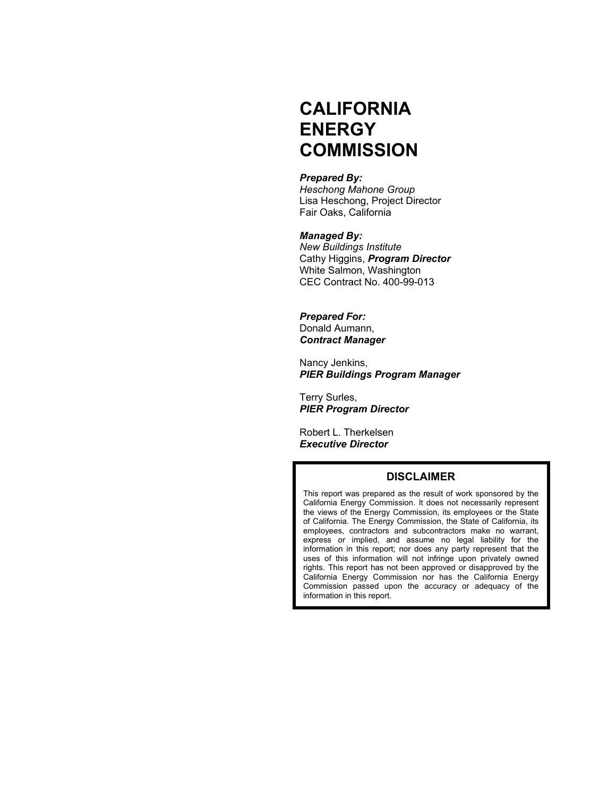# **CALIFORNIA ENERGY COMMISSION**

#### *Prepared By:*

 *Heschong Mahone Group*  Lisa Heschong, Project Director Fair Oaks, California

#### *Managed By:*

*New Buildings Institute*  Cathy Higgins, *Program Director* White Salmon, Washington CEC Contract No. 400-99-013

#### *Prepared For:*

 Donald Aumann, *Contract Manager* 

 Nancy Jenkins, *PIER Buildings Program Manager* 

 Terry Surles, *PIER Program Director* 

 Robert L. Therkelsen *Executive Director* 

#### **DISCLAIMER**

This report was prepared as the result of work sponsored by the California Energy Commission. It does not necessarily represent the views of the Energy Commission, its employees or the State of California. The Energy Commission, the State of California, its employees, contractors and subcontractors make no warrant, express or implied, and assume no legal liability for the information in this report; nor does any party represent that the uses of this information will not infringe upon privately owned rights. This report has not been approved or disapproved by the California Energy Commission nor has the California Energy Commission passed upon the accuracy or adequacy of the information in this report.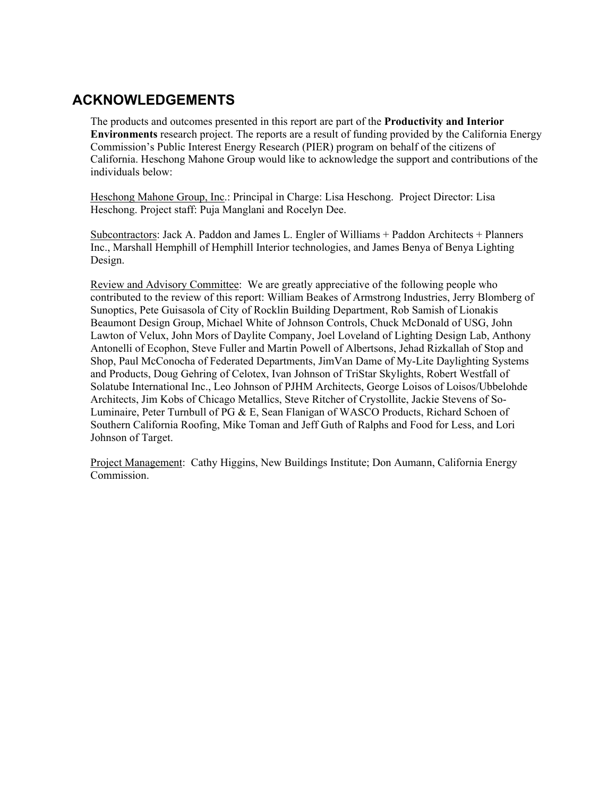## **ACKNOWLEDGEMENTS**

The products and outcomes presented in this report are part of the **Productivity and Interior Environments** research project. The reports are a result of funding provided by the California Energy Commission's Public Interest Energy Research (PIER) program on behalf of the citizens of California. Heschong Mahone Group would like to acknowledge the support and contributions of the individuals below:

Heschong Mahone Group, Inc.: Principal in Charge: Lisa Heschong. Project Director: Lisa Heschong. Project staff: Puja Manglani and Rocelyn Dee.

Subcontractors: Jack A. Paddon and James L. Engler of Williams + Paddon Architects + Planners Inc., Marshall Hemphill of Hemphill Interior technologies, and James Benya of Benya Lighting Design.

Review and Advisory Committee: We are greatly appreciative of the following people who contributed to the review of this report: William Beakes of Armstrong Industries, Jerry Blomberg of Sunoptics, Pete Guisasola of City of Rocklin Building Department, Rob Samish of Lionakis Beaumont Design Group, Michael White of Johnson Controls, Chuck McDonald of USG, John Lawton of Velux, John Mors of Daylite Company, Joel Loveland of Lighting Design Lab, Anthony Antonelli of Ecophon, Steve Fuller and Martin Powell of Albertsons, Jehad Rizkallah of Stop and Shop, Paul McConocha of Federated Departments, JimVan Dame of My-Lite Daylighting Systems and Products, Doug Gehring of Celotex, Ivan Johnson of TriStar Skylights, Robert Westfall of Solatube International Inc., Leo Johnson of PJHM Architects, George Loisos of Loisos/Ubbelohde Architects, Jim Kobs of Chicago Metallics, Steve Ritcher of Crystollite, Jackie Stevens of So-Luminaire, Peter Turnbull of PG & E, Sean Flanigan of WASCO Products, Richard Schoen of Southern California Roofing, Mike Toman and Jeff Guth of Ralphs and Food for Less, and Lori Johnson of Target.

Project Management: Cathy Higgins, New Buildings Institute; Don Aumann, California Energy Commission.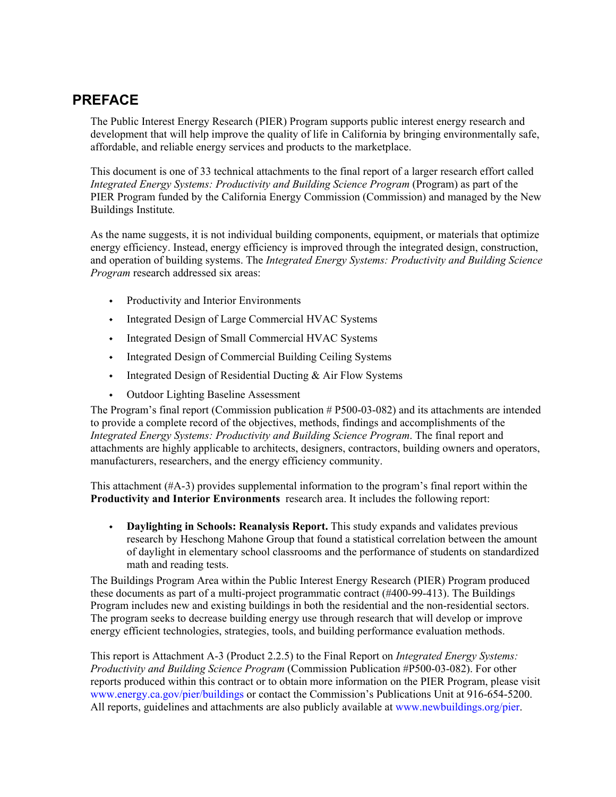## **PREFACE**

The Public Interest Energy Research (PIER) Program supports public interest energy research and development that will help improve the quality of life in California by bringing environmentally safe, affordable, and reliable energy services and products to the marketplace.

This document is one of 33 technical attachments to the final report of a larger research effort called *Integrated Energy Systems: Productivity and Building Science Program* (Program) as part of the PIER Program funded by the California Energy Commission (Commission) and managed by the New Buildings Institute*.*

As the name suggests, it is not individual building components, equipment, or materials that optimize energy efficiency. Instead, energy efficiency is improved through the integrated design, construction, and operation of building systems. The *Integrated Energy Systems: Productivity and Building Science Program* research addressed six areas:

- Productivity and Interior Environments
- $\cdot$  Integrated Design of Large Commercial HVAC Systems
- $\cdot$  Integrated Design of Small Commercial HVAC Systems
- Integrated Design of Commercial Building Ceiling Systems
- $\cdot$  Integrated Design of Residential Ducting & Air Flow Systems
- Outdoor Lighting Baseline Assessment

The Program's final report (Commission publication # P500-03-082) and its attachments are intended to provide a complete record of the objectives, methods, findings and accomplishments of the *Integrated Energy Systems: Productivity and Building Science Program*. The final report and attachments are highly applicable to architects, designers, contractors, building owners and operators, manufacturers, researchers, and the energy efficiency community.

This attachment (#A-3) provides supplemental information to the program's final report within the **Productivity and Interior Environments** research area. It includes the following report:

 **Daylighting in Schools: Reanalysis Report.** This study expands and validates previous research by Heschong Mahone Group that found a statistical correlation between the amount of daylight in elementary school classrooms and the performance of students on standardized math and reading tests.

The Buildings Program Area within the Public Interest Energy Research (PIER) Program produced these documents as part of a multi-project programmatic contract (#400-99-413). The Buildings Program includes new and existing buildings in both the residential and the non-residential sectors. The program seeks to decrease building energy use through research that will develop or improve energy efficient technologies, strategies, tools, and building performance evaluation methods.

This report is Attachment A-3 (Product 2.2.5) to the Final Report on *Integrated Energy Systems: Productivity and Building Science Program* (Commission Publication #P500-03-082). For other reports produced within this contract or to obtain more information on the PIER Program, please visit www.energy.ca.gov/pier/buildings or contact the Commission's Publications Unit at 916-654-5200. All reports, guidelines and attachments are also publicly available at www.newbuildings.org/pier.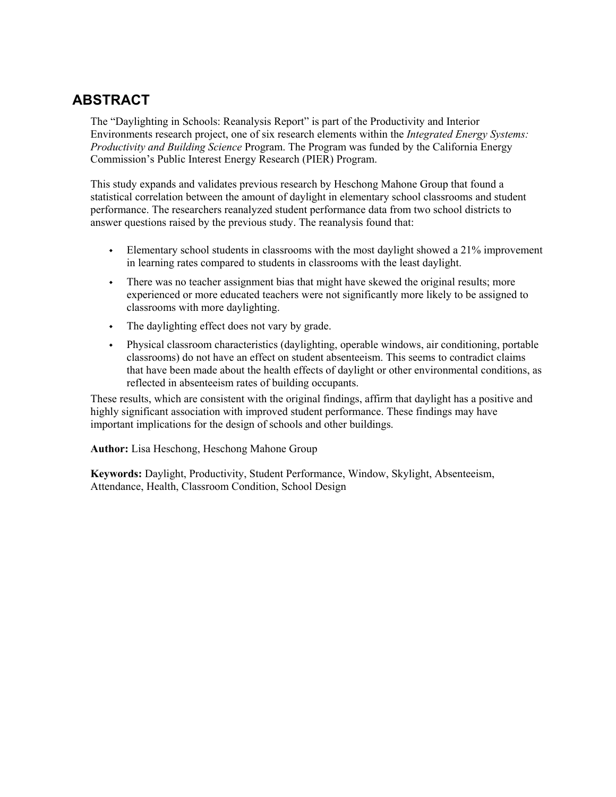## **ABSTRACT**

The "Daylighting in Schools: Reanalysis Report" is part of the Productivity and Interior Environments research project, one of six research elements within the *Integrated Energy Systems: Productivity and Building Science* Program. The Program was funded by the California Energy Commission's Public Interest Energy Research (PIER) Program.

This study expands and validates previous research by Heschong Mahone Group that found a statistical correlation between the amount of daylight in elementary school classrooms and student performance. The researchers reanalyzed student performance data from two school districts to answer questions raised by the previous study. The reanalysis found that:

- Elementary school students in classrooms with the most daylight showed a 21% improvement in learning rates compared to students in classrooms with the least daylight.
- There was no teacher assignment bias that might have skewed the original results; more experienced or more educated teachers were not significantly more likely to be assigned to classrooms with more daylighting.
- The daylighting effect does not vary by grade.
- Physical classroom characteristics (daylighting, operable windows, air conditioning, portable classrooms) do not have an effect on student absenteeism. This seems to contradict claims that have been made about the health effects of daylight or other environmental conditions, as reflected in absenteeism rates of building occupants.

These results, which are consistent with the original findings, affirm that daylight has a positive and highly significant association with improved student performance. These findings may have important implications for the design of schools and other buildings.

**Author:** Lisa Heschong, Heschong Mahone Group

**Keywords:** Daylight, Productivity, Student Performance, Window, Skylight, Absenteeism, Attendance, Health, Classroom Condition, School Design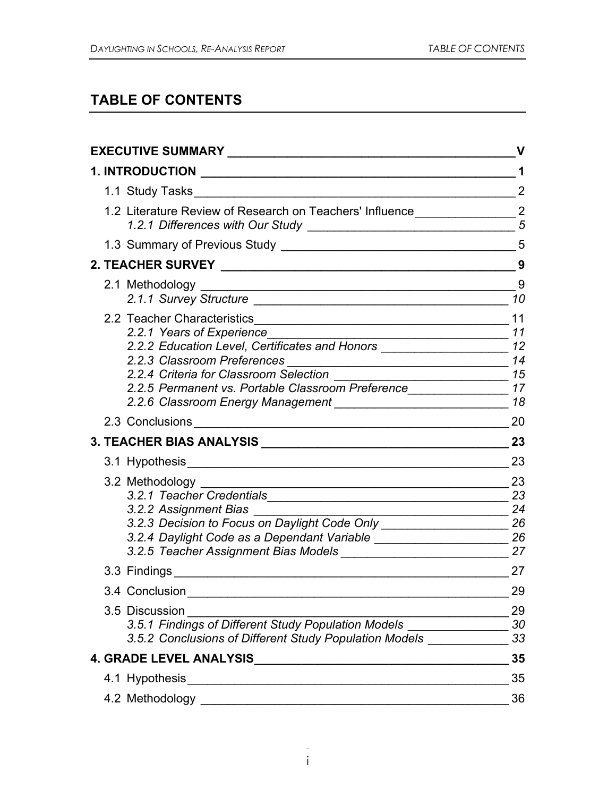# **TABLE OF CONTENTS**

|                       |                                                                                                                                                                                                                                  | v              |
|-----------------------|----------------------------------------------------------------------------------------------------------------------------------------------------------------------------------------------------------------------------------|----------------|
|                       |                                                                                                                                                                                                                                  | 1              |
|                       |                                                                                                                                                                                                                                  | $\overline{2}$ |
|                       | 1.2 Literature Review of Research on Teachers' Influence ______________________2                                                                                                                                                 | $\overline{5}$ |
|                       |                                                                                                                                                                                                                                  |                |
|                       |                                                                                                                                                                                                                                  | 9              |
|                       |                                                                                                                                                                                                                                  | 9<br>10        |
|                       | 2.2.2 Education Level, Certificates and Honors ____________________________ 12<br>2.2.4 Criteria for Classroom Selection<br>$\frac{15}{15}$<br>2.2.5 Permanent vs. Portable Classroom Preference________________________________ | 18             |
|                       |                                                                                                                                                                                                                                  | 20             |
|                       |                                                                                                                                                                                                                                  | 23             |
|                       |                                                                                                                                                                                                                                  | 23             |
| 3.2.2 Assignment Bias | 3.2.3 Decision to Focus on Daylight Code Only ________________________ 26<br>3.2.4 Daylight Code as a Dependant Variable __________________________________26                                                                    | 23<br>24       |
|                       | 3.3 Findings and the state of the state of the state of the state of the state of the state of the state of the state of the state of the state of the state of the state of the state of the state of the state of the state    | 27             |
| 3.4 Conclusion        |                                                                                                                                                                                                                                  | 29             |
| 3.5 Discussion        | 3.5.1 Findings of Different Study Population Models<br>3.5.2 Conclusions of Different Study Population Models                                                                                                                    | 29<br>30<br>33 |
|                       |                                                                                                                                                                                                                                  | 35             |
|                       |                                                                                                                                                                                                                                  | 35             |
|                       |                                                                                                                                                                                                                                  | 36             |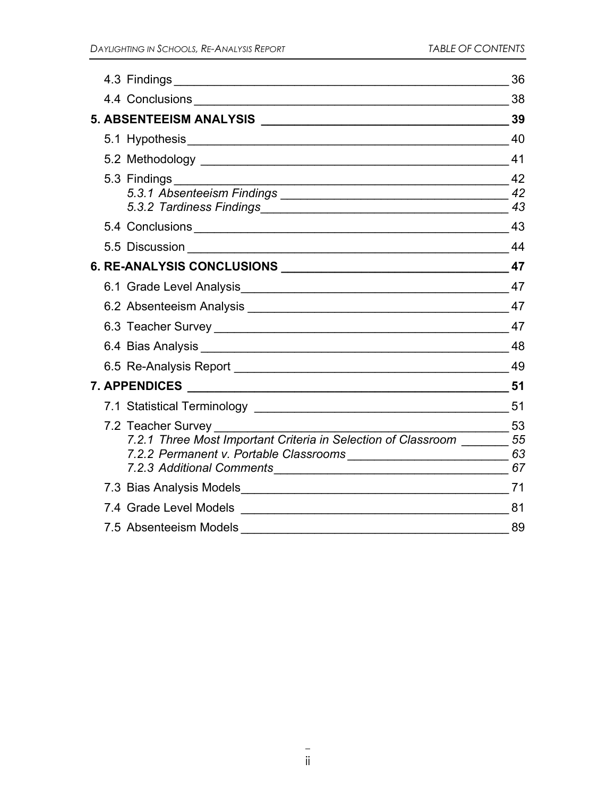|                                                                                                                | 36                                  |
|----------------------------------------------------------------------------------------------------------------|-------------------------------------|
|                                                                                                                | 38                                  |
|                                                                                                                | 39                                  |
|                                                                                                                | 40                                  |
|                                                                                                                | 41                                  |
|                                                                                                                | $\frac{1}{2}$ 42<br>42<br>43        |
|                                                                                                                | 43                                  |
|                                                                                                                |                                     |
|                                                                                                                |                                     |
|                                                                                                                |                                     |
|                                                                                                                | 47                                  |
|                                                                                                                |                                     |
|                                                                                                                |                                     |
|                                                                                                                | - 49                                |
|                                                                                                                | 51                                  |
|                                                                                                                | 51                                  |
| 7.2 Teacher Survey<br>7.2.1 Three Most Important Criteria in Selection of Classroom 55                         | $\frac{1}{\sqrt{1-\frac{1}{2}}}$ 53 |
|                                                                                                                |                                     |
| 7.4 Grade Level Models 2008 2009 2009 2009 2009 2009 2010 2020 2031 2040 2051 2062 2071 2082 2093 2009 2010 20 | 81                                  |
| 7.5 Absenteeism Models                                                                                         | 89                                  |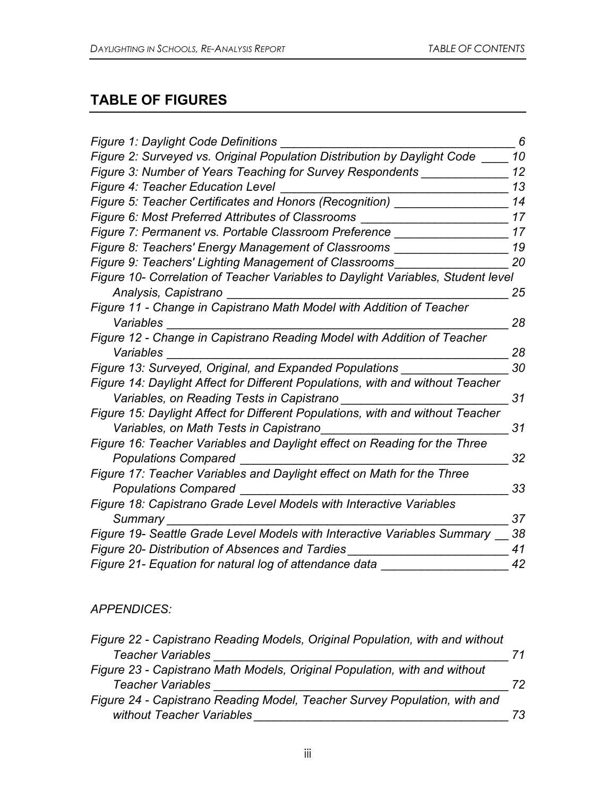# **TABLE OF FIGURES**

| Figure 1: Daylight Code Definitions                                              | 6  |
|----------------------------------------------------------------------------------|----|
| Figure 2: Surveyed vs. Original Population Distribution by Daylight Code         | 10 |
| Figure 3: Number of Years Teaching for Survey Respondents                        | 12 |
| <b>Figure 4: Teacher Education Level</b>                                         | 13 |
| Figure 5: Teacher Certificates and Honors (Recognition)                          | 14 |
| Figure 6: Most Preferred Attributes of Classrooms                                | 17 |
| Figure 7: Permanent vs. Portable Classroom Preference                            | 17 |
| Figure 8: Teachers' Energy Management of Classrooms                              | 19 |
| Figure 9: Teachers' Lighting Management of Classrooms                            | 20 |
| Figure 10- Correlation of Teacher Variables to Daylight Variables, Student level |    |
| Analysis, Capistrano                                                             | 25 |
| Figure 11 - Change in Capistrano Math Model with Addition of Teacher             |    |
| Variables                                                                        | 28 |
| Figure 12 - Change in Capistrano Reading Model with Addition of Teacher          |    |
| Variables                                                                        | 28 |
| Figure 13: Surveyed, Original, and Expanded Populations                          | 30 |
| Figure 14: Daylight Affect for Different Populations, with and without Teacher   |    |
| Variables, on Reading Tests in Capistrano                                        | 31 |
| Figure 15: Daylight Affect for Different Populations, with and without Teacher   |    |
| Variables, on Math Tests in Capistrano                                           | 31 |
| Figure 16: Teacher Variables and Daylight effect on Reading for the Three        |    |
| <b>Populations Compared</b>                                                      | 32 |
| Figure 17: Teacher Variables and Daylight effect on Math for the Three           |    |
| <b>Populations Compared</b>                                                      | 33 |
| Figure 18: Capistrano Grade Level Models with Interactive Variables              |    |
| Summary                                                                          | 37 |
| Figure 19- Seattle Grade Level Models with Interactive Variables Summary         | 38 |
| Figure 20- Distribution of Absences and Tardies                                  | 41 |
| Figure 21- Equation for natural log of attendance data                           | 42 |
|                                                                                  |    |

#### *APPENDICES:*

| Figure 22 - Capistrano Reading Models, Original Population, with and without |    |
|------------------------------------------------------------------------------|----|
| <b>Teacher Variables</b>                                                     | 71 |
| Figure 23 - Capistrano Math Models, Original Population, with and without    |    |
| <b>Teacher Variables</b>                                                     | 72 |
| Figure 24 - Capistrano Reading Model, Teacher Survey Population, with and    |    |
| without Teacher Variables                                                    | 73 |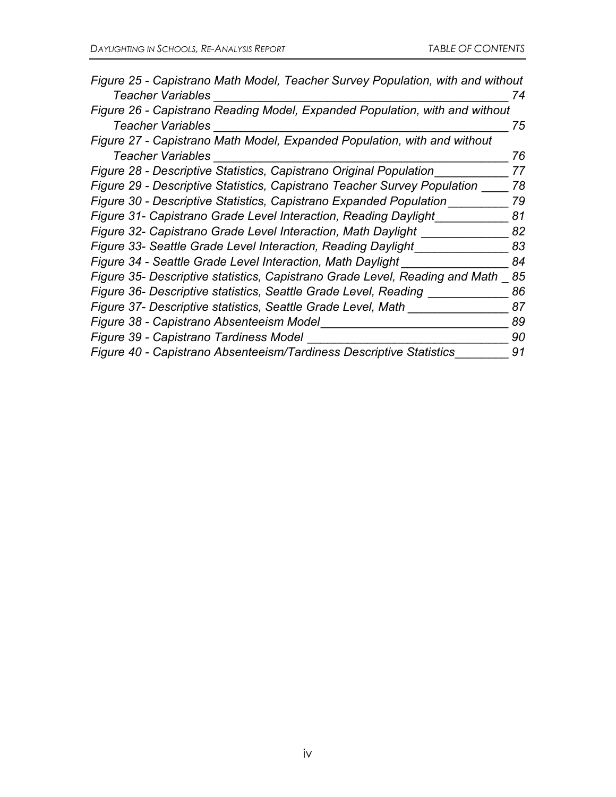| Figure 25 - Capistrano Math Model, Teacher Survey Population, with and without |    |
|--------------------------------------------------------------------------------|----|
| Teacher Variables                                                              | 74 |
| Figure 26 - Capistrano Reading Model, Expanded Population, with and without    |    |
| Teacher Variables                                                              | 75 |
| Figure 27 - Capistrano Math Model, Expanded Population, with and without       |    |
| <b>Teacher Variables</b>                                                       | 76 |
| Figure 28 - Descriptive Statistics, Capistrano Original Population             | 77 |
| Figure 29 - Descriptive Statistics, Capistrano Teacher Survey Population       | 78 |
| Figure 30 - Descriptive Statistics, Capistrano Expanded Population             | 79 |
| Figure 31- Capistrano Grade Level Interaction, Reading Daylight                | 81 |
| Figure 32- Capistrano Grade Level Interaction, Math Daylight                   | 82 |
| Figure 33- Seattle Grade Level Interaction, Reading Daylight                   | 83 |
| Figure 34 - Seattle Grade Level Interaction, Math Daylight                     | 84 |
| Figure 35- Descriptive statistics, Capistrano Grade Level, Reading and Math    | 85 |
| Figure 36- Descriptive statistics, Seattle Grade Level, Reading                | 86 |
| Figure 37- Descriptive statistics, Seattle Grade Level, Math                   | 87 |
| Figure 38 - Capistrano Absenteeism Model                                       | 89 |
| Figure 39 - Capistrano Tardiness Model                                         | 90 |
| Figure 40 - Capistrano Absenteeism/Tardiness Descriptive Statistics            | 91 |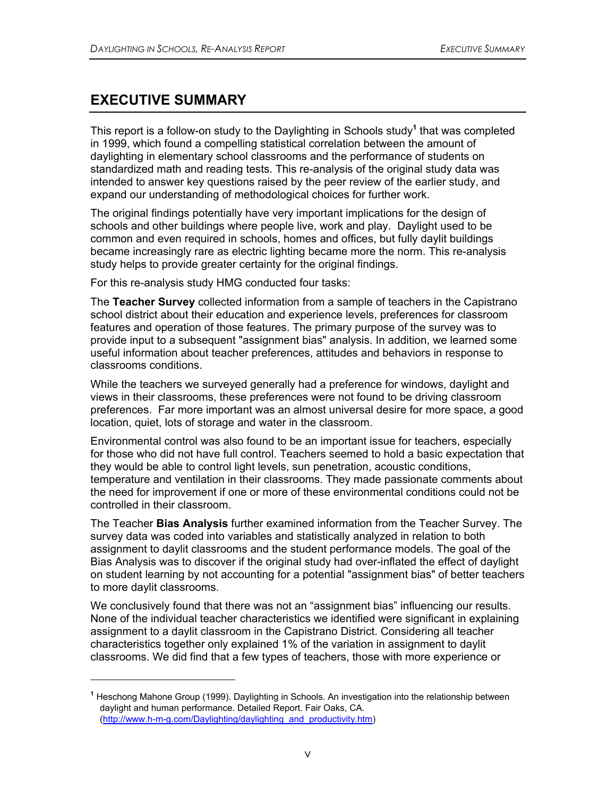## **EXECUTIVE SUMMARY**

 $\overline{a}$ 

This report is a follow-on study to the Daylighting in Schools study**<sup>1</sup>** that was completed in 1999, which found a compelling statistical correlation between the amount of daylighting in elementary school classrooms and the performance of students on standardized math and reading tests. This re-analysis of the original study data was intended to answer key questions raised by the peer review of the earlier study, and expand our understanding of methodological choices for further work.

The original findings potentially have very important implications for the design of schools and other buildings where people live, work and play. Daylight used to be common and even required in schools, homes and offices, but fully daylit buildings became increasingly rare as electric lighting became more the norm. This re-analysis study helps to provide greater certainty for the original findings.

For this re-analysis study HMG conducted four tasks:

The **Teacher Survey** collected information from a sample of teachers in the Capistrano school district about their education and experience levels, preferences for classroom features and operation of those features. The primary purpose of the survey was to provide input to a subsequent "assignment bias" analysis. In addition, we learned some useful information about teacher preferences, attitudes and behaviors in response to classrooms conditions.

While the teachers we surveyed generally had a preference for windows, daylight and views in their classrooms, these preferences were not found to be driving classroom preferences. Far more important was an almost universal desire for more space, a good location, quiet, lots of storage and water in the classroom.

Environmental control was also found to be an important issue for teachers, especially for those who did not have full control. Teachers seemed to hold a basic expectation that they would be able to control light levels, sun penetration, acoustic conditions, temperature and ventilation in their classrooms. They made passionate comments about the need for improvement if one or more of these environmental conditions could not be controlled in their classroom.

The Teacher **Bias Analysis** further examined information from the Teacher Survey. The survey data was coded into variables and statistically analyzed in relation to both assignment to daylit classrooms and the student performance models. The goal of the Bias Analysis was to discover if the original study had over-inflated the effect of daylight on student learning by not accounting for a potential "assignment bias" of better teachers to more daylit classrooms.

We conclusively found that there was not an "assignment bias" influencing our results. None of the individual teacher characteristics we identified were significant in explaining assignment to a daylit classroom in the Capistrano District. Considering all teacher characteristics together only explained 1% of the variation in assignment to daylit classrooms. We did find that a few types of teachers, those with more experience or

**<sup>1</sup>** Heschong Mahone Group (1999). Daylighting in Schools. An investigation into the relationship between daylight and human performance. Detailed Report. Fair Oaks, CA. (http://www.h-m-g.com/Daylighting/daylighting\_and\_productivity.htm)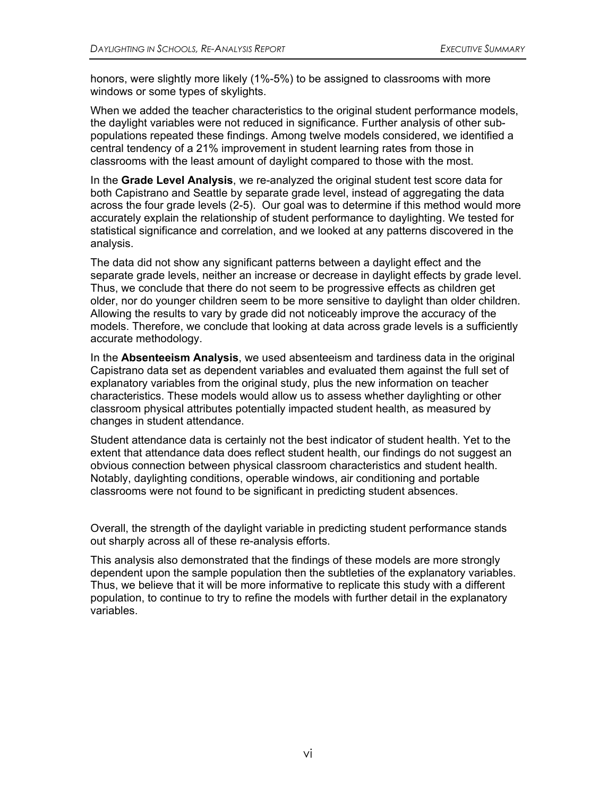honors, were slightly more likely (1%-5%) to be assigned to classrooms with more windows or some types of skylights.

When we added the teacher characteristics to the original student performance models, the daylight variables were not reduced in significance. Further analysis of other subpopulations repeated these findings. Among twelve models considered, we identified a central tendency of a 21% improvement in student learning rates from those in classrooms with the least amount of daylight compared to those with the most.

In the **Grade Level Analysis**, we re-analyzed the original student test score data for both Capistrano and Seattle by separate grade level, instead of aggregating the data across the four grade levels (2-5). Our goal was to determine if this method would more accurately explain the relationship of student performance to daylighting. We tested for statistical significance and correlation, and we looked at any patterns discovered in the analysis.

The data did not show any significant patterns between a daylight effect and the separate grade levels, neither an increase or decrease in daylight effects by grade level. Thus, we conclude that there do not seem to be progressive effects as children get older, nor do younger children seem to be more sensitive to daylight than older children. Allowing the results to vary by grade did not noticeably improve the accuracy of the models. Therefore, we conclude that looking at data across grade levels is a sufficiently accurate methodology.

In the **Absenteeism Analysis**, we used absenteeism and tardiness data in the original Capistrano data set as dependent variables and evaluated them against the full set of explanatory variables from the original study, plus the new information on teacher characteristics. These models would allow us to assess whether daylighting or other classroom physical attributes potentially impacted student health, as measured by changes in student attendance.

Student attendance data is certainly not the best indicator of student health. Yet to the extent that attendance data does reflect student health, our findings do not suggest an obvious connection between physical classroom characteristics and student health. Notably, daylighting conditions, operable windows, air conditioning and portable classrooms were not found to be significant in predicting student absences.

Overall, the strength of the daylight variable in predicting student performance stands out sharply across all of these re-analysis efforts.

This analysis also demonstrated that the findings of these models are more strongly dependent upon the sample population then the subtleties of the explanatory variables. Thus, we believe that it will be more informative to replicate this study with a different population, to continue to try to refine the models with further detail in the explanatory variables.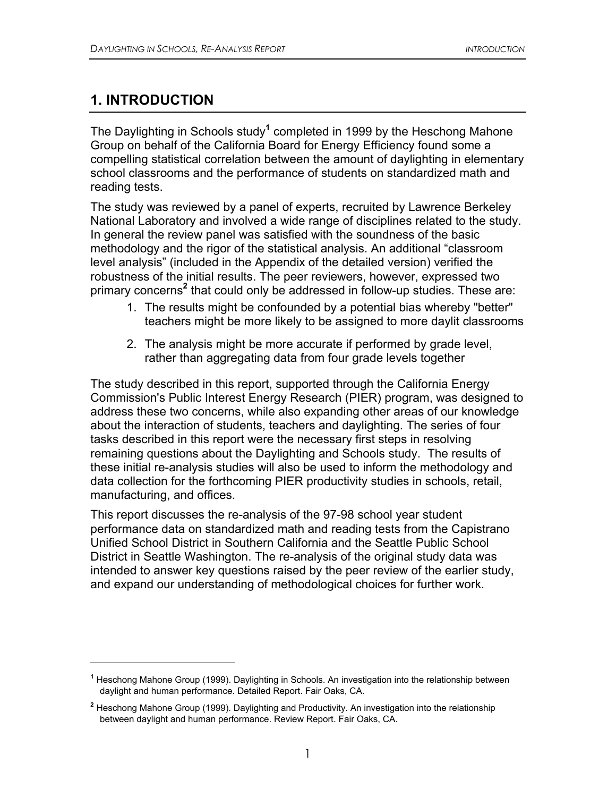## **1. INTRODUCTION**

 $\overline{a}$ 

The Daylighting in Schools study<sup>1</sup> completed in 1999 by the Heschong Mahone Group on behalf of the California Board for Energy Efficiency found some a compelling statistical correlation between the amount of daylighting in elementary school classrooms and the performance of students on standardized math and reading tests.

The study was reviewed by a panel of experts, recruited by Lawrence Berkeley National Laboratory and involved a wide range of disciplines related to the study. In general the review panel was satisfied with the soundness of the basic methodology and the rigor of the statistical analysis. An additional "classroom level analysis" (included in the Appendix of the detailed version) verified the robustness of the initial results. The peer reviewers, however, expressed two primary concerns<sup>2</sup> that could only be addressed in follow-up studies. These are:

- 1. The results might be confounded by a potential bias whereby "better" teachers might be more likely to be assigned to more daylit classrooms
- 2. The analysis might be more accurate if performed by grade level, rather than aggregating data from four grade levels together

The study described in this report, supported through the California Energy Commission's Public Interest Energy Research (PIER) program, was designed to address these two concerns, while also expanding other areas of our knowledge about the interaction of students, teachers and daylighting. The series of four tasks described in this report were the necessary first steps in resolving remaining questions about the Daylighting and Schools study. The results of these initial re-analysis studies will also be used to inform the methodology and data collection for the forthcoming PIER productivity studies in schools, retail, manufacturing, and offices.

This report discusses the re-analysis of the 97-98 school year student performance data on standardized math and reading tests from the Capistrano Unified School District in Southern California and the Seattle Public School District in Seattle Washington. The re-analysis of the original study data was intended to answer key questions raised by the peer review of the earlier study, and expand our understanding of methodological choices for further work.

**<sup>1</sup>** Heschong Mahone Group (1999). Daylighting in Schools. An investigation into the relationship between daylight and human performance. Detailed Report. Fair Oaks, CA.

**<sup>2</sup>** Heschong Mahone Group (1999). Daylighting and Productivity. An investigation into the relationship between daylight and human performance. Review Report. Fair Oaks, CA.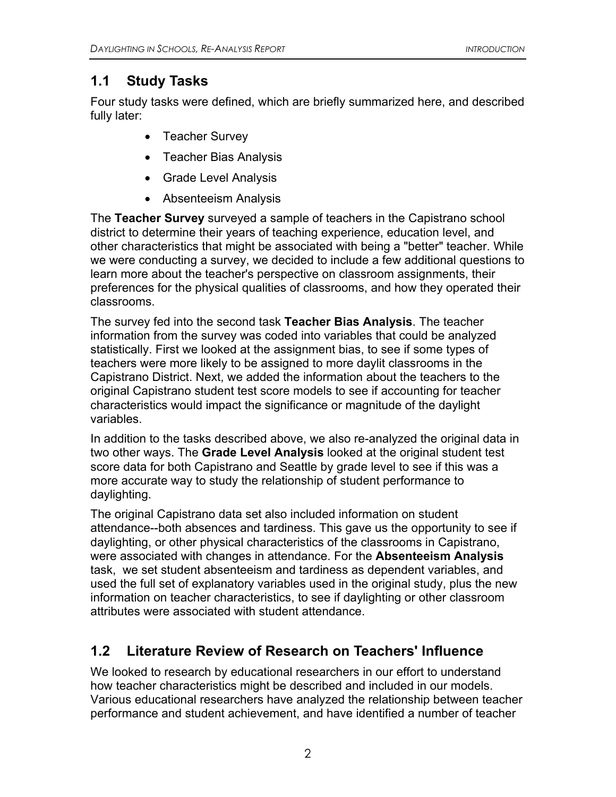## **1.1 Study Tasks**

Four study tasks were defined, which are briefly summarized here, and described fully later:

- Teacher Survey
- Teacher Bias Analysis
- Grade Level Analysis
- Absenteeism Analysis

The **Teacher Survey** surveyed a sample of teachers in the Capistrano school district to determine their years of teaching experience, education level, and other characteristics that might be associated with being a "better" teacher. While we were conducting a survey, we decided to include a few additional questions to learn more about the teacher's perspective on classroom assignments, their preferences for the physical qualities of classrooms, and how they operated their classrooms.

The survey fed into the second task **Teacher Bias Analysis**. The teacher information from the survey was coded into variables that could be analyzed statistically. First we looked at the assignment bias, to see if some types of teachers were more likely to be assigned to more daylit classrooms in the Capistrano District. Next, we added the information about the teachers to the original Capistrano student test score models to see if accounting for teacher characteristics would impact the significance or magnitude of the daylight variables.

In addition to the tasks described above, we also re-analyzed the original data in two other ways. The **Grade Level Analysis** looked at the original student test score data for both Capistrano and Seattle by grade level to see if this was a more accurate way to study the relationship of student performance to daylighting.

The original Capistrano data set also included information on student attendance--both absences and tardiness. This gave us the opportunity to see if daylighting, or other physical characteristics of the classrooms in Capistrano, were associated with changes in attendance. For the **Absenteeism Analysis** task, we set student absenteeism and tardiness as dependent variables, and used the full set of explanatory variables used in the original study, plus the new information on teacher characteristics, to see if daylighting or other classroom attributes were associated with student attendance.

# **1.2 Literature Review of Research on Teachers' Influence**

We looked to research by educational researchers in our effort to understand how teacher characteristics might be described and included in our models. Various educational researchers have analyzed the relationship between teacher performance and student achievement, and have identified a number of teacher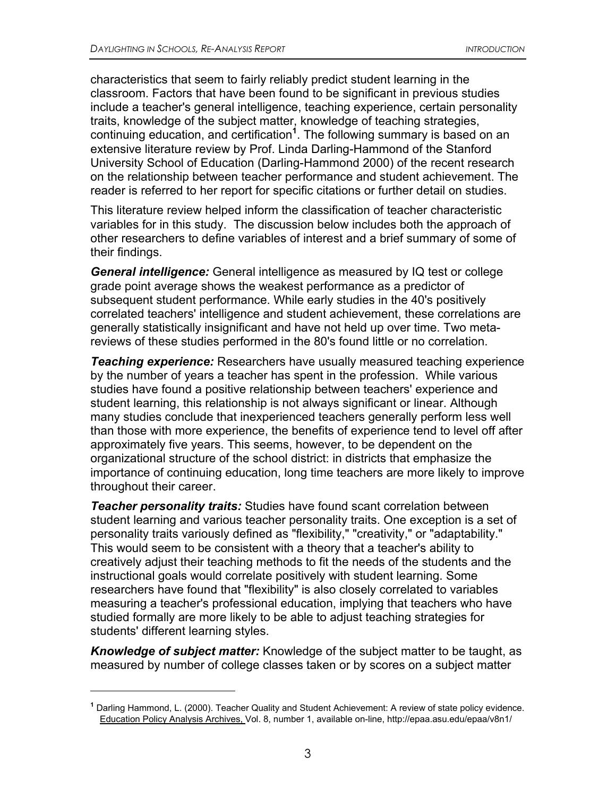characteristics that seem to fairly reliably predict student learning in the classroom. Factors that have been found to be significant in previous studies include a teacher's general intelligence, teaching experience, certain personality traits, knowledge of the subject matter, knowledge of teaching strategies, continuing education, and certification**<sup>1</sup>** . The following summary is based on an extensive literature review by Prof. Linda Darling-Hammond of the Stanford University School of Education (Darling-Hammond 2000) of the recent research on the relationship between teacher performance and student achievement. The reader is referred to her report for specific citations or further detail on studies.

This literature review helped inform the classification of teacher characteristic variables for in this study. The discussion below includes both the approach of other researchers to define variables of interest and a brief summary of some of their findings.

*General intelligence:* General intelligence as measured by IQ test or college grade point average shows the weakest performance as a predictor of subsequent student performance. While early studies in the 40's positively correlated teachers' intelligence and student achievement, these correlations are generally statistically insignificant and have not held up over time. Two metareviews of these studies performed in the 80's found little or no correlation.

*Teaching experience:* Researchers have usually measured teaching experience by the number of years a teacher has spent in the profession. While various studies have found a positive relationship between teachers' experience and student learning, this relationship is not always significant or linear. Although many studies conclude that inexperienced teachers generally perform less well than those with more experience, the benefits of experience tend to level off after approximately five years. This seems, however, to be dependent on the organizational structure of the school district: in districts that emphasize the importance of continuing education, long time teachers are more likely to improve throughout their career.

*Teacher personality traits:* Studies have found scant correlation between student learning and various teacher personality traits. One exception is a set of personality traits variously defined as "flexibility," "creativity," or "adaptability." This would seem to be consistent with a theory that a teacher's ability to creatively adjust their teaching methods to fit the needs of the students and the instructional goals would correlate positively with student learning. Some researchers have found that "flexibility" is also closely correlated to variables measuring a teacher's professional education, implying that teachers who have studied formally are more likely to be able to adjust teaching strategies for students' different learning styles.

*Knowledge of subject matter:* Knowledge of the subject matter to be taught, as measured by number of college classes taken or by scores on a subject matter

 $\overline{a}$ 

**<sup>1</sup>** Darling Hammond, L. (2000). Teacher Quality and Student Achievement: A review of state policy evidence. Education Policy Analysis Archives, Vol. 8, number 1, available on-line, http://epaa.asu.edu/epaa/v8n1/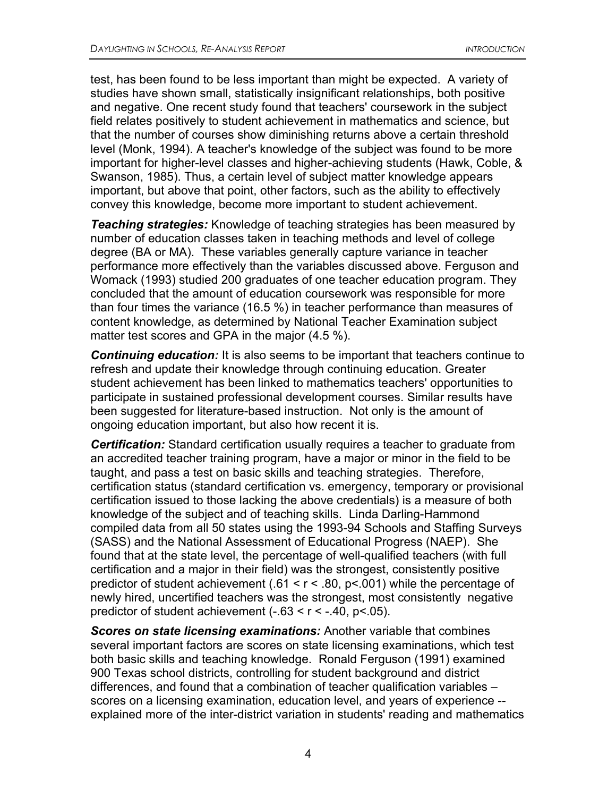test, has been found to be less important than might be expected. A variety of studies have shown small, statistically insignificant relationships, both positive and negative. One recent study found that teachers' coursework in the subject field relates positively to student achievement in mathematics and science, but that the number of courses show diminishing returns above a certain threshold level (Monk, 1994). A teacher's knowledge of the subject was found to be more important for higher-level classes and higher-achieving students (Hawk, Coble, & Swanson, 1985). Thus, a certain level of subject matter knowledge appears important, but above that point, other factors, such as the ability to effectively convey this knowledge, become more important to student achievement.

*Teaching strategies:* Knowledge of teaching strategies has been measured by number of education classes taken in teaching methods and level of college degree (BA or MA). These variables generally capture variance in teacher performance more effectively than the variables discussed above. Ferguson and Womack (1993) studied 200 graduates of one teacher education program. They concluded that the amount of education coursework was responsible for more than four times the variance (16.5 %) in teacher performance than measures of content knowledge, as determined by National Teacher Examination subject matter test scores and GPA in the major (4.5 %).

*Continuing education:* It is also seems to be important that teachers continue to refresh and update their knowledge through continuing education. Greater student achievement has been linked to mathematics teachers' opportunities to participate in sustained professional development courses. Similar results have been suggested for literature-based instruction. Not only is the amount of ongoing education important, but also how recent it is.

*Certification:* Standard certification usually requires a teacher to graduate from an accredited teacher training program, have a major or minor in the field to be taught, and pass a test on basic skills and teaching strategies. Therefore, certification status (standard certification vs. emergency, temporary or provisional certification issued to those lacking the above credentials) is a measure of both knowledge of the subject and of teaching skills. Linda Darling-Hammond compiled data from all 50 states using the 1993-94 Schools and Staffing Surveys (SASS) and the National Assessment of Educational Progress (NAEP). She found that at the state level, the percentage of well-qualified teachers (with full certification and a major in their field) was the strongest, consistently positive predictor of student achievement  $(.61 \le r \le .80, p \le .001)$  while the percentage of newly hired, uncertified teachers was the strongest, most consistently negative predictor of student achievement  $(-.63 < r < -.40, p < .05)$ .

*Scores on state licensing examinations:* Another variable that combines several important factors are scores on state licensing examinations, which test both basic skills and teaching knowledge. Ronald Ferguson (1991) examined 900 Texas school districts, controlling for student background and district differences, and found that a combination of teacher qualification variables – scores on a licensing examination, education level, and years of experience - explained more of the inter-district variation in students' reading and mathematics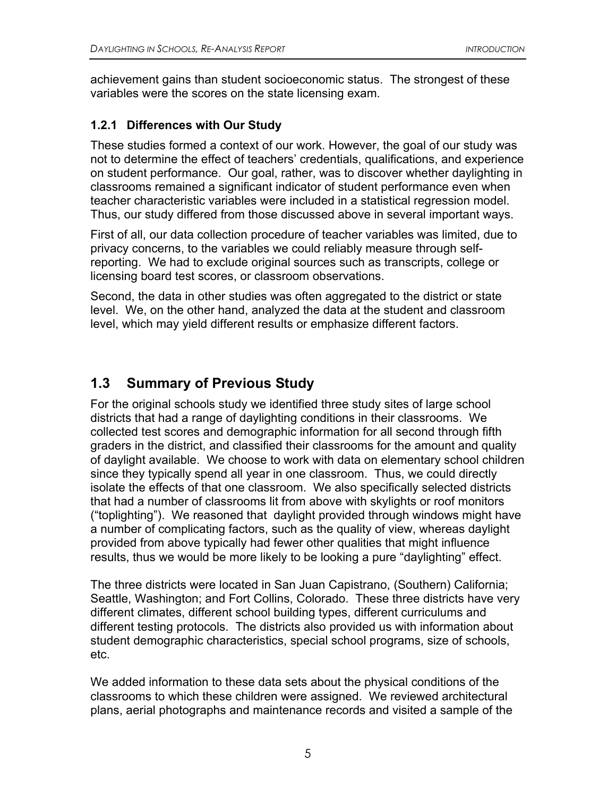achievement gains than student socioeconomic status. The strongest of these variables were the scores on the state licensing exam.

#### **1.2.1 Differences with Our Study**

These studies formed a context of our work. However, the goal of our study was not to determine the effect of teachers' credentials, qualifications, and experience on student performance. Our goal, rather, was to discover whether daylighting in classrooms remained a significant indicator of student performance even when teacher characteristic variables were included in a statistical regression model. Thus, our study differed from those discussed above in several important ways.

First of all, our data collection procedure of teacher variables was limited, due to privacy concerns, to the variables we could reliably measure through selfreporting. We had to exclude original sources such as transcripts, college or licensing board test scores, or classroom observations.

Second, the data in other studies was often aggregated to the district or state level. We, on the other hand, analyzed the data at the student and classroom level, which may yield different results or emphasize different factors.

## **1.3 Summary of Previous Study**

For the original schools study we identified three study sites of large school districts that had a range of daylighting conditions in their classrooms. We collected test scores and demographic information for all second through fifth graders in the district, and classified their classrooms for the amount and quality of daylight available. We choose to work with data on elementary school children since they typically spend all year in one classroom. Thus, we could directly isolate the effects of that one classroom. We also specifically selected districts that had a number of classrooms lit from above with skylights or roof monitors ("toplighting"). We reasoned that daylight provided through windows might have a number of complicating factors, such as the quality of view, whereas daylight provided from above typically had fewer other qualities that might influence results, thus we would be more likely to be looking a pure "daylighting" effect.

The three districts were located in San Juan Capistrano, (Southern) California; Seattle, Washington; and Fort Collins, Colorado. These three districts have very different climates, different school building types, different curriculums and different testing protocols. The districts also provided us with information about student demographic characteristics, special school programs, size of schools, etc.

We added information to these data sets about the physical conditions of the classrooms to which these children were assigned. We reviewed architectural plans, aerial photographs and maintenance records and visited a sample of the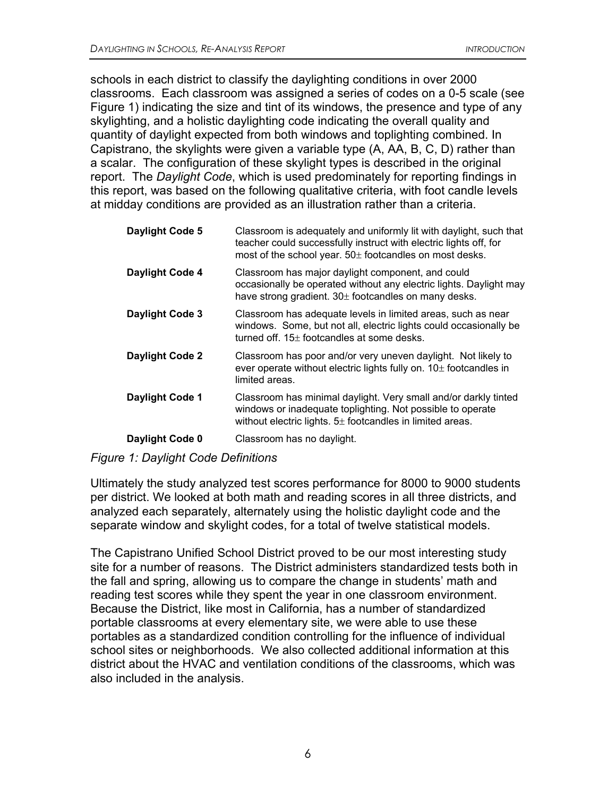schools in each district to classify the daylighting conditions in over 2000 classrooms. Each classroom was assigned a series of codes on a 0-5 scale (see Figure 1) indicating the size and tint of its windows, the presence and type of any skylighting, and a holistic daylighting code indicating the overall quality and quantity of daylight expected from both windows and toplighting combined. In Capistrano, the skylights were given a variable type (A, AA, B, C, D) rather than a scalar. The configuration of these skylight types is described in the original report. The *Daylight Code*, which is used predominately for reporting findings in this report, was based on the following qualitative criteria, with foot candle levels at midday conditions are provided as an illustration rather than a criteria.

| Daylight Code 5        | Classroom is adequately and uniformly lit with daylight, such that<br>teacher could successfully instruct with electric lights off, for<br>most of the school year. 50± footcandles on most desks. |
|------------------------|----------------------------------------------------------------------------------------------------------------------------------------------------------------------------------------------------|
| Daylight Code 4        | Classroom has major daylight component, and could<br>occasionally be operated without any electric lights. Daylight may<br>have strong gradient. $30\pm$ footcandles on many desks.                |
| Daylight Code 3        | Classroom has adequate levels in limited areas, such as near<br>windows. Some, but not all, electric lights could occasionally be<br>turned off. $15±$ footcandles at some desks.                  |
| Daylight Code 2        | Classroom has poor and/or very uneven daylight. Not likely to<br>ever operate without electric lights fully on. $10±$ footcandles in<br>limited areas.                                             |
| <b>Daylight Code 1</b> | Classroom has minimal daylight. Very small and/or darkly tinted<br>windows or inadequate toplighting. Not possible to operate<br>without electric lights. $5\pm$ footcandles in limited areas.     |
| Daylight Code 0        | Classroom has no daylight.                                                                                                                                                                         |

### *Figure 1: Daylight Code Definitions*

Ultimately the study analyzed test scores performance for 8000 to 9000 students per district. We looked at both math and reading scores in all three districts, and analyzed each separately, alternately using the holistic daylight code and the separate window and skylight codes, for a total of twelve statistical models.

The Capistrano Unified School District proved to be our most interesting study site for a number of reasons. The District administers standardized tests both in the fall and spring, allowing us to compare the change in students' math and reading test scores while they spent the year in one classroom environment. Because the District, like most in California, has a number of standardized portable classrooms at every elementary site, we were able to use these portables as a standardized condition controlling for the influence of individual school sites or neighborhoods. We also collected additional information at this district about the HVAC and ventilation conditions of the classrooms, which was also included in the analysis.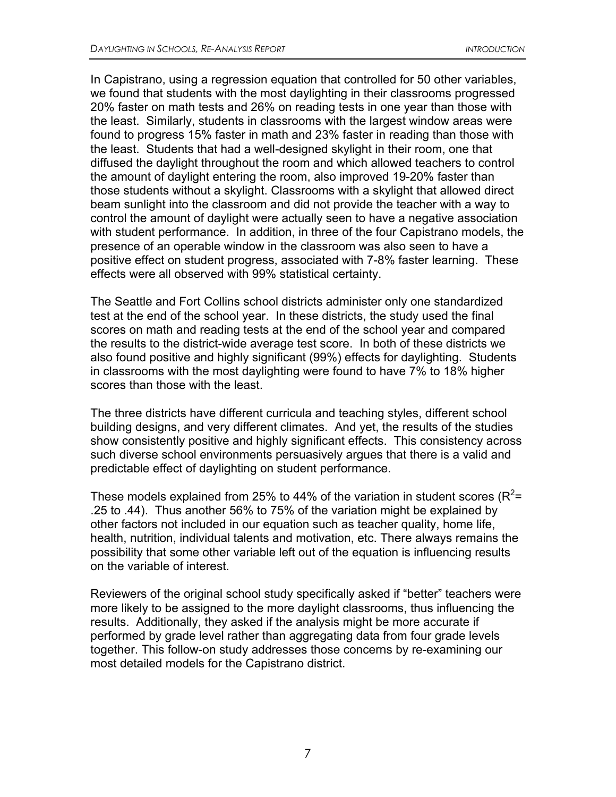In Capistrano, using a regression equation that controlled for 50 other variables, we found that students with the most daylighting in their classrooms progressed 20% faster on math tests and 26% on reading tests in one year than those with the least. Similarly, students in classrooms with the largest window areas were found to progress 15% faster in math and 23% faster in reading than those with the least. Students that had a well-designed skylight in their room, one that diffused the daylight throughout the room and which allowed teachers to control the amount of daylight entering the room, also improved 19-20% faster than those students without a skylight. Classrooms with a skylight that allowed direct beam sunlight into the classroom and did not provide the teacher with a way to control the amount of daylight were actually seen to have a negative association with student performance. In addition, in three of the four Capistrano models, the presence of an operable window in the classroom was also seen to have a positive effect on student progress, associated with 7-8% faster learning. These effects were all observed with 99% statistical certainty.

The Seattle and Fort Collins school districts administer only one standardized test at the end of the school year. In these districts, the study used the final scores on math and reading tests at the end of the school year and compared the results to the district-wide average test score. In both of these districts we also found positive and highly significant (99%) effects for daylighting. Students in classrooms with the most daylighting were found to have 7% to 18% higher scores than those with the least.

The three districts have different curricula and teaching styles, different school building designs, and very different climates. And yet, the results of the studies show consistently positive and highly significant effects. This consistency across such diverse school environments persuasively argues that there is a valid and predictable effect of daylighting on student performance.

These models explained from 25% to 44% of the variation in student scores ( $R^2$ = .25 to .44). Thus another 56% to 75% of the variation might be explained by other factors not included in our equation such as teacher quality, home life, health, nutrition, individual talents and motivation, etc. There always remains the possibility that some other variable left out of the equation is influencing results on the variable of interest.

Reviewers of the original school study specifically asked if "better" teachers were more likely to be assigned to the more daylight classrooms, thus influencing the results. Additionally, they asked if the analysis might be more accurate if performed by grade level rather than aggregating data from four grade levels together. This follow-on study addresses those concerns by re-examining our most detailed models for the Capistrano district.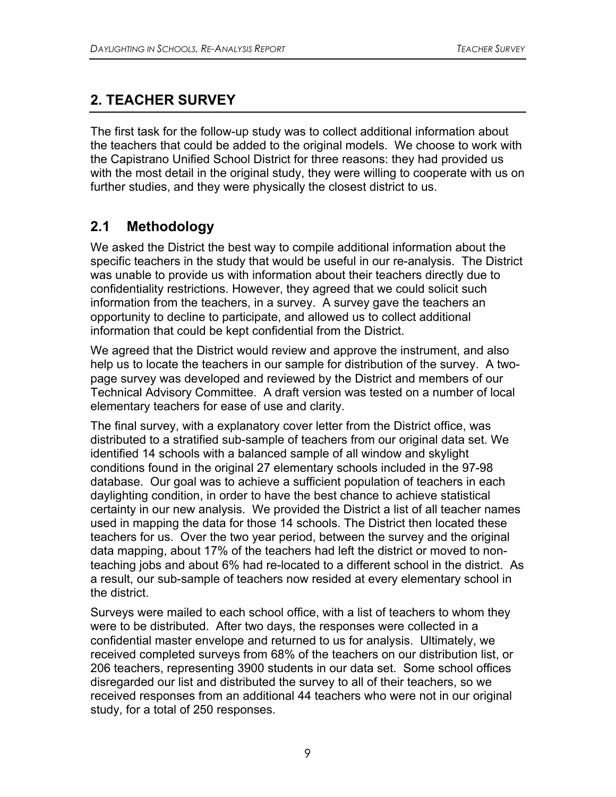# **2. TEACHER SURVEY**

The first task for the follow-up study was to collect additional information about the teachers that could be added to the original models. We choose to work with the Capistrano Unified School District for three reasons: they had provided us with the most detail in the original study, they were willing to cooperate with us on further studies, and they were physically the closest district to us.

# **2.1 Methodology**

We asked the District the best way to compile additional information about the specific teachers in the study that would be useful in our re-analysis. The District was unable to provide us with information about their teachers directly due to confidentiality restrictions. However, they agreed that we could solicit such information from the teachers, in a survey. A survey gave the teachers an opportunity to decline to participate, and allowed us to collect additional information that could be kept confidential from the District.

We agreed that the District would review and approve the instrument, and also help us to locate the teachers in our sample for distribution of the survey. A twopage survey was developed and reviewed by the District and members of our Technical Advisory Committee. A draft version was tested on a number of local elementary teachers for ease of use and clarity.

The final survey, with a explanatory cover letter from the District office, was distributed to a stratified sub-sample of teachers from our original data set. We identified 14 schools with a balanced sample of all window and skylight conditions found in the original 27 elementary schools included in the 97-98 database. Our goal was to achieve a sufficient population of teachers in each daylighting condition, in order to have the best chance to achieve statistical certainty in our new analysis. We provided the District a list of all teacher names used in mapping the data for those 14 schools. The District then located these teachers for us. Over the two year period, between the survey and the original data mapping, about 17% of the teachers had left the district or moved to nonteaching jobs and about 6% had re-located to a different school in the district. As a result, our sub-sample of teachers now resided at every elementary school in the district.

Surveys were mailed to each school office, with a list of teachers to whom they were to be distributed. After two days, the responses were collected in a confidential master envelope and returned to us for analysis. Ultimately, we received completed surveys from 68% of the teachers on our distribution list, or 206 teachers, representing 3900 students in our data set. Some school offices disregarded our list and distributed the survey to all of their teachers, so we received responses from an additional 44 teachers who were not in our original study, for a total of 250 responses.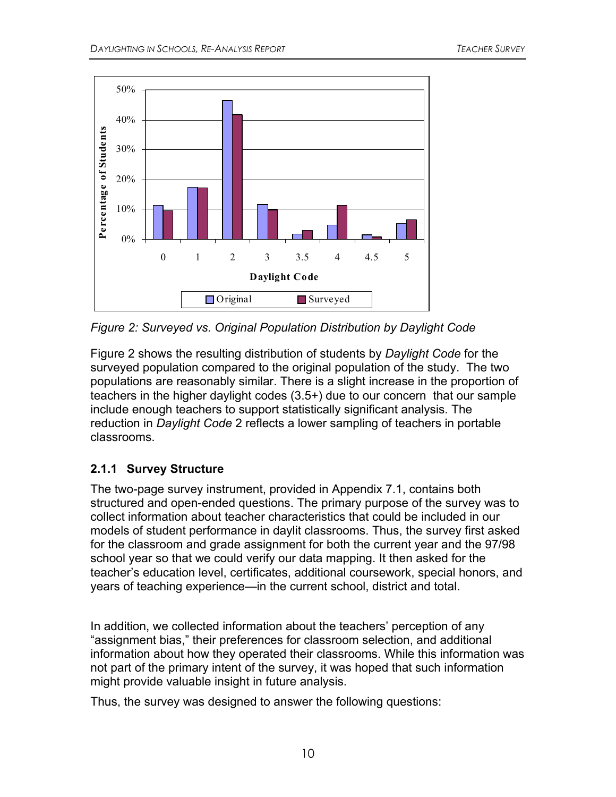

*Figure 2: Surveyed vs. Original Population Distribution by Daylight Code* 

Figure 2 shows the resulting distribution of students by *Daylight Code* for the surveyed population compared to the original population of the study. The two populations are reasonably similar. There is a slight increase in the proportion of teachers in the higher daylight codes (3.5+) due to our concern that our sample include enough teachers to support statistically significant analysis. The reduction in *Daylight Code* 2 reflects a lower sampling of teachers in portable classrooms.

## **2.1.1 Survey Structure**

The two-page survey instrument, provided in Appendix 7.1, contains both structured and open-ended questions. The primary purpose of the survey was to collect information about teacher characteristics that could be included in our models of student performance in daylit classrooms. Thus, the survey first asked for the classroom and grade assignment for both the current year and the 97/98 school year so that we could verify our data mapping. It then asked for the teacher's education level, certificates, additional coursework, special honors, and years of teaching experience—in the current school, district and total.

In addition, we collected information about the teachers' perception of any "assignment bias," their preferences for classroom selection, and additional information about how they operated their classrooms. While this information was not part of the primary intent of the survey, it was hoped that such information might provide valuable insight in future analysis.

Thus, the survey was designed to answer the following questions: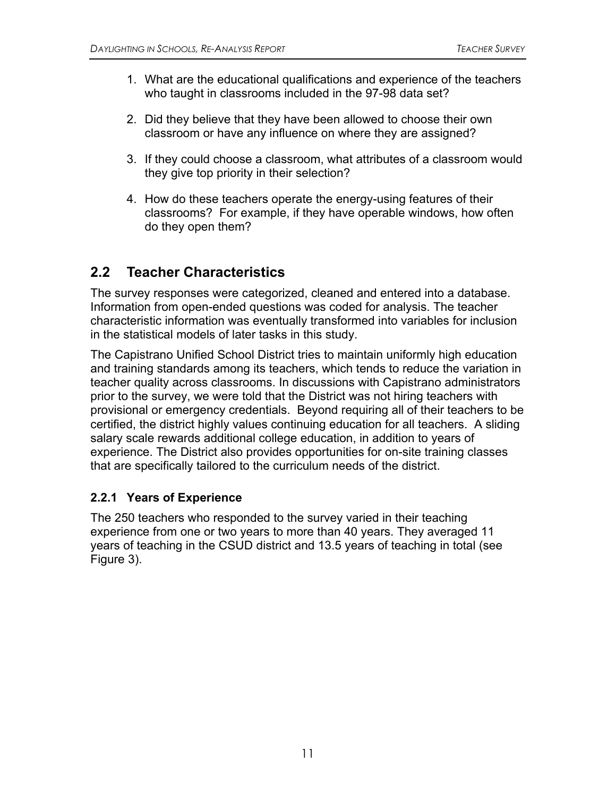- 1. What are the educational qualifications and experience of the teachers who taught in classrooms included in the 97-98 data set?
- 2. Did they believe that they have been allowed to choose their own classroom or have any influence on where they are assigned?
- 3. If they could choose a classroom, what attributes of a classroom would they give top priority in their selection?
- 4. How do these teachers operate the energy-using features of their classrooms? For example, if they have operable windows, how often do they open them?

# **2.2 Teacher Characteristics**

The survey responses were categorized, cleaned and entered into a database. Information from open-ended questions was coded for analysis. The teacher characteristic information was eventually transformed into variables for inclusion in the statistical models of later tasks in this study.

The Capistrano Unified School District tries to maintain uniformly high education and training standards among its teachers, which tends to reduce the variation in teacher quality across classrooms. In discussions with Capistrano administrators prior to the survey, we were told that the District was not hiring teachers with provisional or emergency credentials. Beyond requiring all of their teachers to be certified, the district highly values continuing education for all teachers. A sliding salary scale rewards additional college education, in addition to years of experience. The District also provides opportunities for on-site training classes that are specifically tailored to the curriculum needs of the district.

### **2.2.1 Years of Experience**

The 250 teachers who responded to the survey varied in their teaching experience from one or two years to more than 40 years. They averaged 11 years of teaching in the CSUD district and 13.5 years of teaching in total (see Figure 3).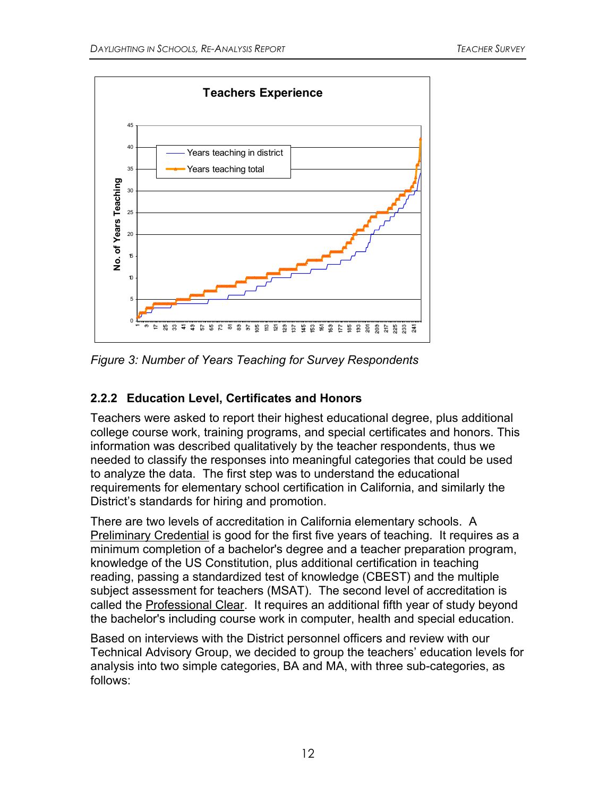

*Figure 3: Number of Years Teaching for Survey Respondents*

## **2.2.2 Education Level, Certificates and Honors**

Teachers were asked to report their highest educational degree, plus additional college course work, training programs, and special certificates and honors. This information was described qualitatively by the teacher respondents, thus we needed to classify the responses into meaningful categories that could be used to analyze the data. The first step was to understand the educational requirements for elementary school certification in California, and similarly the District's standards for hiring and promotion.

There are two levels of accreditation in California elementary schools. A Preliminary Credential is good for the first five years of teaching. It requires as a minimum completion of a bachelor's degree and a teacher preparation program, knowledge of the US Constitution, plus additional certification in teaching reading, passing a standardized test of knowledge (CBEST) and the multiple subject assessment for teachers (MSAT). The second level of accreditation is called the Professional Clear. It requires an additional fifth year of study beyond the bachelor's including course work in computer, health and special education.

Based on interviews with the District personnel officers and review with our Technical Advisory Group, we decided to group the teachers' education levels for analysis into two simple categories, BA and MA, with three sub-categories, as follows: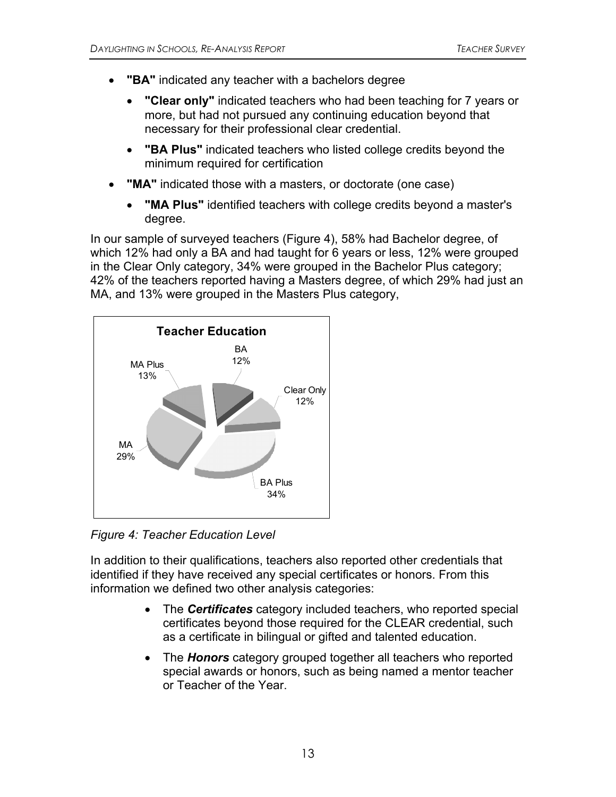- **"BA"** indicated any teacher with a bachelors degree
	- **"Clear only"** indicated teachers who had been teaching for 7 years or more, but had not pursued any continuing education beyond that necessary for their professional clear credential.
	- **"BA Plus"** indicated teachers who listed college credits beyond the minimum required for certification
- **"MA"** indicated those with a masters, or doctorate (one case)
	- **"MA Plus"** identified teachers with college credits beyond a master's degree.

In our sample of surveyed teachers (Figure 4), 58% had Bachelor degree, of which 12% had only a BA and had taught for 6 years or less, 12% were grouped in the Clear Only category, 34% were grouped in the Bachelor Plus category; 42% of the teachers reported having a Masters degree, of which 29% had just an MA, and 13% were grouped in the Masters Plus category,



*Figure 4: Teacher Education Level* 

In addition to their qualifications, teachers also reported other credentials that identified if they have received any special certificates or honors. From this information we defined two other analysis categories:

- The *Certificates* category included teachers, who reported special certificates beyond those required for the CLEAR credential, such as a certificate in bilingual or gifted and talented education.
- The *Honors* category grouped together all teachers who reported special awards or honors, such as being named a mentor teacher or Teacher of the Year.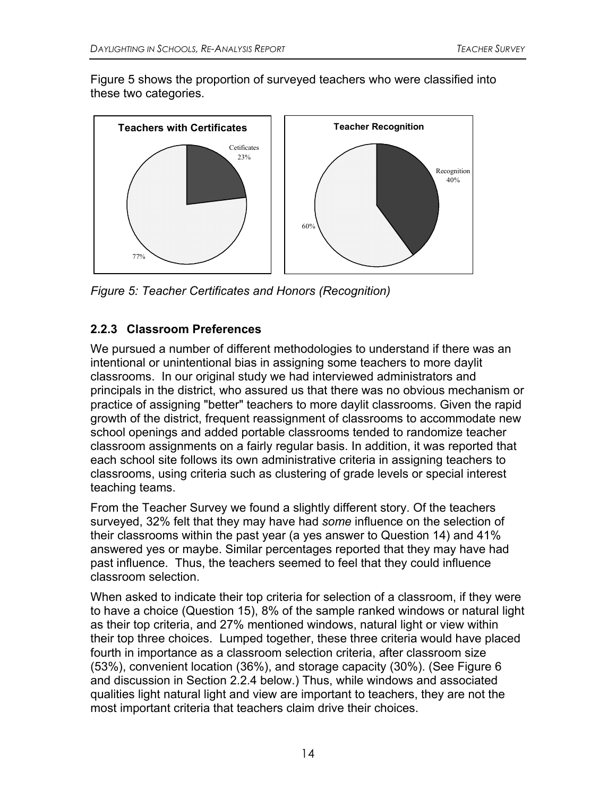Figure 5 shows the proportion of surveyed teachers who were classified into these two categories.



*Figure 5: Teacher Certificates and Honors (Recognition)* 

## **2.2.3 Classroom Preferences**

We pursued a number of different methodologies to understand if there was an intentional or unintentional bias in assigning some teachers to more daylit classrooms. In our original study we had interviewed administrators and principals in the district, who assured us that there was no obvious mechanism or practice of assigning "better" teachers to more daylit classrooms. Given the rapid growth of the district, frequent reassignment of classrooms to accommodate new school openings and added portable classrooms tended to randomize teacher classroom assignments on a fairly regular basis. In addition, it was reported that each school site follows its own administrative criteria in assigning teachers to classrooms, using criteria such as clustering of grade levels or special interest teaching teams.

From the Teacher Survey we found a slightly different story. Of the teachers surveyed, 32% felt that they may have had *some* influence on the selection of their classrooms within the past year (a yes answer to Question 14) and 41% answered yes or maybe. Similar percentages reported that they may have had past influence. Thus, the teachers seemed to feel that they could influence classroom selection.

When asked to indicate their top criteria for selection of a classroom, if they were to have a choice (Question 15), 8% of the sample ranked windows or natural light as their top criteria, and 27% mentioned windows, natural light or view within their top three choices. Lumped together, these three criteria would have placed fourth in importance as a classroom selection criteria, after classroom size (53%), convenient location (36%), and storage capacity (30%). (See Figure 6 and discussion in Section 2.2.4 below.) Thus, while windows and associated qualities light natural light and view are important to teachers, they are not the most important criteria that teachers claim drive their choices.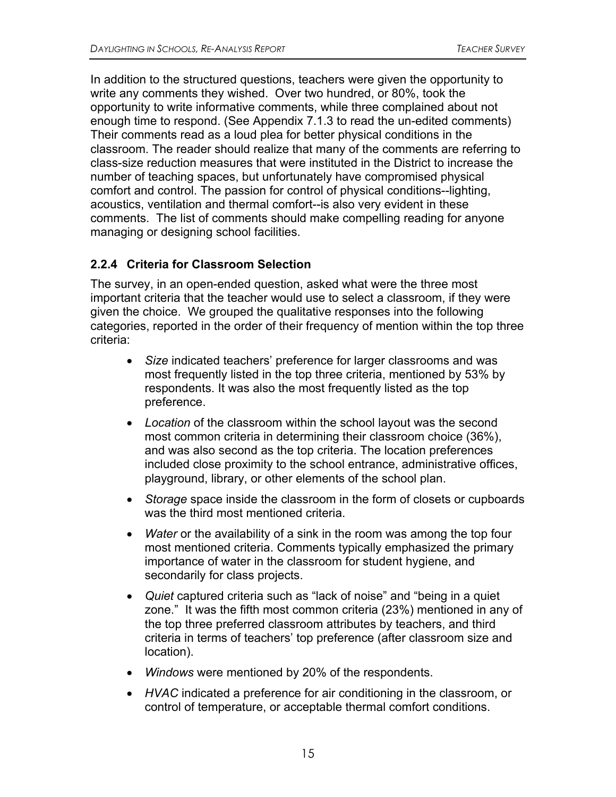In addition to the structured questions, teachers were given the opportunity to write any comments they wished. Over two hundred, or 80%, took the opportunity to write informative comments, while three complained about not enough time to respond. (See Appendix 7.1.3 to read the un-edited comments) Their comments read as a loud plea for better physical conditions in the classroom. The reader should realize that many of the comments are referring to class-size reduction measures that were instituted in the District to increase the number of teaching spaces, but unfortunately have compromised physical comfort and control. The passion for control of physical conditions--lighting, acoustics, ventilation and thermal comfort--is also very evident in these comments. The list of comments should make compelling reading for anyone managing or designing school facilities.

## **2.2.4 Criteria for Classroom Selection**

The survey, in an open-ended question, asked what were the three most important criteria that the teacher would use to select a classroom, if they were given the choice. We grouped the qualitative responses into the following categories, reported in the order of their frequency of mention within the top three criteria:

- *Size* indicated teachers' preference for larger classrooms and was most frequently listed in the top three criteria, mentioned by 53% by respondents. It was also the most frequently listed as the top preference.
- *Location* of the classroom within the school layout was the second most common criteria in determining their classroom choice (36%), and was also second as the top criteria. The location preferences included close proximity to the school entrance, administrative offices, playground, library, or other elements of the school plan.
- *Storage* space inside the classroom in the form of closets or cupboards was the third most mentioned criteria.
- *Water* or the availability of a sink in the room was among the top four most mentioned criteria. Comments typically emphasized the primary importance of water in the classroom for student hygiene, and secondarily for class projects.
- *Quiet* captured criteria such as "lack of noise" and "being in a quiet zone." It was the fifth most common criteria (23%) mentioned in any of the top three preferred classroom attributes by teachers, and third criteria in terms of teachers' top preference (after classroom size and location).
- *Windows* were mentioned by 20% of the respondents.
- *HVAC* indicated a preference for air conditioning in the classroom, or control of temperature, or acceptable thermal comfort conditions.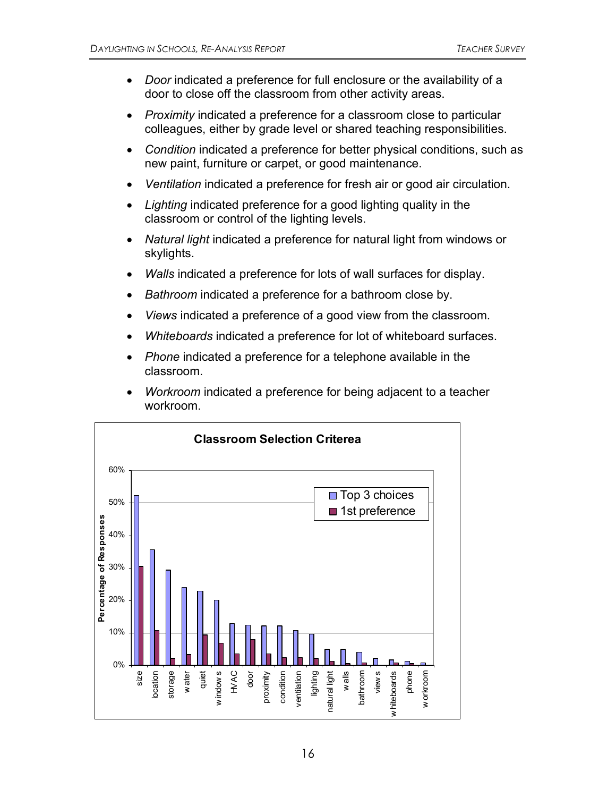- *Door* indicated a preference for full enclosure or the availability of a door to close off the classroom from other activity areas.
- *Proximity* indicated a preference for a classroom close to particular colleagues, either by grade level or shared teaching responsibilities.
- *Condition* indicated a preference for better physical conditions, such as new paint, furniture or carpet, or good maintenance.
- *Ventilation* indicated a preference for fresh air or good air circulation.
- *Lighting* indicated preference for a good lighting quality in the classroom or control of the lighting levels.
- *Natural light* indicated a preference for natural light from windows or skylights.
- *Walls* indicated a preference for lots of wall surfaces for display.
- *Bathroom* indicated a preference for a bathroom close by.
- *Views* indicated a preference of a good view from the classroom.
- *Whiteboards* indicated a preference for lot of whiteboard surfaces.
- *Phone* indicated a preference for a telephone available in the classroom.
- *Workroom* indicated a preference for being adjacent to a teacher workroom.

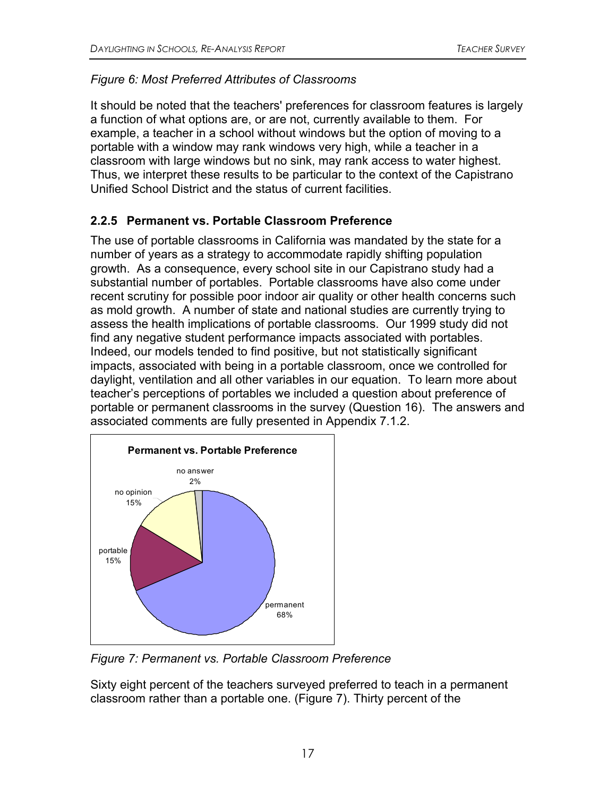## *Figure 6: Most Preferred Attributes of Classrooms*

It should be noted that the teachers' preferences for classroom features is largely a function of what options are, or are not, currently available to them. For example, a teacher in a school without windows but the option of moving to a portable with a window may rank windows very high, while a teacher in a classroom with large windows but no sink, may rank access to water highest. Thus, we interpret these results to be particular to the context of the Capistrano Unified School District and the status of current facilities.

## **2.2.5 Permanent vs. Portable Classroom Preference**

The use of portable classrooms in California was mandated by the state for a number of years as a strategy to accommodate rapidly shifting population growth. As a consequence, every school site in our Capistrano study had a substantial number of portables. Portable classrooms have also come under recent scrutiny for possible poor indoor air quality or other health concerns such as mold growth. A number of state and national studies are currently trying to assess the health implications of portable classrooms. Our 1999 study did not find any negative student performance impacts associated with portables. Indeed, our models tended to find positive, but not statistically significant impacts, associated with being in a portable classroom, once we controlled for daylight, ventilation and all other variables in our equation. To learn more about teacher's perceptions of portables we included a question about preference of portable or permanent classrooms in the survey (Question 16). The answers and associated comments are fully presented in Appendix 7.1.2.



*Figure 7: Permanent vs. Portable Classroom Preference* 

Sixty eight percent of the teachers surveyed preferred to teach in a permanent classroom rather than a portable one. (Figure 7). Thirty percent of the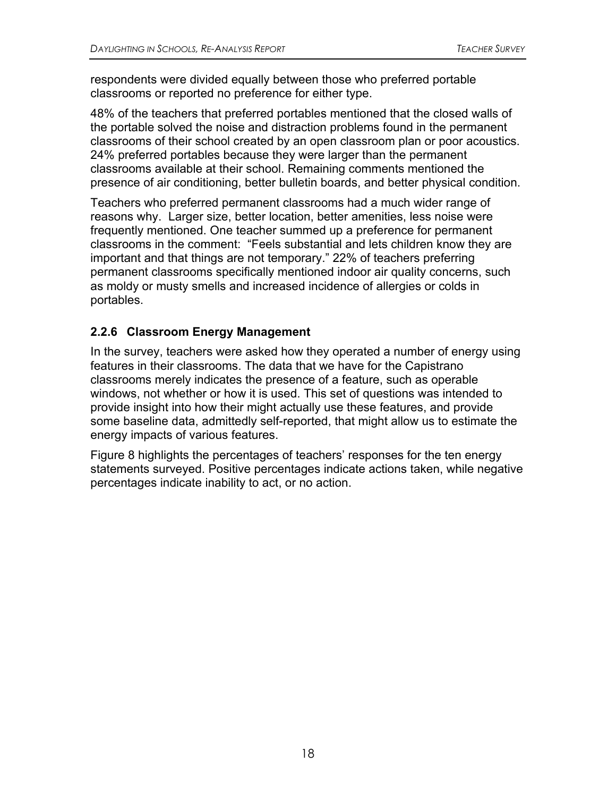respondents were divided equally between those who preferred portable classrooms or reported no preference for either type.

48% of the teachers that preferred portables mentioned that the closed walls of the portable solved the noise and distraction problems found in the permanent classrooms of their school created by an open classroom plan or poor acoustics. 24% preferred portables because they were larger than the permanent classrooms available at their school. Remaining comments mentioned the presence of air conditioning, better bulletin boards, and better physical condition.

Teachers who preferred permanent classrooms had a much wider range of reasons why. Larger size, better location, better amenities, less noise were frequently mentioned. One teacher summed up a preference for permanent classrooms in the comment: "Feels substantial and lets children know they are important and that things are not temporary." 22% of teachers preferring permanent classrooms specifically mentioned indoor air quality concerns, such as moldy or musty smells and increased incidence of allergies or colds in portables.

## **2.2.6 Classroom Energy Management**

In the survey, teachers were asked how they operated a number of energy using features in their classrooms. The data that we have for the Capistrano classrooms merely indicates the presence of a feature, such as operable windows, not whether or how it is used. This set of questions was intended to provide insight into how their might actually use these features, and provide some baseline data, admittedly self-reported, that might allow us to estimate the energy impacts of various features.

Figure 8 highlights the percentages of teachers' responses for the ten energy statements surveyed. Positive percentages indicate actions taken, while negative percentages indicate inability to act, or no action.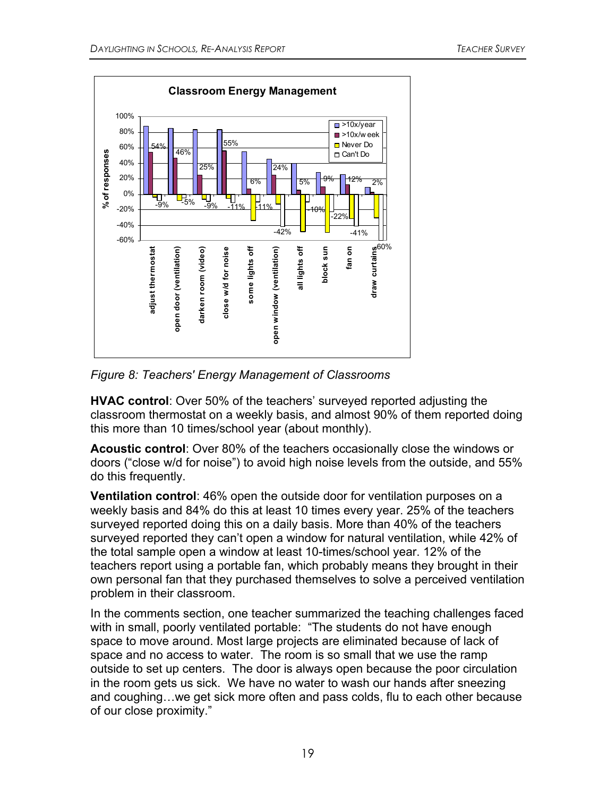

*Figure 8: Teachers' Energy Management of Classrooms* 

**HVAC control**: Over 50% of the teachers' surveyed reported adjusting the classroom thermostat on a weekly basis, and almost 90% of them reported doing this more than 10 times/school year (about monthly).

**Acoustic control**: Over 80% of the teachers occasionally close the windows or doors ("close w/d for noise") to avoid high noise levels from the outside, and 55% do this frequently.

**Ventilation control**: 46% open the outside door for ventilation purposes on a weekly basis and 84% do this at least 10 times every year. 25% of the teachers surveyed reported doing this on a daily basis. More than 40% of the teachers surveyed reported they can't open a window for natural ventilation, while 42% of the total sample open a window at least 10-times/school year. 12% of the teachers report using a portable fan, which probably means they brought in their own personal fan that they purchased themselves to solve a perceived ventilation problem in their classroom.

In the comments section, one teacher summarized the teaching challenges faced with in small, poorly ventilated portable: "The students do not have enough space to move around. Most large projects are eliminated because of lack of space and no access to water. The room is so small that we use the ramp outside to set up centers. The door is always open because the poor circulation in the room gets us sick. We have no water to wash our hands after sneezing and coughing…we get sick more often and pass colds, flu to each other because of our close proximity."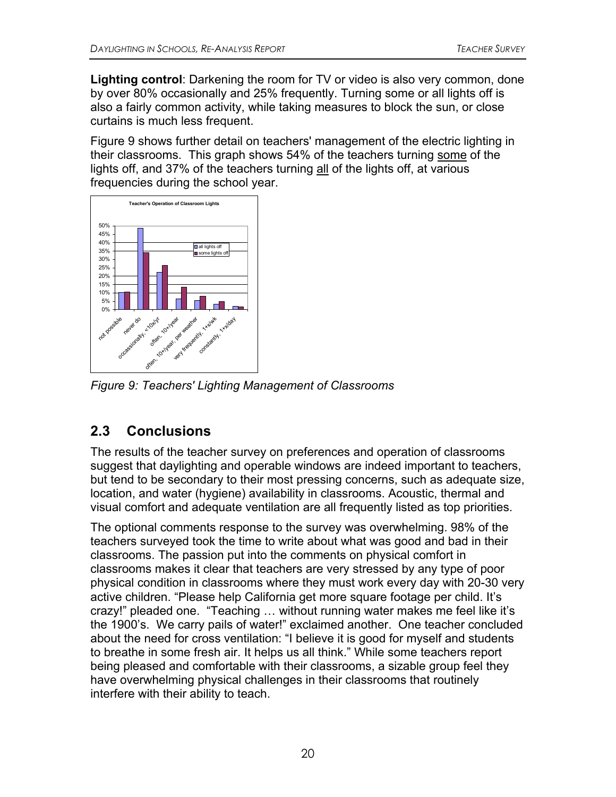**Lighting control**: Darkening the room for TV or video is also very common, done by over 80% occasionally and 25% frequently. Turning some or all lights off is also a fairly common activity, while taking measures to block the sun, or close curtains is much less frequent.

Figure 9 shows further detail on teachers' management of the electric lighting in their classrooms. This graph shows 54% of the teachers turning some of the lights off, and 37% of the teachers turning all of the lights off, at various frequencies during the school year.



*Figure 9: Teachers' Lighting Management of Classrooms* 

# **2.3 Conclusions**

The results of the teacher survey on preferences and operation of classrooms suggest that daylighting and operable windows are indeed important to teachers, but tend to be secondary to their most pressing concerns, such as adequate size, location, and water (hygiene) availability in classrooms. Acoustic, thermal and visual comfort and adequate ventilation are all frequently listed as top priorities.

The optional comments response to the survey was overwhelming. 98% of the teachers surveyed took the time to write about what was good and bad in their classrooms. The passion put into the comments on physical comfort in classrooms makes it clear that teachers are very stressed by any type of poor physical condition in classrooms where they must work every day with 20-30 very active children. "Please help California get more square footage per child. It's crazy!" pleaded one. "Teaching … without running water makes me feel like it's the 1900's. We carry pails of water!" exclaimed another. One teacher concluded about the need for cross ventilation: "I believe it is good for myself and students to breathe in some fresh air. It helps us all think." While some teachers report being pleased and comfortable with their classrooms, a sizable group feel they have overwhelming physical challenges in their classrooms that routinely interfere with their ability to teach.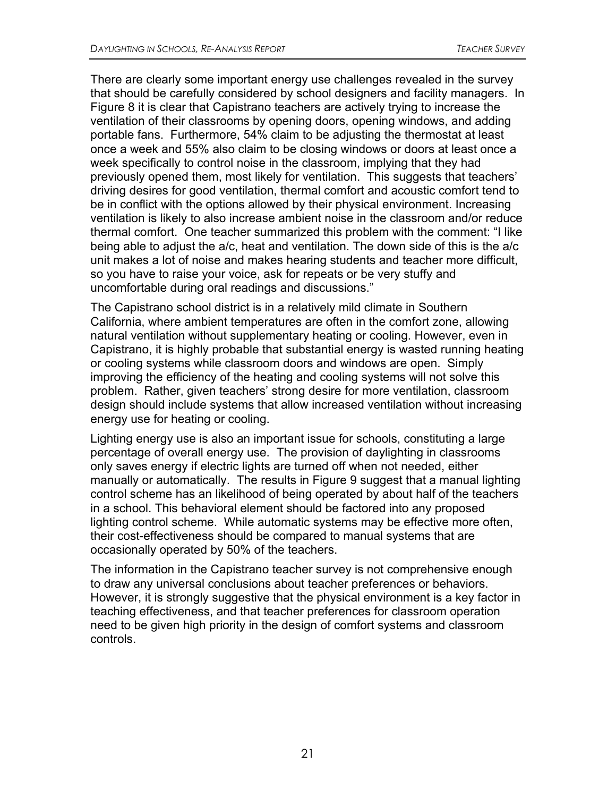There are clearly some important energy use challenges revealed in the survey that should be carefully considered by school designers and facility managers. In Figure 8 it is clear that Capistrano teachers are actively trying to increase the ventilation of their classrooms by opening doors, opening windows, and adding portable fans. Furthermore, 54% claim to be adjusting the thermostat at least once a week and 55% also claim to be closing windows or doors at least once a week specifically to control noise in the classroom, implying that they had previously opened them, most likely for ventilation. This suggests that teachers' driving desires for good ventilation, thermal comfort and acoustic comfort tend to be in conflict with the options allowed by their physical environment. Increasing ventilation is likely to also increase ambient noise in the classroom and/or reduce thermal comfort. One teacher summarized this problem with the comment: "I like being able to adjust the a/c, heat and ventilation. The down side of this is the a/c unit makes a lot of noise and makes hearing students and teacher more difficult, so you have to raise your voice, ask for repeats or be very stuffy and uncomfortable during oral readings and discussions."

The Capistrano school district is in a relatively mild climate in Southern California, where ambient temperatures are often in the comfort zone, allowing natural ventilation without supplementary heating or cooling. However, even in Capistrano, it is highly probable that substantial energy is wasted running heating or cooling systems while classroom doors and windows are open. Simply improving the efficiency of the heating and cooling systems will not solve this problem. Rather, given teachers' strong desire for more ventilation, classroom design should include systems that allow increased ventilation without increasing energy use for heating or cooling.

Lighting energy use is also an important issue for schools, constituting a large percentage of overall energy use. The provision of daylighting in classrooms only saves energy if electric lights are turned off when not needed, either manually or automatically. The results in Figure 9 suggest that a manual lighting control scheme has an likelihood of being operated by about half of the teachers in a school. This behavioral element should be factored into any proposed lighting control scheme. While automatic systems may be effective more often, their cost-effectiveness should be compared to manual systems that are occasionally operated by 50% of the teachers.

The information in the Capistrano teacher survey is not comprehensive enough to draw any universal conclusions about teacher preferences or behaviors. However, it is strongly suggestive that the physical environment is a key factor in teaching effectiveness, and that teacher preferences for classroom operation need to be given high priority in the design of comfort systems and classroom controls.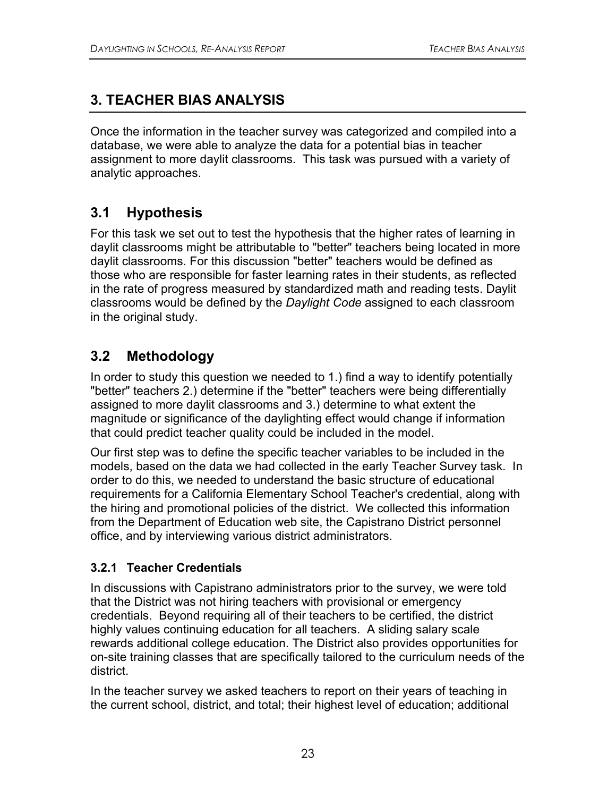## **3. TEACHER BIAS ANALYSIS**

Once the information in the teacher survey was categorized and compiled into a database, we were able to analyze the data for a potential bias in teacher assignment to more daylit classrooms. This task was pursued with a variety of analytic approaches.

## **3.1 Hypothesis**

For this task we set out to test the hypothesis that the higher rates of learning in daylit classrooms might be attributable to "better" teachers being located in more daylit classrooms. For this discussion "better" teachers would be defined as those who are responsible for faster learning rates in their students, as reflected in the rate of progress measured by standardized math and reading tests. Daylit classrooms would be defined by the *Daylight Code* assigned to each classroom in the original study.

## **3.2 Methodology**

In order to study this question we needed to 1.) find a way to identify potentially "better" teachers 2.) determine if the "better" teachers were being differentially assigned to more daylit classrooms and 3.) determine to what extent the magnitude or significance of the daylighting effect would change if information that could predict teacher quality could be included in the model.

Our first step was to define the specific teacher variables to be included in the models, based on the data we had collected in the early Teacher Survey task. In order to do this, we needed to understand the basic structure of educational requirements for a California Elementary School Teacher's credential, along with the hiring and promotional policies of the district. We collected this information from the Department of Education web site, the Capistrano District personnel office, and by interviewing various district administrators.

### **3.2.1 Teacher Credentials**

In discussions with Capistrano administrators prior to the survey, we were told that the District was not hiring teachers with provisional or emergency credentials. Beyond requiring all of their teachers to be certified, the district highly values continuing education for all teachers. A sliding salary scale rewards additional college education. The District also provides opportunities for on-site training classes that are specifically tailored to the curriculum needs of the district.

In the teacher survey we asked teachers to report on their years of teaching in the current school, district, and total; their highest level of education; additional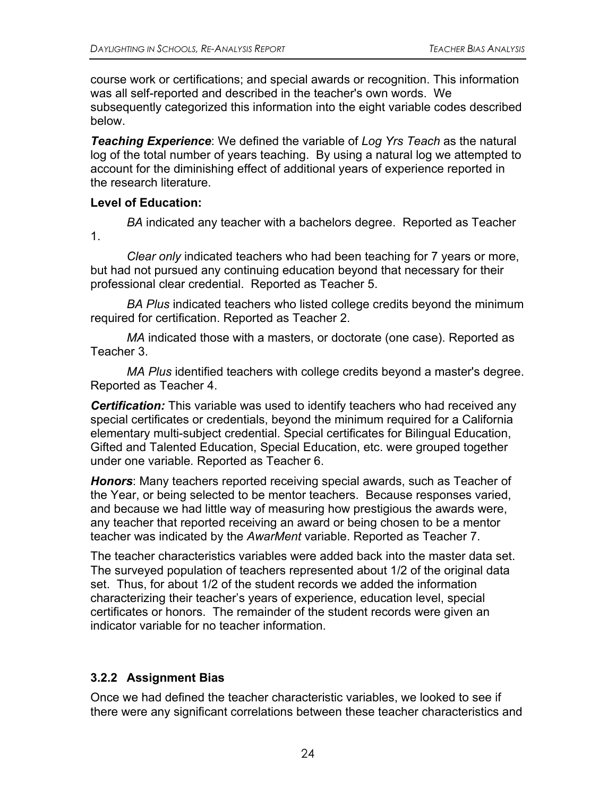course work or certifications; and special awards or recognition. This information was all self-reported and described in the teacher's own words. We subsequently categorized this information into the eight variable codes described below.

*Teaching Experience*: We defined the variable of *Log Yrs Teach* as the natural log of the total number of years teaching. By using a natural log we attempted to account for the diminishing effect of additional years of experience reported in the research literature.

#### **Level of Education:**

1.

*BA* indicated any teacher with a bachelors degree. Reported as Teacher

*Clear only* indicated teachers who had been teaching for 7 years or more, but had not pursued any continuing education beyond that necessary for their professional clear credential. Reported as Teacher 5.

*BA Plus* indicated teachers who listed college credits beyond the minimum required for certification. Reported as Teacher 2.

*MA* indicated those with a masters, or doctorate (one case). Reported as Teacher 3.

*MA Plus* identified teachers with college credits beyond a master's degree. Reported as Teacher 4.

*Certification:* This variable was used to identify teachers who had received any special certificates or credentials, beyond the minimum required for a California elementary multi-subject credential. Special certificates for Bilingual Education, Gifted and Talented Education, Special Education, etc. were grouped together under one variable*.* Reported as Teacher 6.

*Honors*: Many teachers reported receiving special awards, such as Teacher of the Year, or being selected to be mentor teachers. Because responses varied, and because we had little way of measuring how prestigious the awards were, any teacher that reported receiving an award or being chosen to be a mentor teacher was indicated by the *AwarMent* variable. Reported as Teacher 7.

The teacher characteristics variables were added back into the master data set. The surveyed population of teachers represented about 1/2 of the original data set. Thus, for about 1/2 of the student records we added the information characterizing their teacher's years of experience, education level, special certificates or honors. The remainder of the student records were given an indicator variable for no teacher information.

### **3.2.2 Assignment Bias**

Once we had defined the teacher characteristic variables, we looked to see if there were any significant correlations between these teacher characteristics and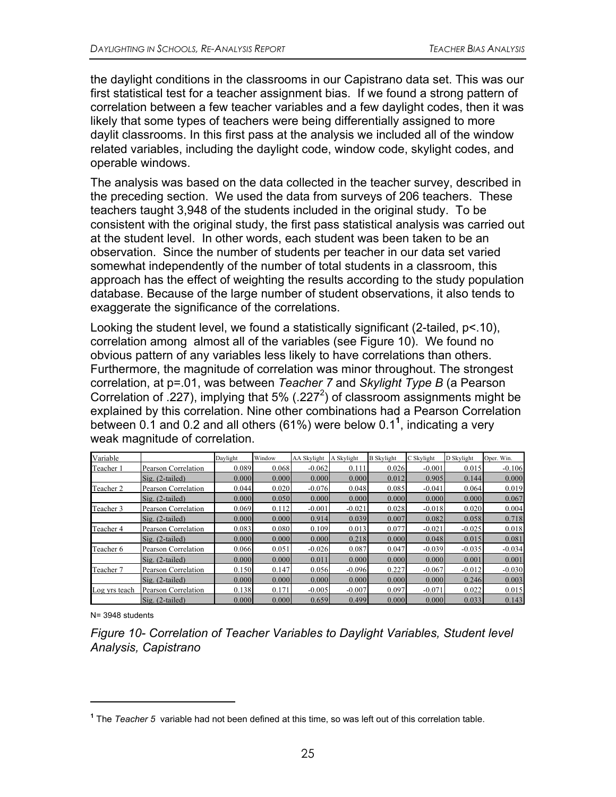the daylight conditions in the classrooms in our Capistrano data set. This was our first statistical test for a teacher assignment bias. If we found a strong pattern of correlation between a few teacher variables and a few daylight codes, then it was likely that some types of teachers were being differentially assigned to more daylit classrooms. In this first pass at the analysis we included all of the window related variables, including the daylight code, window code, skylight codes, and operable windows.

The analysis was based on the data collected in the teacher survey, described in the preceding section. We used the data from surveys of 206 teachers. These teachers taught 3,948 of the students included in the original study. To be consistent with the original study, the first pass statistical analysis was carried out at the student level. In other words, each student was been taken to be an observation. Since the number of students per teacher in our data set varied somewhat independently of the number of total students in a classroom, this approach has the effect of weighting the results according to the study population database. Because of the large number of student observations, it also tends to exaggerate the significance of the correlations.

Looking the student level, we found a statistically significant (2-tailed, p<.10), correlation among almost all of the variables (see Figure 10). We found no obvious pattern of any variables less likely to have correlations than others. Furthermore, the magnitude of correlation was minor throughout. The strongest correlation, at p=.01, was between *Teacher 7* and *Skylight Type B* (a Pearson Correlation of .227), implying that 5% (.227<sup>2</sup>) of classroom assignments might be explained by this correlation. Nine other combinations had a Pearson Correlation between 0.1 and 0.2 and all others (61%) were below 0.1**<sup>1</sup>** , indicating a very weak magnitude of correlation.

| Variable      |                           | Davlight | Window | <b>AA Skylight</b> | A Skylight | <b>B</b> Skylight | C Skylight | D Skylight | Oper. Win. |
|---------------|---------------------------|----------|--------|--------------------|------------|-------------------|------------|------------|------------|
| Teacher 1     | Pearson Correlation       | 0.089    | 0.068  | $-0.062$           | 0.111      | 0.026             | $-0.001$   | 0.015      | $-0.106$   |
|               | $\text{Si}$ g. (2-tailed) | 0.000    | 0.000  | 0.000              | 0.000      | 0.012             | 0.905      | 0.144      | 0.000      |
| Teacher 2     | Pearson Correlation       | 0.044    | 0.020  | $-0.076$           | 0.048      | 0.085             | $-0.041$   | 0.064      | 0.019      |
|               | $\text{Si}$ g. (2-tailed) | 0.000    | 0.050  | 0.000              | 0.000      | 0.000             | 0.000      | 0.000      | 0.067      |
| Teacher 3     | Pearson Correlation       | 0.069    | 0.112  | $-0.001$           | $-0.021$   | 0.028             | $-0.018$   | 0.020      | 0.004      |
|               | $\text{Si}$ g. (2-tailed) | 0.000    | 0.000  | 0.914              | 0.039      | 0.007             | 0.082      | 0.058      | 0.718      |
| Teacher 4     | Pearson Correlation       | 0.083    | 0.080  | 0.109              | 0.013      | 0.077             | $-0.021$   | $-0.025$   | 0.018      |
|               | $\text{Si}$ g. (2-tailed) | 0.000    | 0.000  | 0.000              | 0.218      | 0.000             | 0.048      | 0.015      | 0.081      |
| Teacher 6     | Pearson Correlation       | 0.066    | 0.051  | $-0.026$           | 0.087      | 0.047             | $-0.039$   | $-0.035$   | $-0.034$   |
|               | $\text{Si}$ g. (2-tailed) | 0.000    | 0.000  | 0.011              | 0.000      | 0.000             | 0.000      | 0.001      | 0.001      |
| Teacher 7     | Pearson Correlation       | 0.150    | 0.147  | 0.056              | $-0.096$   | 0.227             | $-0.067$   | $-0.012$   | $-0.030$   |
|               | $\text{Si}$ g. (2-tailed) | 0.000    | 0.000  | 0.000              | 0.000      | 0.000             | 0.000      | 0.246      | 0.003      |
| Log yrs teach | Pearson Correlation       | 0.138    | 0.171  | $-0.005$           | $-0.007$   | 0.097             | $-0.071$   | 0.022      | 0.015      |
|               | $\text{Sig.}$ (2-tailed)  | 0.000    | 0.000  | 0.659              | 0.499      | 0.000             | 0.000      | 0.033      | 0.143      |

N= 3948 students

 $\overline{a}$ 

*Figure 10- Correlation of Teacher Variables to Daylight Variables, Student level Analysis, Capistrano* 

**<sup>1</sup>** The *Teacher 5* variable had not been defined at this time, so was left out of this correlation table.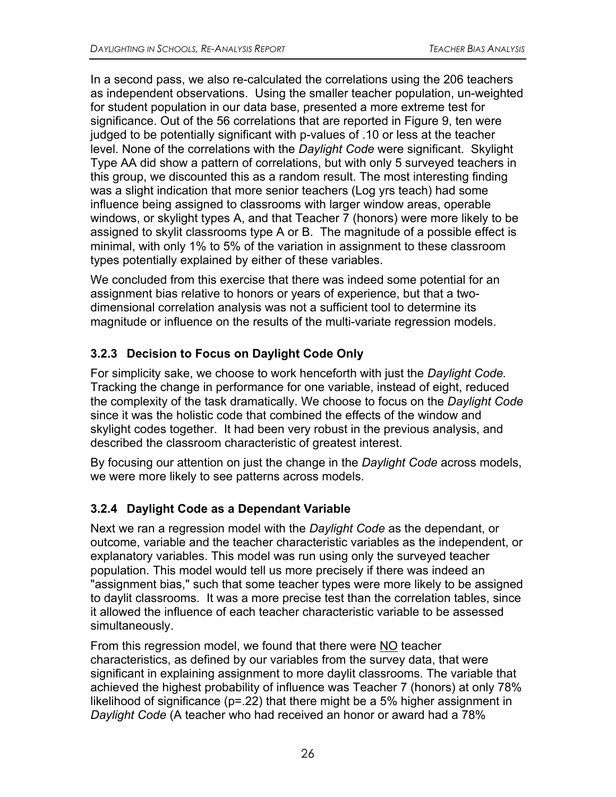In a second pass, we also re-calculated the correlations using the 206 teachers as independent observations. Using the smaller teacher population, un-weighted for student population in our data base, presented a more extreme test for significance. Out of the 56 correlations that are reported in Figure 9, ten were judged to be potentially significant with p-values of .10 or less at the teacher level. None of the correlations with the *Daylight Code* were significant. Skylight Type AA did show a pattern of correlations, but with only 5 surveyed teachers in this group, we discounted this as a random result. The most interesting finding was a slight indication that more senior teachers (Log yrs teach) had some influence being assigned to classrooms with larger window areas, operable windows, or skylight types A, and that Teacher 7 (honors) were more likely to be assigned to skylit classrooms type A or B. The magnitude of a possible effect is minimal, with only 1% to 5% of the variation in assignment to these classroom types potentially explained by either of these variables.

We concluded from this exercise that there was indeed some potential for an assignment bias relative to honors or years of experience, but that a twodimensional correlation analysis was not a sufficient tool to determine its magnitude or influence on the results of the multi-variate regression models.

### **3.2.3 Decision to Focus on Daylight Code Only**

For simplicity sake, we choose to work henceforth with just the *Daylight Code.* Tracking the change in performance for one variable, instead of eight, reduced the complexity of the task dramatically. We choose to focus on the *Daylight Code* since it was the holistic code that combined the effects of the window and skylight codes together. It had been very robust in the previous analysis, and described the classroom characteristic of greatest interest.

By focusing our attention on just the change in the *Daylight Code* across models, we were more likely to see patterns across models.

### **3.2.4 Daylight Code as a Dependant Variable**

Next we ran a regression model with the *Daylight Code* as the dependant, or outcome, variable and the teacher characteristic variables as the independent, or explanatory variables. This model was run using only the surveyed teacher population. This model would tell us more precisely if there was indeed an "assignment bias," such that some teacher types were more likely to be assigned to daylit classrooms. It was a more precise test than the correlation tables, since it allowed the influence of each teacher characteristic variable to be assessed simultaneously.

From this regression model, we found that there were NO teacher characteristics, as defined by our variables from the survey data, that were significant in explaining assignment to more daylit classrooms. The variable that achieved the highest probability of influence was Teacher 7 (honors) at only 78% likelihood of significance (p=.22) that there might be a 5% higher assignment in *Daylight Code* (A teacher who had received an honor or award had a 78%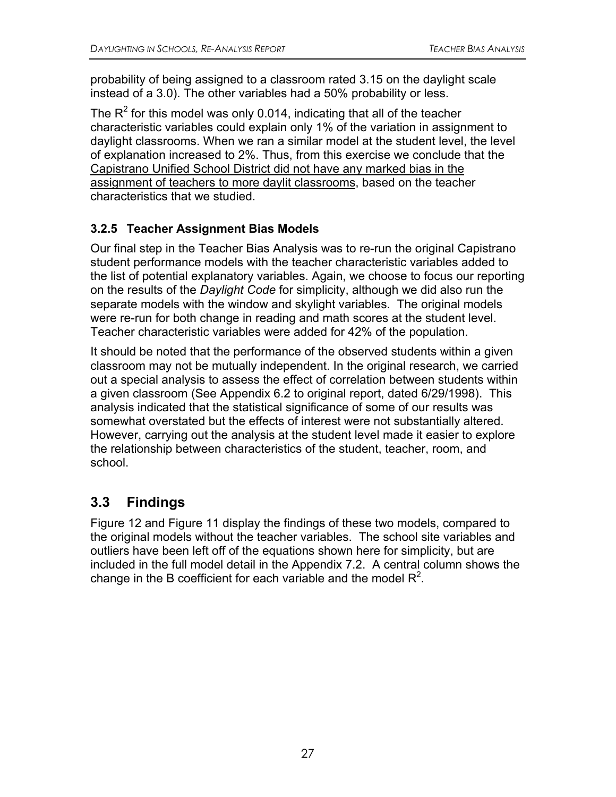probability of being assigned to a classroom rated 3.15 on the daylight scale instead of a 3.0). The other variables had a 50% probability or less.

The  $R^2$  for this model was only 0.014, indicating that all of the teacher characteristic variables could explain only 1% of the variation in assignment to daylight classrooms. When we ran a similar model at the student level, the level of explanation increased to 2%. Thus, from this exercise we conclude that the Capistrano Unified School District did not have any marked bias in the assignment of teachers to more daylit classrooms, based on the teacher characteristics that we studied.

### **3.2.5 Teacher Assignment Bias Models**

Our final step in the Teacher Bias Analysis was to re-run the original Capistrano student performance models with the teacher characteristic variables added to the list of potential explanatory variables. Again, we choose to focus our reporting on the results of the *Daylight Code* for simplicity, although we did also run the separate models with the window and skylight variables. The original models were re-run for both change in reading and math scores at the student level. Teacher characteristic variables were added for 42% of the population.

It should be noted that the performance of the observed students within a given classroom may not be mutually independent. In the original research, we carried out a special analysis to assess the effect of correlation between students within a given classroom (See Appendix 6.2 to original report, dated 6/29/1998). This analysis indicated that the statistical significance of some of our results was somewhat overstated but the effects of interest were not substantially altered. However, carrying out the analysis at the student level made it easier to explore the relationship between characteristics of the student, teacher, room, and school.

## **3.3 Findings**

Figure 12 and Figure 11 display the findings of these two models, compared to the original models without the teacher variables. The school site variables and outliers have been left off of the equations shown here for simplicity, but are included in the full model detail in the Appendix 7.2. A central column shows the change in the B coefficient for each variable and the model  $R^2$ .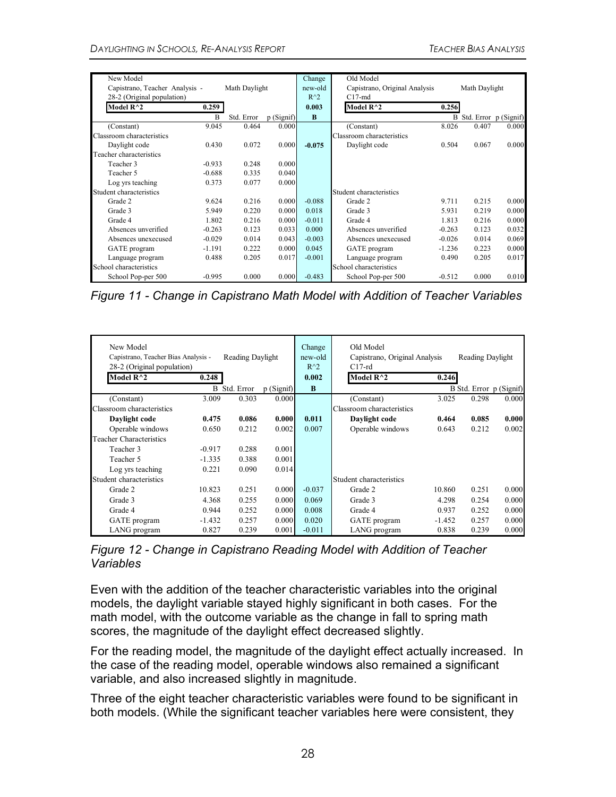| New Model                      |          |               |           | Change   | Old Model                     |          |                         |       |
|--------------------------------|----------|---------------|-----------|----------|-------------------------------|----------|-------------------------|-------|
| Capistrano, Teacher Analysis - |          | Math Daylight |           | new-old  | Capistrano, Original Analysis |          | Math Daylight           |       |
| 28-2 (Original population)     |          |               |           | $R^2$    | $C17-md$                      |          |                         |       |
| Model $R^{\wedge}2$            | 0.259    |               |           | 0.003    | Model R <sup>^2</sup>         | 0.256    |                         |       |
|                                | B        | Std. Error    | p(Signif) | $\bf{B}$ |                               |          | B Std. Error p (Signif) |       |
| (Constant)                     | 9.045    | 0.464         | 0.000     |          | (Constant)                    | 8.026    | 0.407                   | 0.000 |
| Classroom characteristics      |          |               |           |          | Classroom characteristics     |          |                         |       |
| Daylight code                  | 0.430    | 0.072         | 0.000     | $-0.075$ | Daylight code                 | 0.504    | 0.067                   | 0.000 |
| Teacher characteristics        |          |               |           |          |                               |          |                         |       |
| Teacher 3                      | $-0.933$ | 0.248         | 0.000     |          |                               |          |                         |       |
| Teacher 5                      | $-0.688$ | 0.335         | 0.040     |          |                               |          |                         |       |
| Log yrs teaching               | 0.373    | 0.077         | 0.000     |          |                               |          |                         |       |
| Student characteristics        |          |               |           |          | Student characteristics       |          |                         |       |
| Grade 2                        | 9.624    | 0.216         | 0.000     | $-0.088$ | Grade 2                       | 9.711    | 0.215                   | 0.000 |
| Grade 3                        | 5.949    | 0.220         | 0.000     | 0.018    | Grade 3                       | 5.931    | 0.219                   | 0.000 |
| Grade 4                        | 1.802    | 0.216         | 0.000     | $-0.011$ | Grade 4                       | 1.813    | 0.216                   | 0.000 |
| Absences unverified            | $-0.263$ | 0.123         | 0.033     | 0.000    | Absences unverified           | $-0.263$ | 0.123                   | 0.032 |
| Absences unexecused            | $-0.029$ | 0.014         | 0.043     | $-0.003$ | Absences unexecused           | $-0.026$ | 0.014                   | 0.069 |
| GATE program                   | $-1.191$ | 0.222         | 0.000     | 0.045    | GATE program                  | $-1.236$ | 0.223                   | 0.000 |
| Language program               | 0.488    | 0.205         | 0.017     | $-0.001$ | Language program              | 0.490    | 0.205                   | 0.017 |
| School characteristics         |          |               |           |          | School characteristics        |          |                         |       |
| School Pop-per 500             | $-0.995$ | 0.000         | 0.000     | $-0.483$ | School Pop-per 500            | $-0.512$ | 0.000                   | 0.010 |

*Figure 11 - Change in Capistrano Math Model with Addition of Teacher Variables* 

| New Model<br>Capistrano, Teacher Bias Analysis -<br>28-2 (Original population)<br>Model $R^2$ | 0.248    | Reading Daylight |           | Change<br>new-old<br>$R^2$<br>0.002 | Old Model<br>Capistrano, Original Analysis<br>$C17-rd$<br>Model $R^2$ | 0.246    | Reading Daylight        |       |
|-----------------------------------------------------------------------------------------------|----------|------------------|-----------|-------------------------------------|-----------------------------------------------------------------------|----------|-------------------------|-------|
|                                                                                               |          |                  |           |                                     |                                                                       |          |                         |       |
|                                                                                               |          | B Std. Error     | p(Signif) | B                                   |                                                                       |          | B Std. Error p (Signif) |       |
| (Constant)                                                                                    | 3.009    | 0.303            | 0.000     |                                     | (Constant)                                                            | 3.025    | 0.298                   | 0.000 |
| Classroom characteristics                                                                     |          |                  |           |                                     | Classroom characteristics                                             |          |                         |       |
| Daylight code                                                                                 | 0.475    | 0.086            | 0.000     | 0.011                               | Daylight code                                                         | 0.464    | 0.085                   | 0.000 |
| Operable windows                                                                              | 0.650    | 0.212            | 0.002     | 0.007                               | Operable windows                                                      | 0.643    | 0.212                   | 0.002 |
| <b>Teacher Characteristics</b>                                                                |          |                  |           |                                     |                                                                       |          |                         |       |
| Teacher 3                                                                                     | $-0.917$ | 0.288            | 0.001     |                                     |                                                                       |          |                         |       |
| Teacher 5                                                                                     | $-1.335$ | 0.388            | 0.001     |                                     |                                                                       |          |                         |       |
| Log yrs teaching                                                                              | 0.221    | 0.090            | 0.014     |                                     |                                                                       |          |                         |       |
| Student characteristics                                                                       |          |                  |           |                                     | Student characteristics                                               |          |                         |       |
| Grade 2                                                                                       | 10.823   | 0.251            | 0.000     | $-0.037$                            | Grade 2                                                               | 10.860   | 0.251                   | 0.000 |
| Grade 3                                                                                       | 4.368    | 0.255            | 0.000     | 0.069                               | Grade 3                                                               | 4.298    | 0.254                   | 0.000 |
| Grade 4                                                                                       | 0.944    | 0.252            | 0.000     | 0.008                               | Grade 4                                                               | 0.937    | 0.252                   | 0.000 |
| GATE program                                                                                  | $-1.432$ | 0.257            | 0.000     | 0.020                               | GATE program                                                          | $-1.452$ | 0.257                   | 0.000 |
| LANG program                                                                                  | 0.827    | 0.239            | 0.001     | $-0.011$                            | LANG program                                                          | 0.838    | 0.239                   | 0.000 |

*Figure 12 - Change in Capistrano Reading Model with Addition of Teacher Variables* 

Even with the addition of the teacher characteristic variables into the original models, the daylight variable stayed highly significant in both cases. For the math model, with the outcome variable as the change in fall to spring math scores, the magnitude of the daylight effect decreased slightly.

For the reading model, the magnitude of the daylight effect actually increased. In the case of the reading model, operable windows also remained a significant variable, and also increased slightly in magnitude.

Three of the eight teacher characteristic variables were found to be significant in both models. (While the significant teacher variables here were consistent, they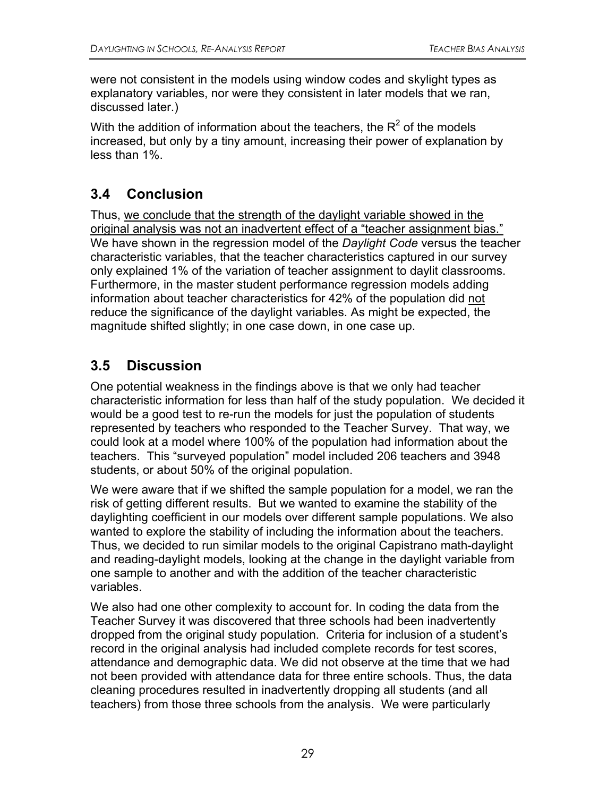were not consistent in the models using window codes and skylight types as explanatory variables, nor were they consistent in later models that we ran, discussed later.)

With the addition of information about the teachers, the  $R^2$  of the models increased, but only by a tiny amount, increasing their power of explanation by less than 1%.

## **3.4 Conclusion**

Thus, we conclude that the strength of the daylight variable showed in the original analysis was not an inadvertent effect of a "teacher assignment bias." We have shown in the regression model of the *Daylight Code* versus the teacher characteristic variables, that the teacher characteristics captured in our survey only explained 1% of the variation of teacher assignment to daylit classrooms. Furthermore, in the master student performance regression models adding information about teacher characteristics for 42% of the population did not reduce the significance of the daylight variables. As might be expected, the magnitude shifted slightly; in one case down, in one case up.

## **3.5 Discussion**

One potential weakness in the findings above is that we only had teacher characteristic information for less than half of the study population. We decided it would be a good test to re-run the models for just the population of students represented by teachers who responded to the Teacher Survey. That way, we could look at a model where 100% of the population had information about the teachers. This "surveyed population" model included 206 teachers and 3948 students, or about 50% of the original population.

We were aware that if we shifted the sample population for a model, we ran the risk of getting different results. But we wanted to examine the stability of the daylighting coefficient in our models over different sample populations. We also wanted to explore the stability of including the information about the teachers. Thus, we decided to run similar models to the original Capistrano math-daylight and reading-daylight models, looking at the change in the daylight variable from one sample to another and with the addition of the teacher characteristic variables.

We also had one other complexity to account for. In coding the data from the Teacher Survey it was discovered that three schools had been inadvertently dropped from the original study population. Criteria for inclusion of a student's record in the original analysis had included complete records for test scores, attendance and demographic data. We did not observe at the time that we had not been provided with attendance data for three entire schools. Thus, the data cleaning procedures resulted in inadvertently dropping all students (and all teachers) from those three schools from the analysis. We were particularly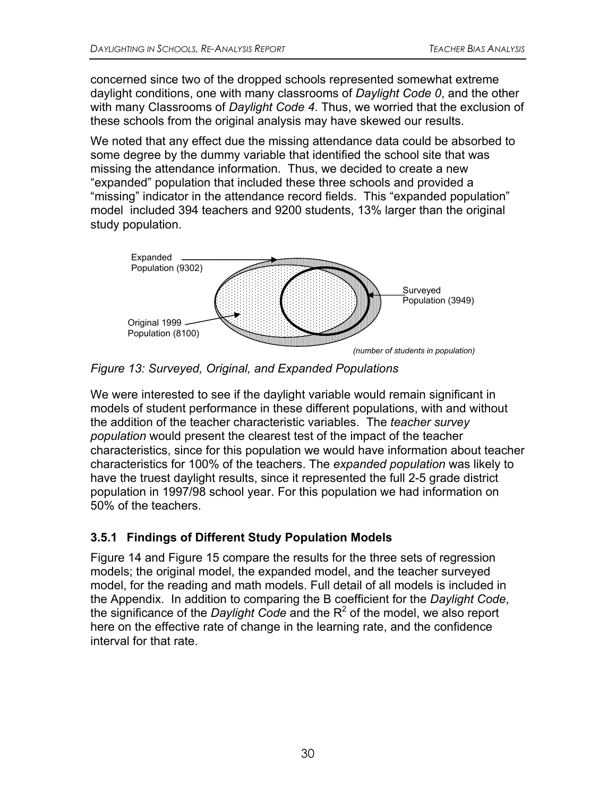concerned since two of the dropped schools represented somewhat extreme daylight conditions, one with many classrooms of *Daylight Code 0*, and the other with many Classrooms of *Daylight Code 4*. Thus, we worried that the exclusion of these schools from the original analysis may have skewed our results.

We noted that any effect due the missing attendance data could be absorbed to some degree by the dummy variable that identified the school site that was missing the attendance information. Thus, we decided to create a new "expanded" population that included these three schools and provided a "missing" indicator in the attendance record fields. This "expanded population" model included 394 teachers and 9200 students, 13% larger than the original study population.



*Figure 13: Surveyed, Original, and Expanded Populations* 

We were interested to see if the daylight variable would remain significant in models of student performance in these different populations, with and without the addition of the teacher characteristic variables. The *teacher survey population* would present the clearest test of the impact of the teacher characteristics, since for this population we would have information about teacher characteristics for 100% of the teachers. The *expanded population* was likely to have the truest daylight results, since it represented the full 2-5 grade district population in 1997/98 school year. For this population we had information on 50% of the teachers.

### **3.5.1 Findings of Different Study Population Models**

Figure 14 and Figure 15 compare the results for the three sets of regression models; the original model, the expanded model, and the teacher surveyed model, for the reading and math models. Full detail of all models is included in the Appendix. In addition to comparing the B coefficient for the *Daylight Code*, the significance of the *Daylight Code* and the  $R^2$  of the model, we also report here on the effective rate of change in the learning rate, and the confidence interval for that rate.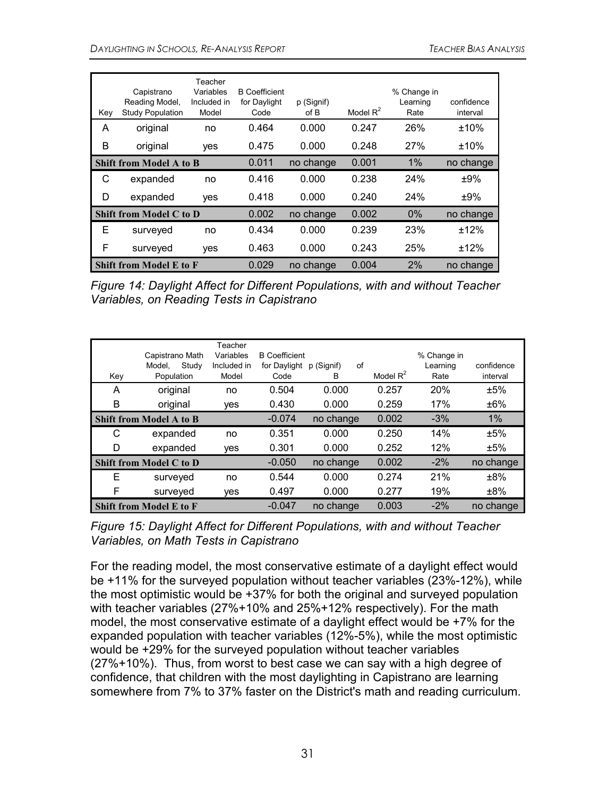| Key | Capistrano<br>Reading Model,<br><b>Study Population</b> | Teacher<br>Variables<br>Included in<br>Model | <b>B</b> Coefficient<br>for Daylight<br>Code | p (Signif)<br>of B | Model $R^2$ | % Change in<br>Learning<br>Rate | confidence<br>interval |
|-----|---------------------------------------------------------|----------------------------------------------|----------------------------------------------|--------------------|-------------|---------------------------------|------------------------|
| A   | original                                                | no                                           | 0.464                                        | 0.000              | 0.247       | 26%                             | ±10%                   |
| В   | original                                                | yes                                          | 0.475                                        | 0.000              | 0.248       | 27%                             | ±10%                   |
|     | <b>Shift from Model A to B</b>                          |                                              | 0.011                                        | no change          | 0.001       | 1%                              | no change              |
| С   | expanded                                                | no                                           | 0.416                                        | 0.000              | 0.238       | 24%                             | ±9%                    |
| D   | expanded                                                | yes                                          | 0.418                                        | 0.000              | 0.240       | 24%                             | ±9%                    |
|     | <b>Shift from Model C to D</b>                          |                                              | 0.002                                        | no change          | 0.002       | 0%                              | no change              |
| Е   | surveyed                                                | no                                           | 0.434                                        | 0.000              | 0.239       | 23%                             | ±12%                   |
| F   | surveyed                                                | yes                                          | 0.463                                        | 0.000              | 0.243       | 25%                             | ±12%                   |
|     | <b>Shift from Model E to F</b>                          |                                              | 0.029                                        | no change          | 0.004       | 2%                              | no change              |

*Figure 14: Daylight Affect for Different Populations, with and without Teacher Variables, on Reading Tests in Capistrano* 

| Key | Capistrano Math<br>Study<br>Model,<br>Population | Teacher<br>Variables<br>Included in<br>Model | <b>B</b> Coefficient<br>for Daylight<br>Code | of<br>p (Signif)<br>B | Model $R^2$ | % Change in<br>Learning<br>Rate | confidence<br>interval |
|-----|--------------------------------------------------|----------------------------------------------|----------------------------------------------|-----------------------|-------------|---------------------------------|------------------------|
| A   | original                                         | no                                           | 0.504                                        | 0.000                 | 0.257       | 20%                             | ±5%                    |
| B   | original                                         | yes                                          | 0.430                                        | 0.000                 | 0.259       | 17%                             | ±6%                    |
|     | <b>Shift from Model A to B</b>                   |                                              | $-0.074$                                     | no change             | 0.002       | $-3%$                           | 1%                     |
| С   | expanded                                         | no                                           | 0.351                                        | 0.000                 | 0.250       | 14%                             | ±5%                    |
| D   | expanded                                         | yes                                          | 0.301                                        | 0.000                 | 0.252       | 12%                             | ±5%                    |
|     | <b>Shift from Model C to D</b>                   |                                              | $-0.050$                                     | no change             | 0.002       | $-2%$                           | no change              |
| E   | surveyed                                         | no                                           | 0.544                                        | 0.000                 | 0.274       | 21%                             | ±8%                    |
| F   | surveyed                                         | yes                                          | 0.497                                        | 0.000                 | 0.277       | 19%                             | ±8%                    |
|     | <b>Shift from Model E to F</b>                   |                                              | $-0.047$                                     | no change             | 0.003       | $-2%$                           | no change              |

*Figure 15: Daylight Affect for Different Populations, with and without Teacher Variables, on Math Tests in Capistrano* 

For the reading model, the most conservative estimate of a daylight effect would be +11% for the surveyed population without teacher variables (23%-12%), while the most optimistic would be +37% for both the original and surveyed population with teacher variables (27%+10% and 25%+12% respectively). For the math model, the most conservative estimate of a daylight effect would be +7% for the expanded population with teacher variables (12%-5%), while the most optimistic would be +29% for the surveyed population without teacher variables (27%+10%). Thus, from worst to best case we can say with a high degree of confidence, that children with the most daylighting in Capistrano are learning somewhere from 7% to 37% faster on the District's math and reading curriculum.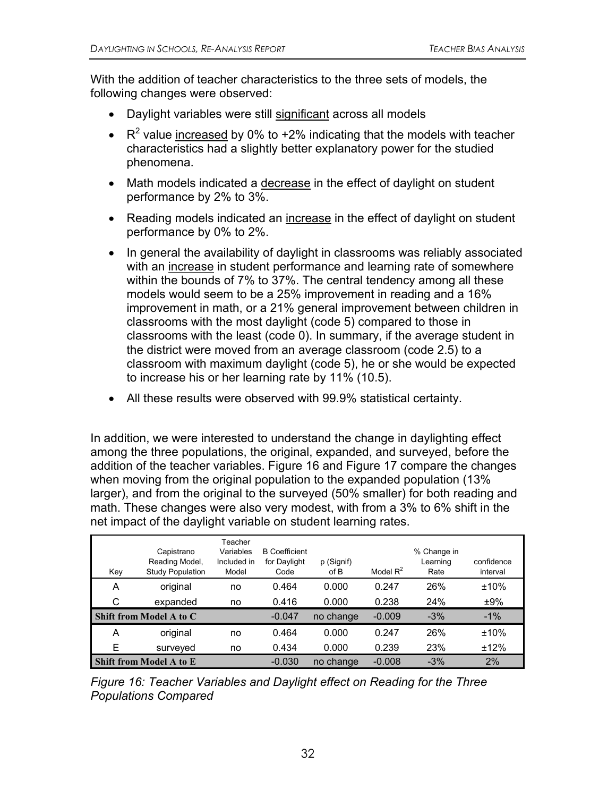With the addition of teacher characteristics to the three sets of models, the following changes were observed:

- Daylight variables were still significant across all models
- $R^2$  value increased by 0% to +2% indicating that the models with teacher characteristics had a slightly better explanatory power for the studied phenomena.
- Math models indicated a decrease in the effect of daylight on student performance by 2% to 3%.
- Reading models indicated an increase in the effect of daylight on student performance by 0% to 2%.
- In general the availability of daylight in classrooms was reliably associated with an increase in student performance and learning rate of somewhere within the bounds of 7% to 37%. The central tendency among all these models would seem to be a 25% improvement in reading and a 16% improvement in math, or a 21% general improvement between children in classrooms with the most daylight (code 5) compared to those in classrooms with the least (code 0). In summary, if the average student in the district were moved from an average classroom (code 2.5) to a classroom with maximum daylight (code 5), he or she would be expected to increase his or her learning rate by 11% (10.5).
- All these results were observed with 99.9% statistical certainty.

In addition, we were interested to understand the change in daylighting effect among the three populations, the original, expanded, and surveyed, before the addition of the teacher variables. Figure 16 and Figure 17 compare the changes when moving from the original population to the expanded population (13% larger), and from the original to the surveyed (50% smaller) for both reading and math. These changes were also very modest, with from a 3% to 6% shift in the net impact of the daylight variable on student learning rates.

| Key | Capistrano<br>Reading Model,<br><b>Study Population</b> | Teacher<br>Variables<br>Included in<br>Model | <b>B</b> Coefficient<br>for Daylight<br>Code | p (Signif)<br>of B | Model $R^2$ | % Change in<br>Learning<br>Rate | confidence<br>interval |
|-----|---------------------------------------------------------|----------------------------------------------|----------------------------------------------|--------------------|-------------|---------------------------------|------------------------|
| A   | original                                                | no                                           | 0.464                                        | 0.000              | 0.247       | 26%                             | ±10%                   |
| С   | expanded                                                | no                                           | 0.416                                        | 0.000              | 0.238       | 24%                             | ±9%                    |
|     | <b>Shift from Model A to C</b>                          |                                              | $-0.047$                                     | no change          | $-0.009$    | $-3%$                           | $-1%$                  |
| A   | original                                                | no                                           | 0.464                                        | 0.000              | 0.247       | 26%                             | ±10%                   |
| Ε   | surveyed                                                | no                                           | 0.434                                        | 0.000              | 0.239       | 23%                             | ±12%                   |
|     | Shift from Model A to E                                 |                                              | $-0.030$                                     | no change          | $-0.008$    | $-3%$                           | 2%                     |

*Figure 16: Teacher Variables and Daylight effect on Reading for the Three Populations Compared*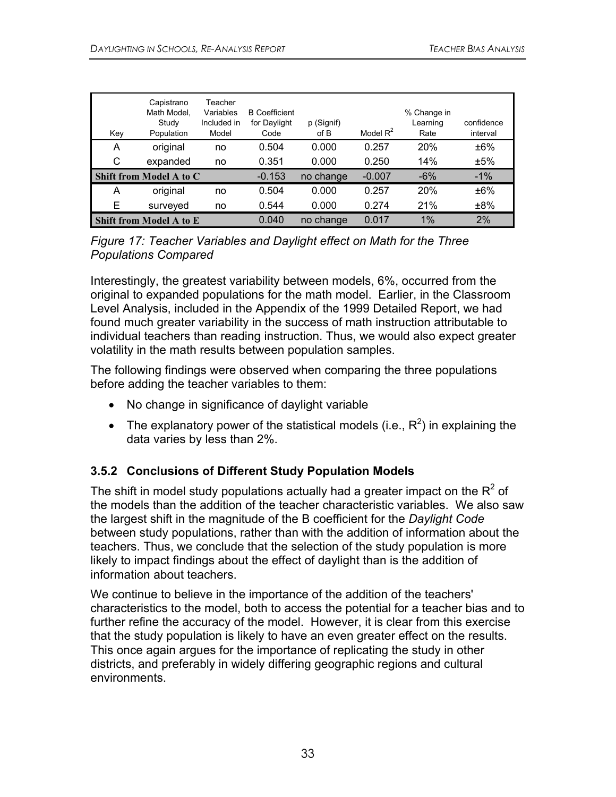| Key | Capistrano<br>Math Model.<br>Study<br>Population | Teacher<br>Variables<br>Included in<br>Model | <b>B</b> Coefficient<br>for Daylight<br>Code | p (Signif)<br>of B | Model $R^2$ | % Change in<br>Learning<br>Rate | confidence<br>interval |
|-----|--------------------------------------------------|----------------------------------------------|----------------------------------------------|--------------------|-------------|---------------------------------|------------------------|
| A   | original                                         | no                                           | 0.504                                        | 0.000              | 0.257       | <b>20%</b>                      | ±6%                    |
| С   | expanded                                         | no                                           | 0.351                                        | 0.000              | 0.250       | 14%                             | ±5%                    |
|     | <b>Shift from Model A to C</b>                   |                                              | $-0.153$                                     | no change          | $-0.007$    | $-6%$                           | $-1\%$                 |
| A   | original                                         | no                                           | 0.504                                        | 0.000              | 0.257       | <b>20%</b>                      | ±6%                    |
| Е   | surveyed                                         | no                                           | 0.544                                        | 0.000              | 0.274       | 21%                             | ±8%                    |
|     | <b>Shift from Model A to E</b>                   |                                              | 0.040                                        | no change          | 0.017       | 1%                              | 2%                     |

*Figure 17: Teacher Variables and Daylight effect on Math for the Three Populations Compared* 

Interestingly, the greatest variability between models, 6%, occurred from the original to expanded populations for the math model. Earlier, in the Classroom Level Analysis, included in the Appendix of the 1999 Detailed Report, we had found much greater variability in the success of math instruction attributable to individual teachers than reading instruction. Thus, we would also expect greater volatility in the math results between population samples.

The following findings were observed when comparing the three populations before adding the teacher variables to them:

- No change in significance of daylight variable
- The explanatory power of the statistical models (i.e.,  $R^2$ ) in explaining the data varies by less than 2%.

#### **3.5.2 Conclusions of Different Study Population Models**

The shift in model study populations actually had a greater impact on the  $R^2$  of the models than the addition of the teacher characteristic variables. We also saw the largest shift in the magnitude of the B coefficient for the *Daylight Code* between study populations, rather than with the addition of information about the teachers. Thus, we conclude that the selection of the study population is more likely to impact findings about the effect of daylight than is the addition of information about teachers.

We continue to believe in the importance of the addition of the teachers' characteristics to the model, both to access the potential for a teacher bias and to further refine the accuracy of the model. However, it is clear from this exercise that the study population is likely to have an even greater effect on the results. This once again argues for the importance of replicating the study in other districts, and preferably in widely differing geographic regions and cultural environments.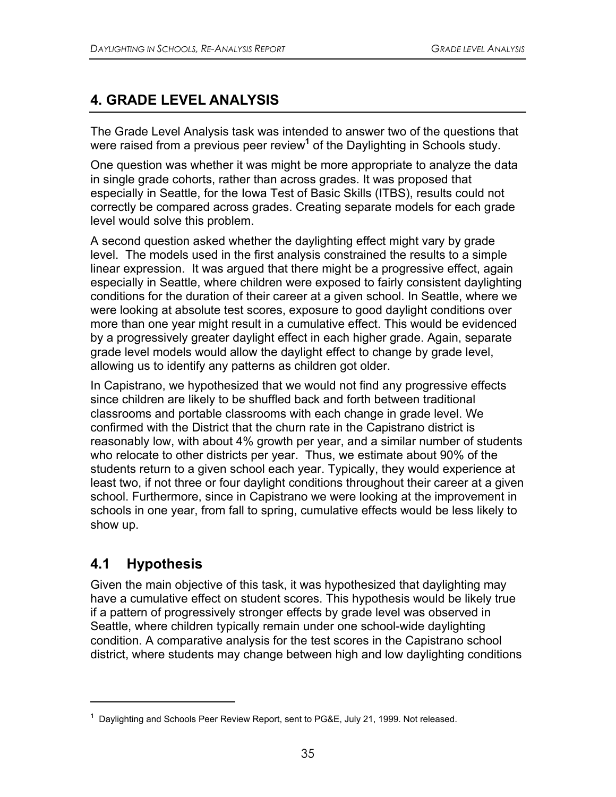## **4. GRADE LEVEL ANALYSIS**

The Grade Level Analysis task was intended to answer two of the questions that were raised from a previous peer review<sup>1</sup> of the Daylighting in Schools study.

One question was whether it was might be more appropriate to analyze the data in single grade cohorts, rather than across grades. It was proposed that especially in Seattle, for the Iowa Test of Basic Skills (ITBS), results could not correctly be compared across grades. Creating separate models for each grade level would solve this problem.

A second question asked whether the daylighting effect might vary by grade level. The models used in the first analysis constrained the results to a simple linear expression. It was argued that there might be a progressive effect, again especially in Seattle, where children were exposed to fairly consistent daylighting conditions for the duration of their career at a given school. In Seattle, where we were looking at absolute test scores, exposure to good daylight conditions over more than one year might result in a cumulative effect. This would be evidenced by a progressively greater daylight effect in each higher grade. Again, separate grade level models would allow the daylight effect to change by grade level, allowing us to identify any patterns as children got older.

In Capistrano, we hypothesized that we would not find any progressive effects since children are likely to be shuffled back and forth between traditional classrooms and portable classrooms with each change in grade level. We confirmed with the District that the churn rate in the Capistrano district is reasonably low, with about 4% growth per year, and a similar number of students who relocate to other districts per year. Thus, we estimate about 90% of the students return to a given school each year. Typically, they would experience at least two, if not three or four daylight conditions throughout their career at a given school. Furthermore, since in Capistrano we were looking at the improvement in schools in one year, from fall to spring, cumulative effects would be less likely to show up.

## **4.1 Hypothesis**

 $\overline{a}$ 

Given the main objective of this task, it was hypothesized that daylighting may have a cumulative effect on student scores. This hypothesis would be likely true if a pattern of progressively stronger effects by grade level was observed in Seattle, where children typically remain under one school-wide daylighting condition. A comparative analysis for the test scores in the Capistrano school district, where students may change between high and low daylighting conditions

**<sup>1</sup>** Daylighting and Schools Peer Review Report, sent to PG&E, July 21, 1999. Not released.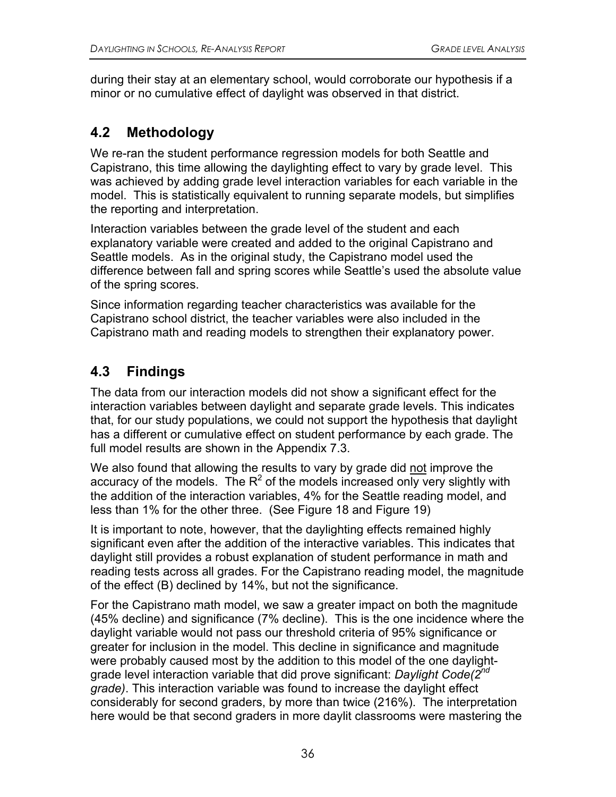during their stay at an elementary school, would corroborate our hypothesis if a minor or no cumulative effect of daylight was observed in that district.

## **4.2 Methodology**

We re-ran the student performance regression models for both Seattle and Capistrano, this time allowing the daylighting effect to vary by grade level. This was achieved by adding grade level interaction variables for each variable in the model. This is statistically equivalent to running separate models, but simplifies the reporting and interpretation.

Interaction variables between the grade level of the student and each explanatory variable were created and added to the original Capistrano and Seattle models. As in the original study, the Capistrano model used the difference between fall and spring scores while Seattle's used the absolute value of the spring scores.

Since information regarding teacher characteristics was available for the Capistrano school district, the teacher variables were also included in the Capistrano math and reading models to strengthen their explanatory power.

## **4.3 Findings**

The data from our interaction models did not show a significant effect for the interaction variables between daylight and separate grade levels. This indicates that, for our study populations, we could not support the hypothesis that daylight has a different or cumulative effect on student performance by each grade. The full model results are shown in the Appendix 7.3.

We also found that allowing the results to vary by grade did not improve the accuracy of the models. The  $R^2$  of the models increased only very slightly with the addition of the interaction variables, 4% for the Seattle reading model, and less than 1% for the other three. (See Figure 18 and Figure 19)

It is important to note, however, that the daylighting effects remained highly significant even after the addition of the interactive variables. This indicates that daylight still provides a robust explanation of student performance in math and reading tests across all grades. For the Capistrano reading model, the magnitude of the effect (B) declined by 14%, but not the significance.

For the Capistrano math model, we saw a greater impact on both the magnitude (45% decline) and significance (7% decline). This is the one incidence where the daylight variable would not pass our threshold criteria of 95% significance or greater for inclusion in the model. This decline in significance and magnitude were probably caused most by the addition to this model of the one daylightgrade level interaction variable that did prove significant: *Daylight Code(2nd grade)*. This interaction variable was found to increase the daylight effect considerably for second graders, by more than twice (216%). The interpretation here would be that second graders in more daylit classrooms were mastering the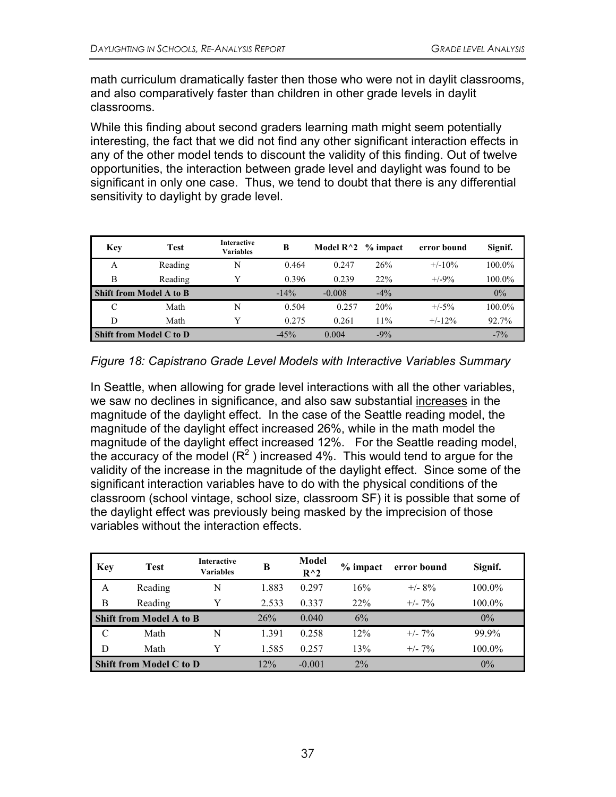math curriculum dramatically faster then those who were not in daylit classrooms, and also comparatively faster than children in other grade levels in daylit classrooms.

While this finding about second graders learning math might seem potentially interesting, the fact that we did not find any other significant interaction effects in any of the other model tends to discount the validity of this finding. Out of twelve opportunities, the interaction between grade level and daylight was found to be significant in only one case. Thus, we tend to doubt that there is any differential sensitivity to daylight by grade level.

| Key | <b>Test</b>                    | Interactive<br><b>Variables</b> | B       | Model $R^2$ % impact |        | error bound | Signif. |
|-----|--------------------------------|---------------------------------|---------|----------------------|--------|-------------|---------|
| A   | Reading                        | N                               | 0.464   | 0.247                | 26%    | $+/-10\%$   | 100.0%  |
| B   | Reading                        |                                 | 0.396   | 0.239                | 22%    | $+/-9\%$    | 100.0%  |
|     | <b>Shift from Model A to B</b> |                                 | $-14\%$ | $-0.008$             | $-4\%$ |             | $0\%$   |
| C   | Math                           | N                               | 0.504   | 0.257                | 20%    | $+/-5%$     | 100.0%  |
| D   | Math                           |                                 | 0.275   | 0.261                | 11%    | $+/-12\%$   | 92.7%   |
|     | Shift from Model C to D        |                                 | $-45%$  | 0.004                | $-9%$  |             | $-7\%$  |

*Figure 18: Capistrano Grade Level Models with Interactive Variables Summary* 

In Seattle, when allowing for grade level interactions with all the other variables, we saw no declines in significance, and also saw substantial increases in the magnitude of the daylight effect. In the case of the Seattle reading model, the magnitude of the daylight effect increased 26%, while in the math model the magnitude of the daylight effect increased 12%. For the Seattle reading model, the accuracy of the model  $(R^2)$  increased 4%. This would tend to argue for the validity of the increase in the magnitude of the daylight effect. Since some of the significant interaction variables have to do with the physical conditions of the classroom (school vintage, school size, classroom SF) it is possible that some of the daylight effect was previously being masked by the imprecision of those variables without the interaction effects.

| Key | <b>Test</b>                    | <b>Interactive</b><br><b>Variables</b> | B     | <b>Model</b><br>$R^{\wedge}2$ | $%$ impact | error bound | Signif. |
|-----|--------------------------------|----------------------------------------|-------|-------------------------------|------------|-------------|---------|
| A   | Reading                        | N                                      | 1.883 | 0.297                         | 16%        | $+/- 8\%$   | 100.0%  |
| B   | Reading                        | Y                                      | 2.533 | 0.337                         | 22%        | $+/- 7\%$   | 100.0%  |
|     | <b>Shift from Model A to B</b> |                                        | 26%   | 0.040                         | 6%         |             | $0\%$   |
| C   | Math                           | N                                      | 1.391 | 0.258                         | 12%        | $+/- 7\%$   | 99.9%   |
| D   | Math                           | Y                                      | 1.585 | 0.257                         | 13%        | $+/- 7\%$   | 100.0%  |
|     | <b>Shift from Model C to D</b> |                                        | 12%   | $-0.001$                      | $2\%$      |             | 0%      |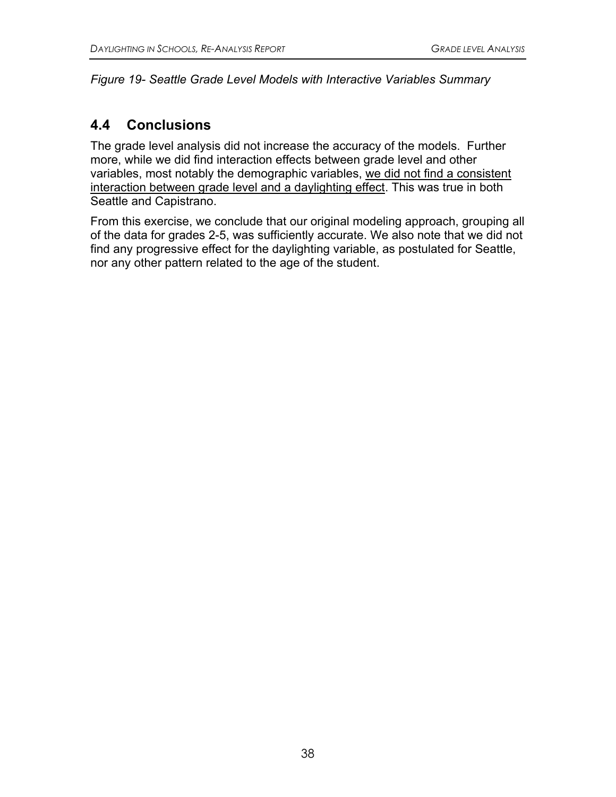#### *Figure 19- Seattle Grade Level Models with Interactive Variables Summary*

## **4.4 Conclusions**

The grade level analysis did not increase the accuracy of the models. Further more, while we did find interaction effects between grade level and other variables, most notably the demographic variables, we did not find a consistent interaction between grade level and a daylighting effect. This was true in both Seattle and Capistrano.

From this exercise, we conclude that our original modeling approach, grouping all of the data for grades 2-5, was sufficiently accurate. We also note that we did not find any progressive effect for the daylighting variable, as postulated for Seattle, nor any other pattern related to the age of the student.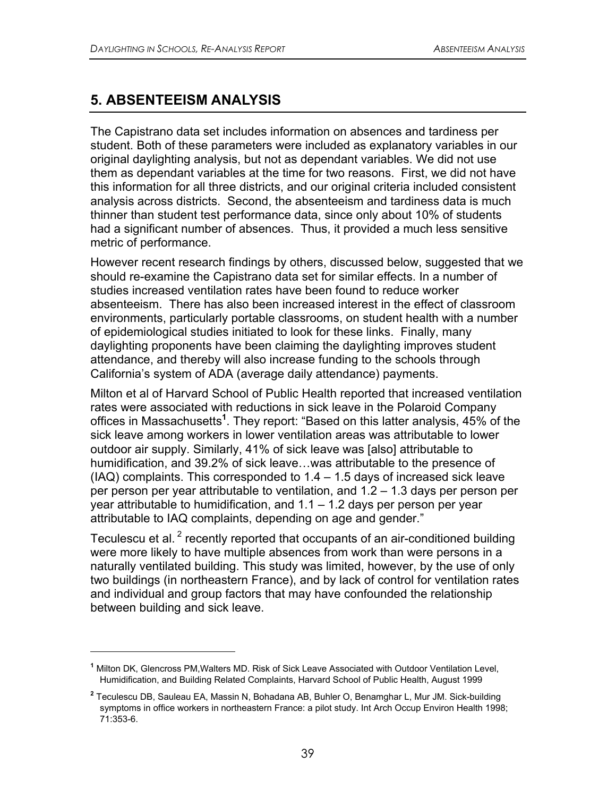## **5. ABSENTEEISM ANALYSIS**

 $\overline{a}$ 

The Capistrano data set includes information on absences and tardiness per student. Both of these parameters were included as explanatory variables in our original daylighting analysis, but not as dependant variables. We did not use them as dependant variables at the time for two reasons. First, we did not have this information for all three districts, and our original criteria included consistent analysis across districts. Second, the absenteeism and tardiness data is much thinner than student test performance data, since only about 10% of students had a significant number of absences. Thus, it provided a much less sensitive metric of performance.

However recent research findings by others, discussed below, suggested that we should re-examine the Capistrano data set for similar effects. In a number of studies increased ventilation rates have been found to reduce worker absenteeism. There has also been increased interest in the effect of classroom environments, particularly portable classrooms, on student health with a number of epidemiological studies initiated to look for these links. Finally, many daylighting proponents have been claiming the daylighting improves student attendance, and thereby will also increase funding to the schools through California's system of ADA (average daily attendance) payments.

Milton et al of Harvard School of Public Health reported that increased ventilation rates were associated with reductions in sick leave in the Polaroid Company offices in Massachusetts**<sup>1</sup>** . They report: "Based on this latter analysis, 45% of the sick leave among workers in lower ventilation areas was attributable to lower outdoor air supply. Similarly, 41% of sick leave was [also] attributable to humidification, and 39.2% of sick leave…was attributable to the presence of  $(IAQ)$  complaints. This corresponded to  $1.4 - 1.5$  days of increased sick leave per person per year attributable to ventilation, and 1.2 – 1.3 days per person per year attributable to humidification, and 1.1 – 1.2 days per person per year attributable to IAQ complaints, depending on age and gender."

Teculescu et al.  $^2$  recently reported that occupants of an air-conditioned building were more likely to have multiple absences from work than were persons in a naturally ventilated building. This study was limited, however, by the use of only two buildings (in northeastern France), and by lack of control for ventilation rates and individual and group factors that may have confounded the relationship between building and sick leave.

**<sup>1</sup>** Milton DK, Glencross PM,Walters MD. Risk of Sick Leave Associated with Outdoor Ventilation Level, Humidification, and Building Related Complaints, Harvard School of Public Health, August 1999

**<sup>2</sup>** Teculescu DB, Sauleau EA, Massin N, Bohadana AB, Buhler O, Benamghar L, Mur JM. Sick-building symptoms in office workers in northeastern France: a pilot study. Int Arch Occup Environ Health 1998; 71:353-6.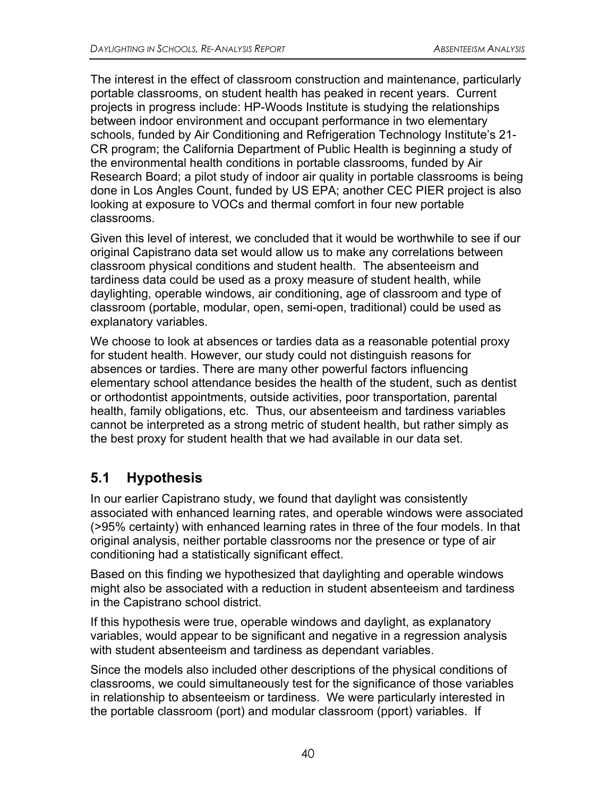The interest in the effect of classroom construction and maintenance, particularly portable classrooms, on student health has peaked in recent years. Current projects in progress include: HP-Woods Institute is studying the relationships between indoor environment and occupant performance in two elementary schools, funded by Air Conditioning and Refrigeration Technology Institute's 21- CR program; the California Department of Public Health is beginning a study of the environmental health conditions in portable classrooms, funded by Air Research Board; a pilot study of indoor air quality in portable classrooms is being done in Los Angles Count, funded by US EPA; another CEC PIER project is also looking at exposure to VOCs and thermal comfort in four new portable classrooms.

Given this level of interest, we concluded that it would be worthwhile to see if our original Capistrano data set would allow us to make any correlations between classroom physical conditions and student health. The absenteeism and tardiness data could be used as a proxy measure of student health, while daylighting, operable windows, air conditioning, age of classroom and type of classroom (portable, modular, open, semi-open, traditional) could be used as explanatory variables.

We choose to look at absences or tardies data as a reasonable potential proxy for student health. However, our study could not distinguish reasons for absences or tardies. There are many other powerful factors influencing elementary school attendance besides the health of the student, such as dentist or orthodontist appointments, outside activities, poor transportation, parental health, family obligations, etc. Thus, our absenteeism and tardiness variables cannot be interpreted as a strong metric of student health, but rather simply as the best proxy for student health that we had available in our data set.

## **5.1 Hypothesis**

In our earlier Capistrano study, we found that daylight was consistently associated with enhanced learning rates, and operable windows were associated (>95% certainty) with enhanced learning rates in three of the four models. In that original analysis, neither portable classrooms nor the presence or type of air conditioning had a statistically significant effect.

Based on this finding we hypothesized that daylighting and operable windows might also be associated with a reduction in student absenteeism and tardiness in the Capistrano school district.

If this hypothesis were true, operable windows and daylight, as explanatory variables, would appear to be significant and negative in a regression analysis with student absenteeism and tardiness as dependant variables.

Since the models also included other descriptions of the physical conditions of classrooms, we could simultaneously test for the significance of those variables in relationship to absenteeism or tardiness. We were particularly interested in the portable classroom (port) and modular classroom (pport) variables. If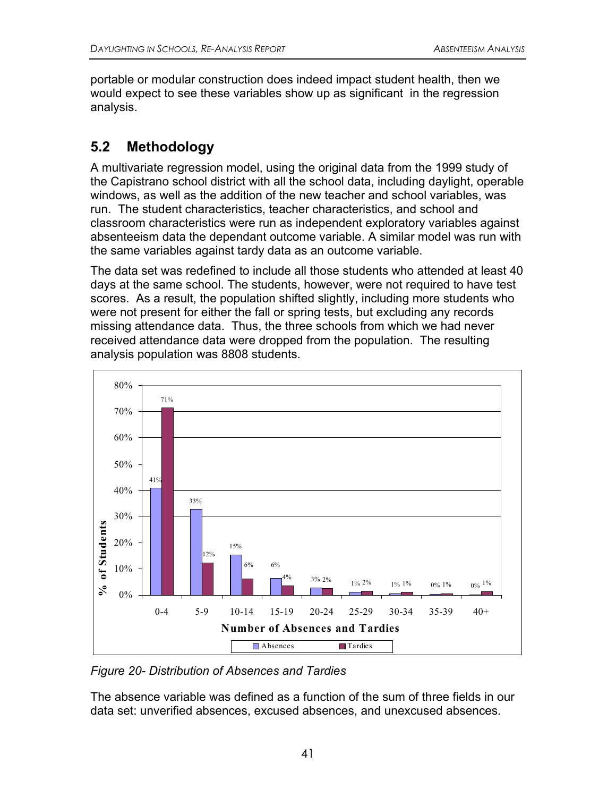portable or modular construction does indeed impact student health, then we would expect to see these variables show up as significant in the regression analysis.

## **5.2 Methodology**

A multivariate regression model, using the original data from the 1999 study of the Capistrano school district with all the school data, including daylight, operable windows, as well as the addition of the new teacher and school variables, was run. The student characteristics, teacher characteristics, and school and classroom characteristics were run as independent exploratory variables against absenteeism data the dependant outcome variable. A similar model was run with the same variables against tardy data as an outcome variable.

The data set was redefined to include all those students who attended at least 40 days at the same school. The students, however, were not required to have test scores. As a result, the population shifted slightly, including more students who were not present for either the fall or spring tests, but excluding any records missing attendance data. Thus, the three schools from which we had never received attendance data were dropped from the population. The resulting analysis population was 8808 students.



*Figure 20- Distribution of Absences and Tardies* 

The absence variable was defined as a function of the sum of three fields in our data set: unverified absences, excused absences, and unexcused absences*.*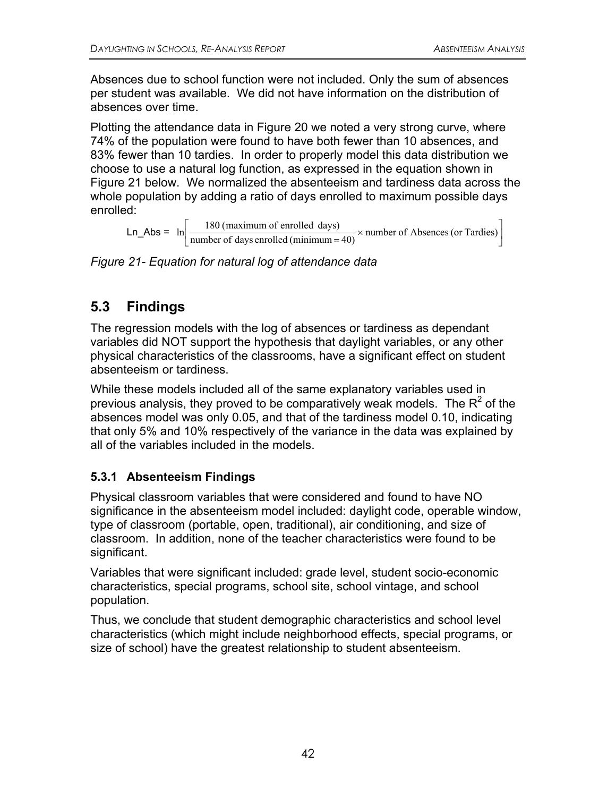Absences due to school function were not included. Only the sum of absences per student was available. We did not have information on the distribution of absences over time.

Plotting the attendance data in Figure 20 we noted a very strong curve, where 74% of the population were found to have both fewer than 10 absences, and 83% fewer than 10 tardies. In order to properly model this data distribution we choose to use a natural log function, as expressed in the equation shown in Figure 21 below. We normalized the absenteeism and tardiness data across the whole population by adding a ratio of days enrolled to maximum possible days enrolled:

Ln\_Abs =  $\ln \left[ \frac{180 \text{ (maximum of enrolled days)}}{\text{number of days enrolled (minimum = 40)}} \times \text{number of Absences (or Tardies)} \right]$ 

*Figure 21- Equation for natural log of attendance data* 

# **5.3 Findings**

The regression models with the log of absences or tardiness as dependant variables did NOT support the hypothesis that daylight variables, or any other physical characteristics of the classrooms, have a significant effect on student absenteeism or tardiness.

While these models included all of the same explanatory variables used in previous analysis, they proved to be comparatively weak models. The  $R^2$  of the absences model was only 0.05, and that of the tardiness model 0.10, indicating that only 5% and 10% respectively of the variance in the data was explained by all of the variables included in the models.

### **5.3.1 Absenteeism Findings**

Physical classroom variables that were considered and found to have NO significance in the absenteeism model included: daylight code, operable window, type of classroom (portable, open, traditional), air conditioning, and size of classroom. In addition, none of the teacher characteristics were found to be significant.

Variables that were significant included: grade level, student socio-economic characteristics, special programs, school site, school vintage, and school population.

Thus, we conclude that student demographic characteristics and school level characteristics (which might include neighborhood effects, special programs, or size of school) have the greatest relationship to student absenteeism.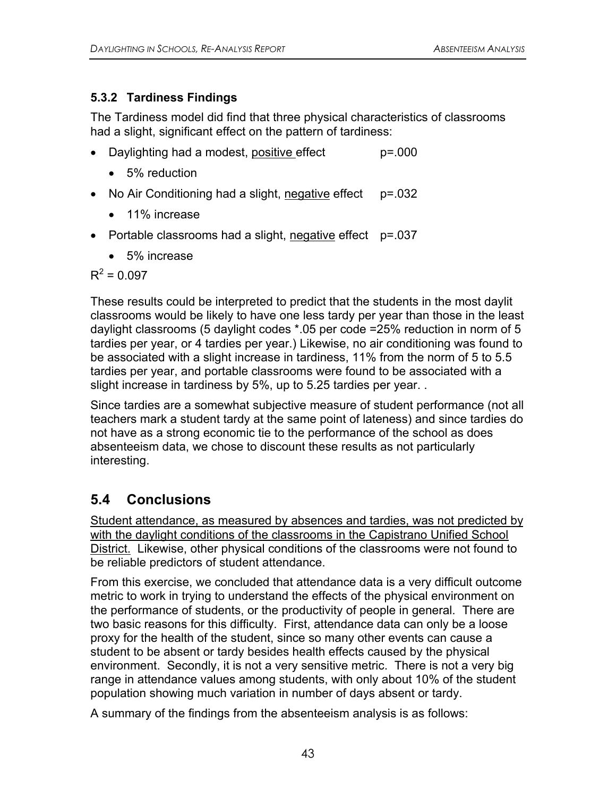### **5.3.2 Tardiness Findings**

The Tardiness model did find that three physical characteristics of classrooms had a slight, significant effect on the pattern of tardiness:

- Daylighting had a modest, positive effect p=.000
	- 5% reduction
- No Air Conditioning had a slight, negative effect p=.032
	- 11% increase
- Portable classrooms had a slight, negative effect p=.037
	- 5% increase

 $R^2 = 0.097$ 

These results could be interpreted to predict that the students in the most daylit classrooms would be likely to have one less tardy per year than those in the least daylight classrooms (5 daylight codes \*.05 per code =25% reduction in norm of 5 tardies per year, or 4 tardies per year.) Likewise, no air conditioning was found to be associated with a slight increase in tardiness, 11% from the norm of 5 to 5.5 tardies per year, and portable classrooms were found to be associated with a slight increase in tardiness by 5%, up to 5.25 tardies per year. .

Since tardies are a somewhat subjective measure of student performance (not all teachers mark a student tardy at the same point of lateness) and since tardies do not have as a strong economic tie to the performance of the school as does absenteeism data, we chose to discount these results as not particularly interesting.

## **5.4 Conclusions**

Student attendance, as measured by absences and tardies, was not predicted by with the daylight conditions of the classrooms in the Capistrano Unified School District. Likewise, other physical conditions of the classrooms were not found to be reliable predictors of student attendance.

From this exercise, we concluded that attendance data is a very difficult outcome metric to work in trying to understand the effects of the physical environment on the performance of students, or the productivity of people in general. There are two basic reasons for this difficulty. First, attendance data can only be a loose proxy for the health of the student, since so many other events can cause a student to be absent or tardy besides health effects caused by the physical environment. Secondly, it is not a very sensitive metric. There is not a very big range in attendance values among students, with only about 10% of the student population showing much variation in number of days absent or tardy.

A summary of the findings from the absenteeism analysis is as follows: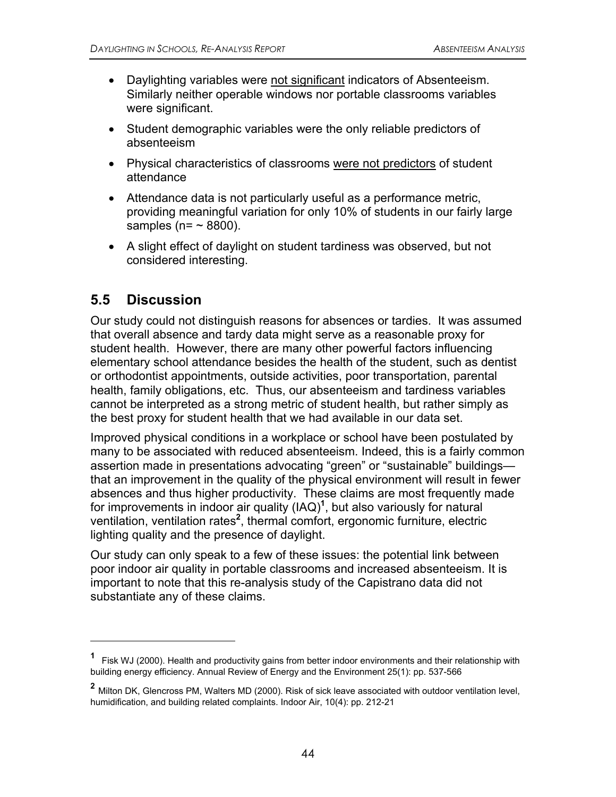- Daylighting variables were not significant indicators of Absenteeism. Similarly neither operable windows nor portable classrooms variables were significant.
- Student demographic variables were the only reliable predictors of absenteeism
- Physical characteristics of classrooms were not predictors of student attendance
- Attendance data is not particularly useful as a performance metric, providing meaningful variation for only 10% of students in our fairly large samples ( $n = \sim 8800$ ).
- A slight effect of daylight on student tardiness was observed, but not considered interesting.

### **5.5 Discussion**

 $\overline{a}$ 

Our study could not distinguish reasons for absences or tardies. It was assumed that overall absence and tardy data might serve as a reasonable proxy for student health. However, there are many other powerful factors influencing elementary school attendance besides the health of the student, such as dentist or orthodontist appointments, outside activities, poor transportation, parental health, family obligations, etc. Thus, our absenteeism and tardiness variables cannot be interpreted as a strong metric of student health, but rather simply as the best proxy for student health that we had available in our data set.

Improved physical conditions in a workplace or school have been postulated by many to be associated with reduced absenteeism. Indeed, this is a fairly common assertion made in presentations advocating "green" or "sustainable" buildings that an improvement in the quality of the physical environment will result in fewer absences and thus higher productivity. These claims are most frequently made for improvements in indoor air quality (IAQ)**<sup>1</sup>** , but also variously for natural ventilation, ventilation rates<sup>2</sup>, thermal comfort, ergonomic furniture, electric lighting quality and the presence of daylight.

Our study can only speak to a few of these issues: the potential link between poor indoor air quality in portable classrooms and increased absenteeism. It is important to note that this re-analysis study of the Capistrano data did not substantiate any of these claims.

**<sup>1</sup>** Fisk WJ (2000). Health and productivity gains from better indoor environments and their relationship with building energy efficiency. Annual Review of Energy and the Environment 25(1): pp. 537-566

**<sup>2</sup>** Milton DK, Glencross PM, Walters MD (2000). Risk of sick leave associated with outdoor ventilation level, humidification, and building related complaints. Indoor Air, 10(4): pp. 212-21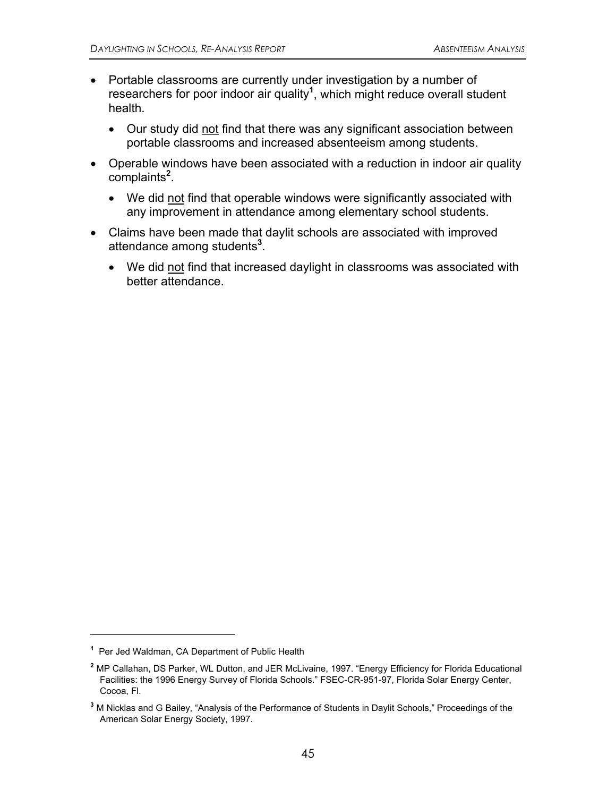- Portable classrooms are currently under investigation by a number of researchers for poor indoor air quality**<sup>1</sup>** , which might reduce overall student health.
	- Our study did not find that there was any significant association between portable classrooms and increased absenteeism among students.
- Operable windows have been associated with a reduction in indoor air quality complaints**<sup>2</sup>** .
	- We did not find that operable windows were significantly associated with any improvement in attendance among elementary school students.
- Claims have been made that daylit schools are associated with improved attendance among students**<sup>3</sup>** .
	- We did not find that increased daylight in classrooms was associated with better attendance.

1

**<sup>1</sup>** Per Jed Waldman, CA Department of Public Health

**<sup>2</sup>** MP Callahan, DS Parker, WL Dutton, and JER McLivaine, 1997. "Energy Efficiency for Florida Educational Facilities: the 1996 Energy Survey of Florida Schools." FSEC-CR-951-97, Florida Solar Energy Center, Cocoa, Fl.

**<sup>3</sup>** M Nicklas and G Bailey, "Analysis of the Performance of Students in Daylit Schools," Proceedings of the American Solar Energy Society, 1997.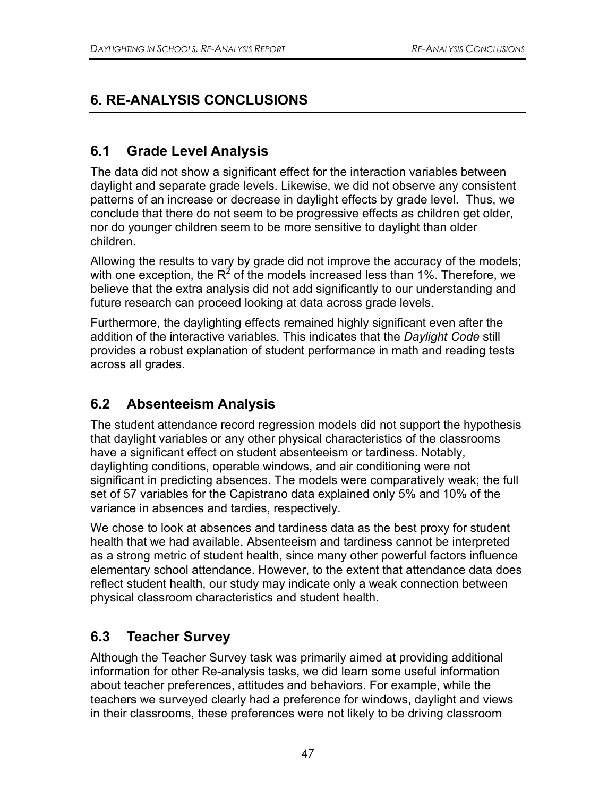# **6. RE-ANALYSIS CONCLUSIONS**

## **6.1 Grade Level Analysis**

The data did not show a significant effect for the interaction variables between daylight and separate grade levels. Likewise, we did not observe any consistent patterns of an increase or decrease in daylight effects by grade level. Thus, we conclude that there do not seem to be progressive effects as children get older, nor do younger children seem to be more sensitive to daylight than older children.

Allowing the results to vary by grade did not improve the accuracy of the models; with one exception, the  $R^2$  of the models increased less than 1%. Therefore, we believe that the extra analysis did not add significantly to our understanding and future research can proceed looking at data across grade levels.

Furthermore, the daylighting effects remained highly significant even after the addition of the interactive variables. This indicates that the *Daylight Code* still provides a robust explanation of student performance in math and reading tests across all grades.

## **6.2 Absenteeism Analysis**

The student attendance record regression models did not support the hypothesis that daylight variables or any other physical characteristics of the classrooms have a significant effect on student absenteeism or tardiness. Notably, daylighting conditions, operable windows, and air conditioning were not significant in predicting absences. The models were comparatively weak; the full set of 57 variables for the Capistrano data explained only 5% and 10% of the variance in absences and tardies, respectively.

We chose to look at absences and tardiness data as the best proxy for student health that we had available. Absenteeism and tardiness cannot be interpreted as a strong metric of student health, since many other powerful factors influence elementary school attendance. However, to the extent that attendance data does reflect student health, our study may indicate only a weak connection between physical classroom characteristics and student health.

## **6.3 Teacher Survey**

Although the Teacher Survey task was primarily aimed at providing additional information for other Re-analysis tasks, we did learn some useful information about teacher preferences, attitudes and behaviors. For example, while the teachers we surveyed clearly had a preference for windows, daylight and views in their classrooms, these preferences were not likely to be driving classroom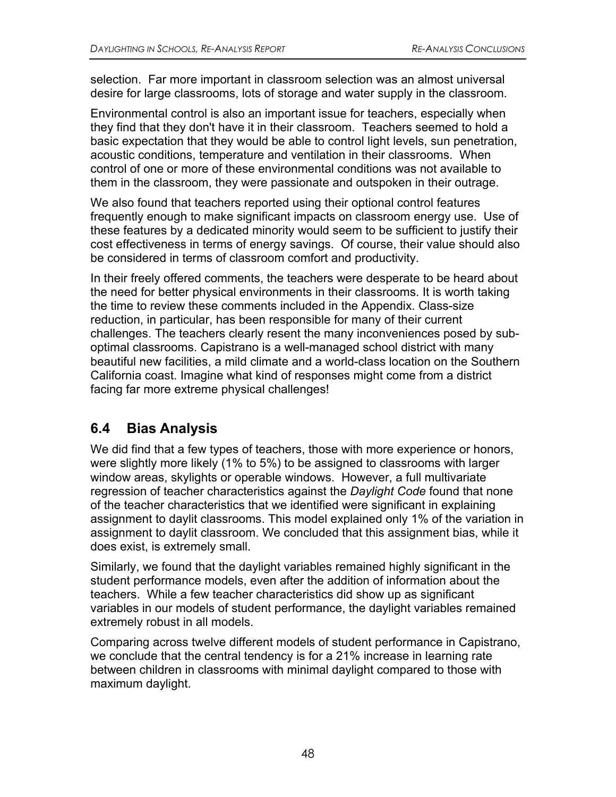selection. Far more important in classroom selection was an almost universal desire for large classrooms, lots of storage and water supply in the classroom.

Environmental control is also an important issue for teachers, especially when they find that they don't have it in their classroom. Teachers seemed to hold a basic expectation that they would be able to control light levels, sun penetration, acoustic conditions, temperature and ventilation in their classrooms. When control of one or more of these environmental conditions was not available to them in the classroom, they were passionate and outspoken in their outrage.

We also found that teachers reported using their optional control features frequently enough to make significant impacts on classroom energy use. Use of these features by a dedicated minority would seem to be sufficient to justify their cost effectiveness in terms of energy savings. Of course, their value should also be considered in terms of classroom comfort and productivity.

In their freely offered comments, the teachers were desperate to be heard about the need for better physical environments in their classrooms. It is worth taking the time to review these comments included in the Appendix. Class-size reduction, in particular, has been responsible for many of their current challenges. The teachers clearly resent the many inconveniences posed by suboptimal classrooms. Capistrano is a well-managed school district with many beautiful new facilities, a mild climate and a world-class location on the Southern California coast. Imagine what kind of responses might come from a district facing far more extreme physical challenges!

## **6.4 Bias Analysis**

We did find that a few types of teachers, those with more experience or honors, were slightly more likely (1% to 5%) to be assigned to classrooms with larger window areas, skylights or operable windows. However, a full multivariate regression of teacher characteristics against the *Daylight Code* found that none of the teacher characteristics that we identified were significant in explaining assignment to daylit classrooms. This model explained only 1% of the variation in assignment to daylit classroom. We concluded that this assignment bias, while it does exist, is extremely small.

Similarly, we found that the daylight variables remained highly significant in the student performance models, even after the addition of information about the teachers. While a few teacher characteristics did show up as significant variables in our models of student performance, the daylight variables remained extremely robust in all models.

Comparing across twelve different models of student performance in Capistrano, we conclude that the central tendency is for a 21% increase in learning rate between children in classrooms with minimal daylight compared to those with maximum daylight.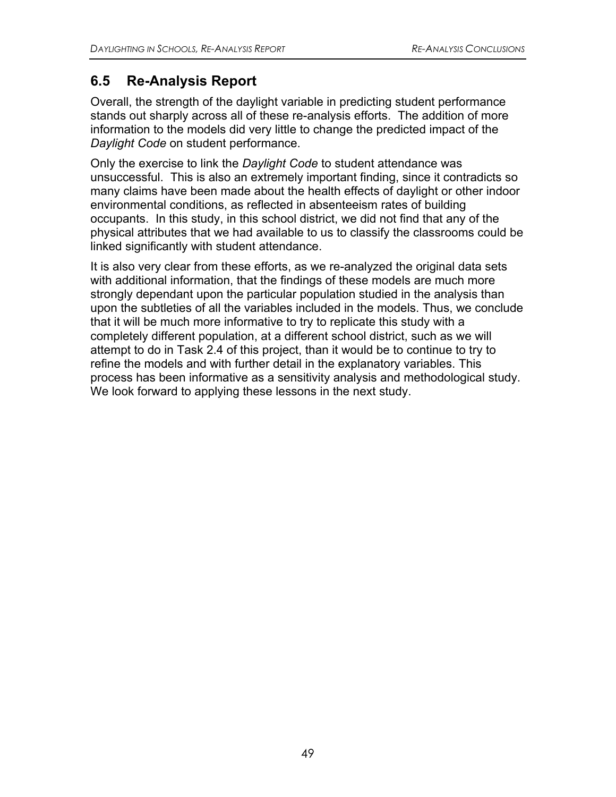## **6.5 Re-Analysis Report**

Overall, the strength of the daylight variable in predicting student performance stands out sharply across all of these re-analysis efforts. The addition of more information to the models did very little to change the predicted impact of the *Daylight Code* on student performance.

Only the exercise to link the *Daylight Code* to student attendance was unsuccessful. This is also an extremely important finding, since it contradicts so many claims have been made about the health effects of daylight or other indoor environmental conditions, as reflected in absenteeism rates of building occupants. In this study, in this school district, we did not find that any of the physical attributes that we had available to us to classify the classrooms could be linked significantly with student attendance.

It is also very clear from these efforts, as we re-analyzed the original data sets with additional information, that the findings of these models are much more strongly dependant upon the particular population studied in the analysis than upon the subtleties of all the variables included in the models. Thus, we conclude that it will be much more informative to try to replicate this study with a completely different population, at a different school district, such as we will attempt to do in Task 2.4 of this project, than it would be to continue to try to refine the models and with further detail in the explanatory variables. This process has been informative as a sensitivity analysis and methodological study. We look forward to applying these lessons in the next study.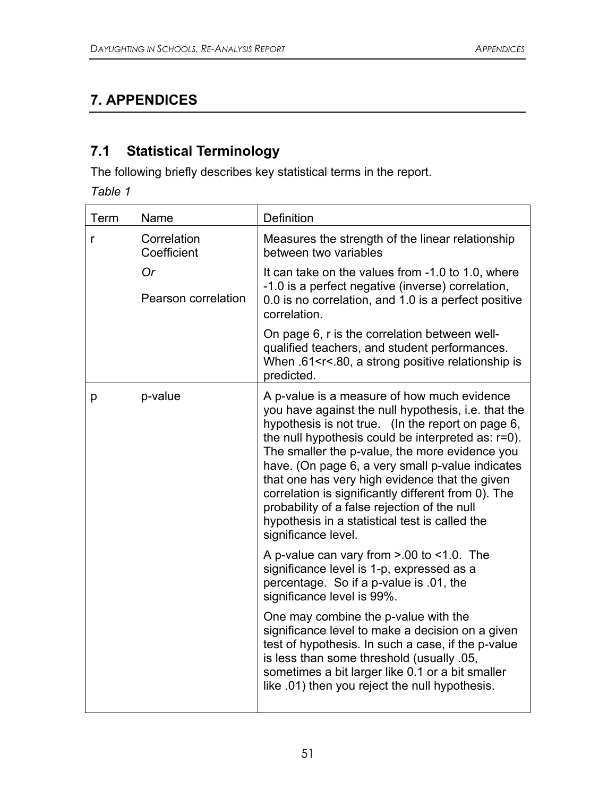# **7. APPENDICES**

# **7.1 Statistical Terminology**

The following briefly describes key statistical terms in the report.

*Table 1* 

| Term         | Name                             | Definition                                                                                                                                                                                                                                                                                                                                                                                                                                                                                                                                            |
|--------------|----------------------------------|-------------------------------------------------------------------------------------------------------------------------------------------------------------------------------------------------------------------------------------------------------------------------------------------------------------------------------------------------------------------------------------------------------------------------------------------------------------------------------------------------------------------------------------------------------|
| r            | Correlation<br>Coefficient       | Measures the strength of the linear relationship<br>between two variables                                                                                                                                                                                                                                                                                                                                                                                                                                                                             |
|              | <b>Or</b><br>Pearson correlation | It can take on the values from -1.0 to 1.0, where<br>-1.0 is a perfect negative (inverse) correlation,<br>0.0 is no correlation, and 1.0 is a perfect positive<br>correlation.                                                                                                                                                                                                                                                                                                                                                                        |
|              |                                  | On page 6, r is the correlation between well-<br>qualified teachers, and student performances.<br>When .61 <r<.80, a="" is<br="" positive="" relationship="" strong="">predicted.</r<.80,>                                                                                                                                                                                                                                                                                                                                                            |
| p-value<br>p |                                  | A p-value is a measure of how much evidence<br>you have against the null hypothesis, i.e. that the<br>hypothesis is not true. (In the report on page 6,<br>the null hypothesis could be interpreted as: r=0).<br>The smaller the p-value, the more evidence you<br>have. (On page 6, a very small p-value indicates<br>that one has very high evidence that the given<br>correlation is significantly different from 0). The<br>probability of a false rejection of the null<br>hypothesis in a statistical test is called the<br>significance level. |
|              |                                  | A p-value can vary from $> 00$ to <1.0. The<br>significance level is 1-p, expressed as a<br>percentage. So if a p-value is .01, the<br>significance level is 99%.                                                                                                                                                                                                                                                                                                                                                                                     |
|              |                                  | One may combine the p-value with the<br>significance level to make a decision on a given<br>test of hypothesis. In such a case, if the p-value<br>is less than some threshold (usually .05,<br>sometimes a bit larger like 0.1 or a bit smaller<br>like .01) then you reject the null hypothesis.                                                                                                                                                                                                                                                     |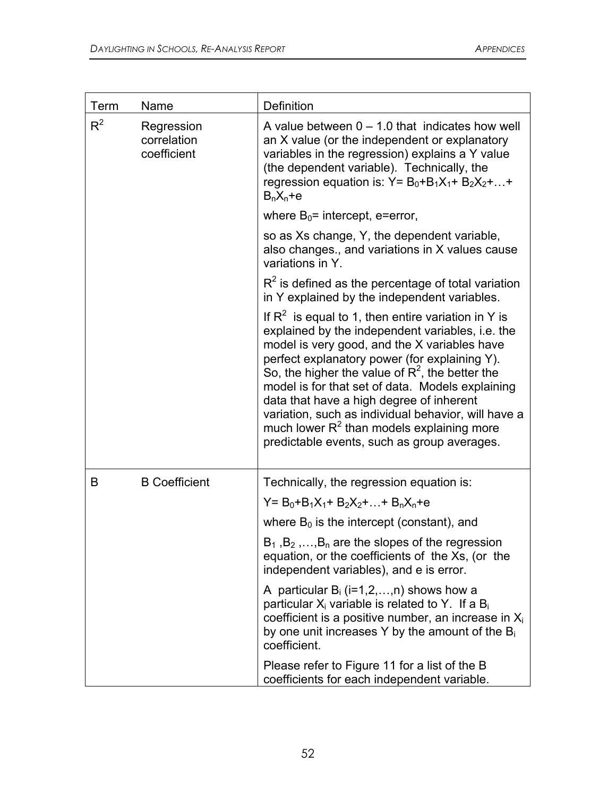| Term  | Name                                     | Definition                                                                                                                                                                                                                                                                                                                                                                                                                                                                                                                      |
|-------|------------------------------------------|---------------------------------------------------------------------------------------------------------------------------------------------------------------------------------------------------------------------------------------------------------------------------------------------------------------------------------------------------------------------------------------------------------------------------------------------------------------------------------------------------------------------------------|
| $R^2$ | Regression<br>correlation<br>coefficient | A value between $0 - 1.0$ that indicates how well<br>an X value (or the independent or explanatory<br>variables in the regression) explains a Y value<br>(the dependent variable). Technically, the<br>regression equation is: $Y = B_0 + B_1X_1 + B_2X_2 + $<br>$B_nX_n+e$                                                                                                                                                                                                                                                     |
|       |                                          | where $B_0$ = intercept, e=error,                                                                                                                                                                                                                                                                                                                                                                                                                                                                                               |
|       |                                          | so as Xs change, Y, the dependent variable,<br>also changes., and variations in X values cause<br>variations in Y.                                                                                                                                                                                                                                                                                                                                                                                                              |
|       |                                          | $R2$ is defined as the percentage of total variation<br>in Y explained by the independent variables.                                                                                                                                                                                                                                                                                                                                                                                                                            |
|       |                                          | If $R^2$ is equal to 1, then entire variation in Y is<br>explained by the independent variables, i.e. the<br>model is very good, and the X variables have<br>perfect explanatory power (for explaining Y).<br>So, the higher the value of $R^2$ , the better the<br>model is for that set of data. Models explaining<br>data that have a high degree of inherent<br>variation, such as individual behavior, will have a<br>much lower R <sup>2</sup> than models explaining more<br>predictable events, such as group averages. |
| B     | <b>B</b> Coefficient                     | Technically, the regression equation is:                                                                                                                                                                                                                                                                                                                                                                                                                                                                                        |
|       |                                          | $Y = B_0 + B_1X_1 + B_2X_2 +  + B_nX_n + e$                                                                                                                                                                                                                                                                                                                                                                                                                                                                                     |
|       |                                          | where $B_0$ is the intercept (constant), and                                                                                                                                                                                                                                                                                                                                                                                                                                                                                    |
|       |                                          | $B_1, B_2, \ldots, B_n$ are the slopes of the regression<br>equation, or the coefficients of the Xs, (or the<br>independent variables), and e is error.                                                                                                                                                                                                                                                                                                                                                                         |
|       |                                          | A particular $B_i$ (i=1,2,,n) shows how a<br>particular $X_i$ variable is related to Y. If a $B_i$<br>coefficient is a positive number, an increase in $X_i$<br>by one unit increases Y by the amount of the $B_i$<br>coefficient.                                                                                                                                                                                                                                                                                              |
|       |                                          | Please refer to Figure 11 for a list of the B<br>coefficients for each independent variable.                                                                                                                                                                                                                                                                                                                                                                                                                                    |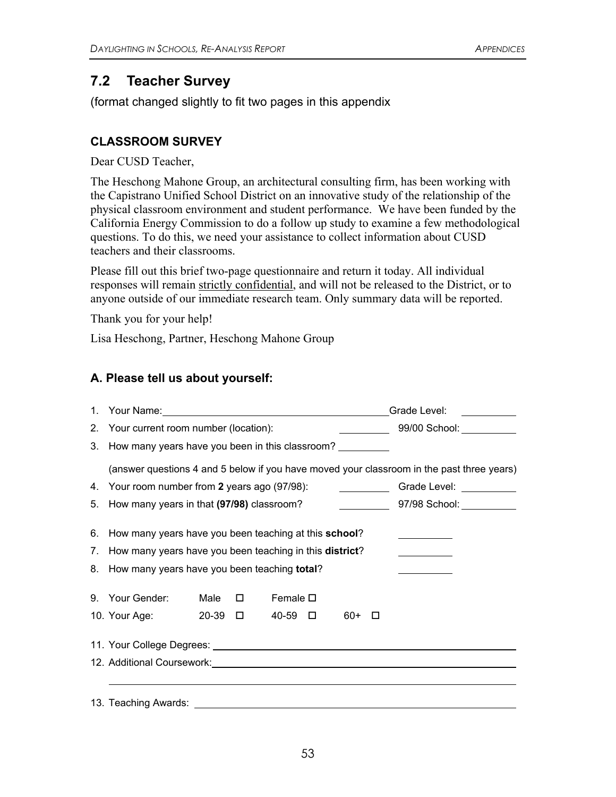### **7.2 Teacher Survey**

(format changed slightly to fit two pages in this appendix

#### **CLASSROOM SURVEY**

Dear CUSD Teacher,

The Heschong Mahone Group, an architectural consulting firm, has been working with the Capistrano Unified School District on an innovative study of the relationship of the physical classroom environment and student performance. We have been funded by the California Energy Commission to do a follow up study to examine a few methodological questions. To do this, we need your assistance to collect information about CUSD teachers and their classrooms.

Please fill out this brief two-page questionnaire and return it today. All individual responses will remain strictly confidential, and will not be released to the District, or to anyone outside of our immediate research team. Only summary data will be reported.

Thank you for your help!

Lisa Heschong, Partner, Heschong Mahone Group

#### **A. Please tell us about yourself:**

| $1_{\cdot}$ | Your Name: Van Andrew Contract Contract Contract Contract Contract Contract Contract Contract Contract Contract Contract Contract Contract Contract Contract Contract Contract Contract Contract Contract Contract Contract Co |      |        | Grade Level:<br><u> 1999 - Jan Barnett, f</u> |  |                                                                                    |        |                                                                                           |  |  |
|-------------|--------------------------------------------------------------------------------------------------------------------------------------------------------------------------------------------------------------------------------|------|--------|-----------------------------------------------|--|------------------------------------------------------------------------------------|--------|-------------------------------------------------------------------------------------------|--|--|
|             | 2. Your current room number (location):                                                                                                                                                                                        |      |        |                                               |  |                                                                                    |        |                                                                                           |  |  |
|             | 3. How many years have you been in this classroom?                                                                                                                                                                             |      |        |                                               |  |                                                                                    |        |                                                                                           |  |  |
|             |                                                                                                                                                                                                                                |      |        |                                               |  |                                                                                    |        | (answer questions 4 and 5 below if you have moved your classroom in the past three years) |  |  |
|             | 4. Your room number from 2 years ago (97/98):                                                                                                                                                                                  |      |        |                                               |  | $\overline{\phantom{a}}$ and $\overline{\phantom{a}}$ and $\overline{\phantom{a}}$ |        | Grade Level: ___________                                                                  |  |  |
|             | 5. How many years in that (97/98) classroom?                                                                                                                                                                                   |      |        |                                               |  |                                                                                    |        | 97/98 School: 2001                                                                        |  |  |
|             | 6. How many years have you been teaching at this school?                                                                                                                                                                       |      |        |                                               |  |                                                                                    |        |                                                                                           |  |  |
| 7.          | How many years have you been teaching in this district?                                                                                                                                                                        |      |        |                                               |  |                                                                                    |        |                                                                                           |  |  |
|             | 8. How many years have you been teaching total?                                                                                                                                                                                |      |        |                                               |  |                                                                                    |        |                                                                                           |  |  |
|             | 9. Your Gender:                                                                                                                                                                                                                | Male | $\Box$ | Female $\square$                              |  |                                                                                    |        |                                                                                           |  |  |
|             | 10. Your Age: 20-39 □                                                                                                                                                                                                          |      |        | 40-59 □                                       |  | 60+                                                                                | $\Box$ |                                                                                           |  |  |
|             |                                                                                                                                                                                                                                |      |        |                                               |  |                                                                                    |        |                                                                                           |  |  |
|             | 12. Additional Coursework: 2008 2009 2010 2020 2020 2031 2040 2050 2061 2071 2080 2091 2009 2010 2010 2010 20                                                                                                                  |      |        |                                               |  |                                                                                    |        |                                                                                           |  |  |
|             | 13. Teaching Awards: The contract of the contract of the contract of the contract of the contract of the contract of the contract of the contract of the contract of the contract of the contract of the contract of the contr |      |        |                                               |  |                                                                                    |        |                                                                                           |  |  |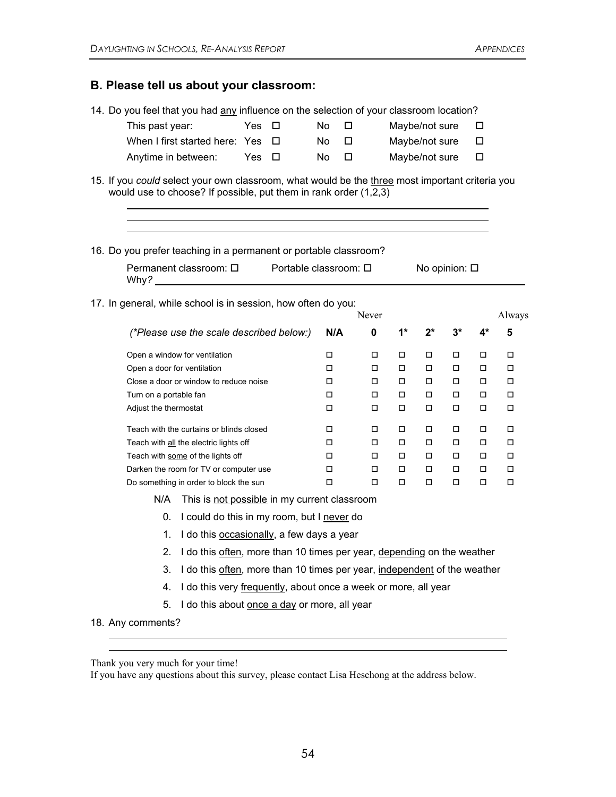#### **B. Please tell us about your classroom:**

|                                                                                                                                                                                                                                                                                                                                                                                     | 14. Do you feel that you had any influence on the selection of your classroom location?                                                                               |     |        |        |   |        |                     |        |        |        |        |
|-------------------------------------------------------------------------------------------------------------------------------------------------------------------------------------------------------------------------------------------------------------------------------------------------------------------------------------------------------------------------------------|-----------------------------------------------------------------------------------------------------------------------------------------------------------------------|-----|--------|--------|---|--------|---------------------|--------|--------|--------|--------|
|                                                                                                                                                                                                                                                                                                                                                                                     | This past year:                                                                                                                                                       | Yes | □      | No     | □ |        | Maybe/not sure      |        |        | □      |        |
|                                                                                                                                                                                                                                                                                                                                                                                     | When I first started here: Yes                                                                                                                                        |     | $\Box$ | No     | □ |        | Maybe/not sure<br>□ |        |        |        |        |
|                                                                                                                                                                                                                                                                                                                                                                                     | Anytime in between:                                                                                                                                                   |     | $\Box$ | No     | □ |        | Maybe/not sure      |        |        | □      |        |
|                                                                                                                                                                                                                                                                                                                                                                                     | 15. If you could select your own classroom, what would be the three most important criteria you<br>would use to choose? If possible, put them in rank order $(1,2,3)$ |     |        |        |   |        |                     |        |        |        |        |
| 16. Do you prefer teaching in a permanent or portable classroom?<br>Permanent classroom: $\Box$<br>Portable classroom: □<br>No opinion: $\square$<br>Why? Note that the contract of the contract of the contract of the contract of the contract of the contract of the contract of the contract of the contract of the contract of the contract of the contract of the contract of |                                                                                                                                                                       |     |        |        |   |        |                     |        |        |        |        |
|                                                                                                                                                                                                                                                                                                                                                                                     | 17. In general, while school is in session, how often do you:                                                                                                         |     |        |        |   | Never  |                     |        |        |        | Always |
|                                                                                                                                                                                                                                                                                                                                                                                     | (*Please use the scale described below:)                                                                                                                              |     |        | N/A    |   | 0      | $1^*$               | 2*     | $3^*$  | $4*$   | 5      |
|                                                                                                                                                                                                                                                                                                                                                                                     | Open a window for ventilation                                                                                                                                         |     |        | □      |   | □      | $\Box$              | □      | ◻      | □      | □      |
|                                                                                                                                                                                                                                                                                                                                                                                     | Open a door for ventilation<br>Close a door or window to reduce noise                                                                                                 |     |        |        |   | □      | $\Box$              | $\Box$ | □      | □      | $\Box$ |
|                                                                                                                                                                                                                                                                                                                                                                                     |                                                                                                                                                                       |     |        |        |   | □      | $\Box$              | □      | □      | □      | $\Box$ |
|                                                                                                                                                                                                                                                                                                                                                                                     | Turn on a portable fan                                                                                                                                                |     |        | □      |   | □      | □                   | $\Box$ | □      | □      | □      |
|                                                                                                                                                                                                                                                                                                                                                                                     | Adjust the thermostat                                                                                                                                                 |     |        | □      |   | $\Box$ | $\Box$              | $\Box$ | □      | □      | П      |
|                                                                                                                                                                                                                                                                                                                                                                                     | Teach with the curtains or blinds closed                                                                                                                              |     |        | □      |   | $\Box$ | $\Box$              | □      | □      | □      | □      |
|                                                                                                                                                                                                                                                                                                                                                                                     | Teach with all the electric lights off                                                                                                                                |     |        | □      |   | $\Box$ | $\Box$              | $\Box$ | $\Box$ | $\Box$ | $\Box$ |
|                                                                                                                                                                                                                                                                                                                                                                                     | Teach with some of the lights off                                                                                                                                     |     |        | □      |   | □      | $\Box$              | $\Box$ | □      | □      | □      |
|                                                                                                                                                                                                                                                                                                                                                                                     | Darken the room for TV or computer use                                                                                                                                |     |        | □      |   | $\Box$ | □                   | □      | □      | □      | □      |
|                                                                                                                                                                                                                                                                                                                                                                                     | Do something in order to block the sun                                                                                                                                |     |        | $\Box$ |   | □      | $\Box$              | □      | ◻      | □      | □      |

N/A This is not possible in my current classroom

0. I could do this in my room, but I never do

1. I do this occasionally, a few days a year

- 2. I do this often, more than 10 times per year, depending on the weather
- 3. I do this often, more than 10 times per year, independent of the weather
- 4. I do this very frequently, about once a week or more, all year
- 5. I do this about once a day or more, all year
- 18. Any comments?

 $\overline{a}$  $\overline{a}$ 

Thank you very much for your time!

If you have any questions about this survey, please contact Lisa Heschong at the address below.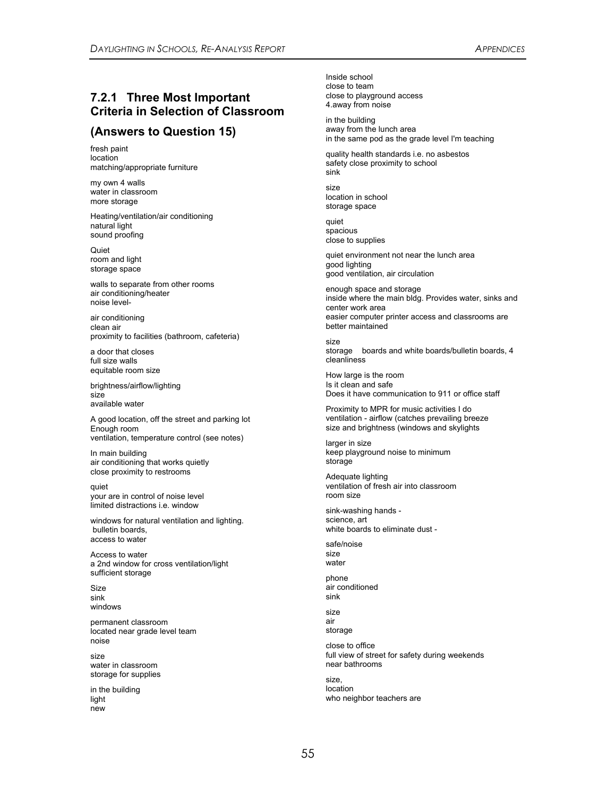#### **7.2.1 Three Most Important Criteria in Selection of Classroom**

#### **(Answers to Question 15)**

fresh paint location matching/appropriate furniture

my own 4 walls water in classroom more storage

Heating/ventilation/air conditioning natural light sound proofing

**Quiet** room and light storage space

walls to separate from other rooms air conditioning/heater noise level-

air conditioning clean air proximity to facilities (bathroom, cafeteria)

a door that closes full size walls equitable room size

brightness/airflow/lighting size available water

A good location, off the street and parking lot Enough room ventilation, temperature control (see notes)

In main building air conditioning that works quietly close proximity to restrooms

quiet your are in control of noise level limited distractions i.e. window

windows for natural ventilation and lighting. bulletin boards, access to water

Access to water a 2nd window for cross ventilation/light sufficient storage

Size sink windows

permanent classroom located near grade level team noise

size water in classroom storage for supplies

in the building light new

Inside school close to team close to playground access 4.away from noise

in the building away from the lunch area in the same pod as the grade level I'm teaching

quality health standards i.e. no asbestos safety close proximity to school sink

size location in school storage space

quiet spacious close to supplies

quiet environment not near the lunch area good lighting good ventilation, air circulation

enough space and storage inside where the main bldg. Provides water, sinks and center work area easier computer printer access and classrooms are better maintained

size storage boards and white boards/bulletin boards, 4 cleanliness

How large is the room Is it clean and safe Does it have communication to 911 or office staff

Proximity to MPR for music activities I do ventilation - airflow (catches prevailing breeze size and brightness (windows and skylights

larger in size keep playground noise to minimum storage

Adequate lighting ventilation of fresh air into classroom room size

sink-washing hands science, art white boards to eliminate dust -

safe/noise size water

phone air conditioned sink

size air storage

close to office full view of street for safety during weekends near bathrooms

size, location who neighbor teachers are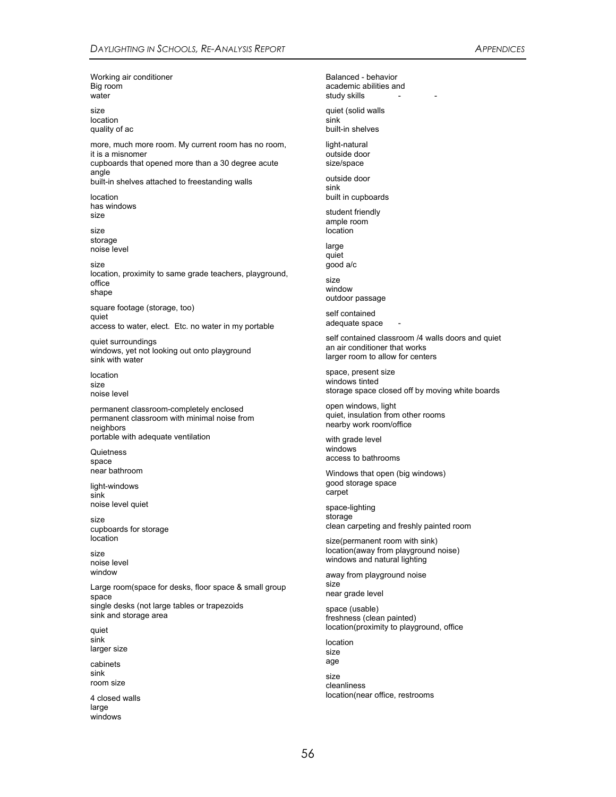Working air conditioner Big room water

size location quality of ac

more, much more room. My current room has no room, it is a misnomer cupboards that opened more than a 30 degree acute angle

built-in shelves attached to freestanding walls

location has windows size

size storage noise level

size location, proximity to same grade teachers, playground, office shape

square footage (storage, too) quiet access to water, elect. Etc. no water in my portable

quiet surroundings windows, yet not looking out onto playground sink with water

location size noise level

permanent classroom-completely enclosed permanent classroom with minimal noise from neighbors portable with adequate ventilation

**Quietness** space near bathroom

light-windows sink noise level quiet

size cupboards for storage location

size noise level window

Large room(space for desks, floor space & small group space single desks (not large tables or trapezoids sink and storage area

quiet sink larger size

cabinets sink room size

4 closed walls large windows

Balanced - behavior academic abilities and study skills

quiet (solid walls sink built-in shelves

light-natural outside door size/space

outside door sink built in cupboards

student friendly ample room location

large quiet good a/c

size window outdoor passage

self contained adequate space

self contained classroom /4 walls doors and quiet an air conditioner that works larger room to allow for centers

space, present size windows tinted storage space closed off by moving white boards

open windows, light quiet, insulation from other rooms nearby work room/office

with grade level windows access to bathrooms

Windows that open (big windows) good storage space carpet

space-lighting storage clean carpeting and freshly painted room

size(permanent room with sink) location(away from playground noise) windows and natural lighting

away from playground noise size near grade level

space (usable) freshness (clean painted) location(proximity to playground, office

location size age

size cleanliness location(near office, restrooms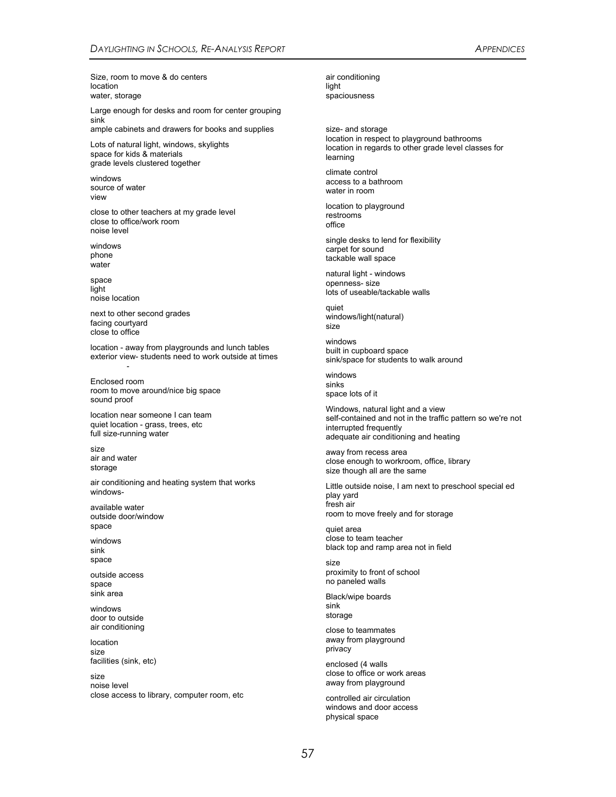Size, room to move & do centers location water, storage

Large enough for desks and room for center grouping sink ample cabinets and drawers for books and supplies

Lots of natural light, windows, skylights space for kids & materials grade levels clustered together

windows source of water view

close to other teachers at my grade level close to office/work room noise level

windows phone .<br>water

space light noise location

next to other second grades facing courtyard close to office

location - away from playgrounds and lunch tables exterior view- students need to work outside at times - 100 minutes

Enclosed room room to move around/nice big space sound proof

location near someone I can team quiet location - grass, trees, etc full size-running water

size air and water storage

air conditioning and heating system that works windows-

available water outside door/window space

windows sink space

outside access space sink area

windows door to outside air conditioning

location size facilities (sink, etc)

size noise level close access to library, computer room, etc

air conditioning light spaciousness

size- and storage location in respect to playground bathrooms location in regards to other grade level classes for learning

climate control access to a bathroom water in room

location to playground restrooms office

single desks to lend for flexibility carpet for sound tackable wall space

natural light - windows openness- size lots of useable/tackable walls

quiet windows/light(natural) size

windows built in cupboard space sink/space for students to walk around

windows sinks space lots of it

Windows, natural light and a view self-contained and not in the traffic pattern so we're not interrupted frequently adequate air conditioning and heating

away from recess area close enough to workroom, office, library size though all are the same

Little outside noise, I am next to preschool special ed play yard fresh air room to move freely and for storage

quiet area close to team teacher black top and ramp area not in field

size proximity to front of school no paneled walls

Black/wipe boards sink storage

close to teammates away from playground privacy

enclosed (4 walls close to office or work areas away from playground

controlled air circulation windows and door access physical space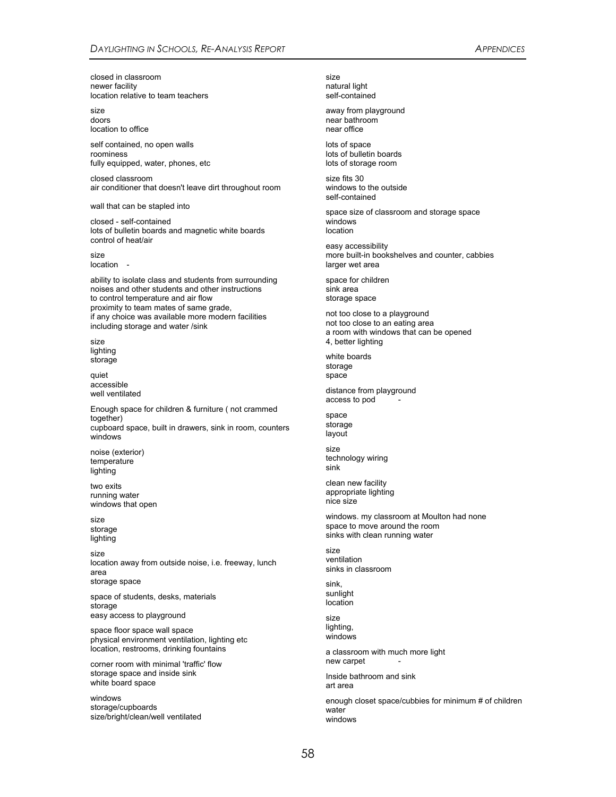closed in classroom newer facility location relative to team teachers

size doors location to office

self contained, no open walls roominess fully equipped, water, phones, etc

closed classroom air conditioner that doesn't leave dirt throughout room

wall that can be stapled into

closed - self-contained lots of bulletin boards and magnetic white boards control of heat/air

size location -

ability to isolate class and students from surrounding noises and other students and other instructions to control temperature and air flow proximity to team mates of same grade, if any choice was available more modern facilities including storage and water /sink

size lighting storage

quiet accessible well ventilated

Enough space for children & furniture ( not crammed together) cupboard space, built in drawers, sink in room, counters windows

noise (exterior) temperature lighting

two exits running water windows that open

size storage lighting

size location away from outside noise, i.e. freeway, lunch area storage space

space of students, desks, materials storage easy access to playground

space floor space wall space physical environment ventilation, lighting etc location, restrooms, drinking fountains

corner room with minimal 'traffic' flow storage space and inside sink white board space

windows storage/cupboards size/bright/clean/well ventilated size natural light self-contained

away from playground near bathroom near office

lots of space lots of bulletin boards lots of storage room

size fits 30 windows to the outside self-contained

space size of classroom and storage space windows location

easy accessibility more built-in bookshelves and counter, cabbies larger wet area

space for children sink area storage space

not too close to a playground not too close to an eating area a room with windows that can be opened 4, better lighting

white boards storage space

distance from playground access to pod

space storage layout

size technology wiring sink

clean new facility appropriate lighting nice size

windows. my classroom at Moulton had none space to move around the room sinks with clean running water

size ventilation sinks in classroom

sink, sunlight location

size lighting, windows

a classroom with much more light new carpet

Inside bathroom and sink art area

enough closet space/cubbies for minimum # of children water windows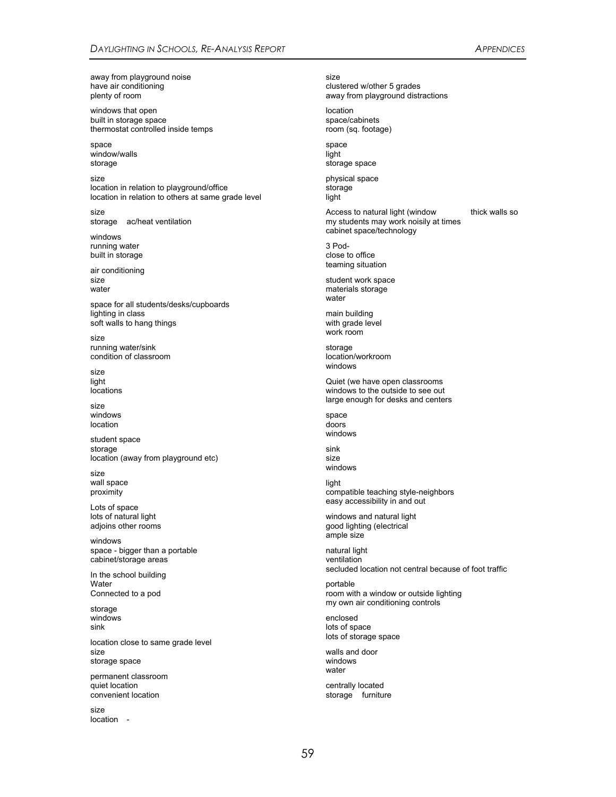away from playground noise have air conditioning plenty of room

windows that open built in storage space thermostat controlled inside temps

space window/walls storage

size location in relation to playground/office location in relation to others at same grade level

size storage ac/heat ventilation

windows running water built in storage

air conditioning size water

space for all students/desks/cupboards lighting in class soft walls to hang things

size running water/sink condition of classroom

size light locations

size windows location

student space storage location (away from playground etc)

size wall space proximity

Lots of space lots of natural light adjoins other rooms

windows space - bigger than a portable cabinet/storage areas

In the school building **Water** Connected to a pod

storage windows sink

location close to same grade level size storage space

permanent classroom quiet location convenient location

size location - size clustered w/other 5 grades away from playground distractions

location space/cabinets room (sq. footage)

space light storage space

physical space storage light

Access to natural light (window thick walls so my students may work noisily at times cabinet space/technology

3 Podclose to office teaming situation

student work space materials storage water

main building with grade level work room

storage location/workroom windows

Quiet (we have open classrooms windows to the outside to see out large enough for desks and centers

space doors windows

sink size windows

light compatible teaching style-neighbors easy accessibility in and out

windows and natural light good lighting (electrical ample size

natural light ventilation secluded location not central because of foot traffic

portable room with a window or outside lighting my own air conditioning controls

enclosed lots of space lots of storage space

walls and door windows water

centrally located storage furniture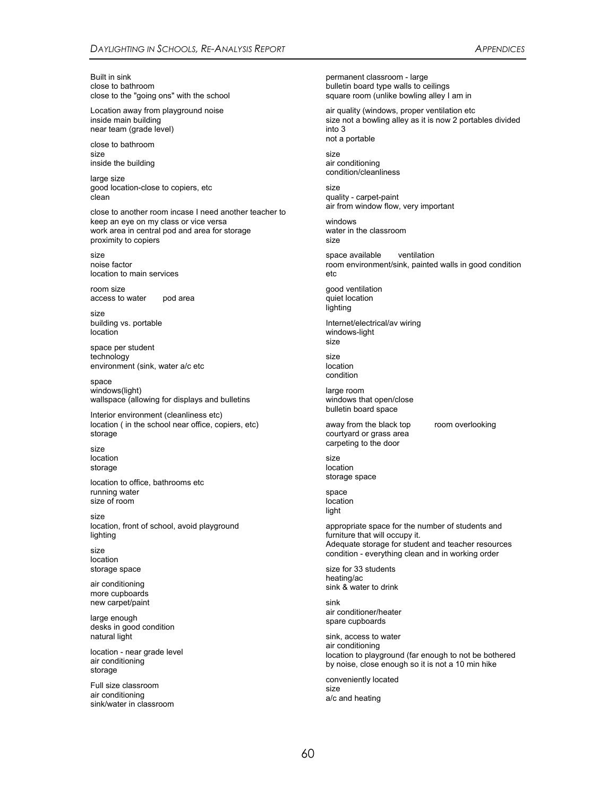Built in sink close to bathroom close to the "going ons" with the school

Location away from playground noise inside main building near team (grade level)

close to bathroom size inside the building

large size good location-close to copiers, etc clean

close to another room incase I need another teacher to keep an eye on my class or vice versa work area in central pod and area for storage proximity to copiers

size noise factor location to main services

room size access to water pod area

size building vs. portable location

space per student technology environment (sink, water a/c etc

space windows(light) wallspace (allowing for displays and bulletins

Interior environment (cleanliness etc) location ( in the school near office, copiers, etc) storage

size location storage

location to office, bathrooms etc running water size of room

size location, front of school, avoid playground lighting

size location storage space

air conditioning more cupboards new carpet/paint

large enough desks in good condition natural light

location - near grade level air conditioning storage

Full size classroom air conditioning sink/water in classroom permanent classroom - large bulletin board type walls to ceilings square room (unlike bowling alley I am in

air quality (windows, proper ventilation etc size not a bowling alley as it is now 2 portables divided into 3 not a portable

size air conditioning condition/cleanliness

size quality - carpet-paint air from window flow, very important

windows water in the classroom size

space available ventilation room environment/sink, painted walls in good condition etc

good ventilation quiet location lighting

Internet/electrical/av wiring windows-light size

size location condition

large room windows that open/close bulletin board space

away from the black top room overlooking courtyard or grass area carpeting to the door

size location storage space

space location light

appropriate space for the number of students and furniture that will occupy it. Adequate storage for student and teacher resources condition - everything clean and in working order

size for 33 students heating/ac sink & water to drink

sink air conditioner/heater spare cupboards

sink, access to water air conditioning location to playground (far enough to not be bothered by noise, close enough so it is not a 10 min hike

conveniently located size a/c and heating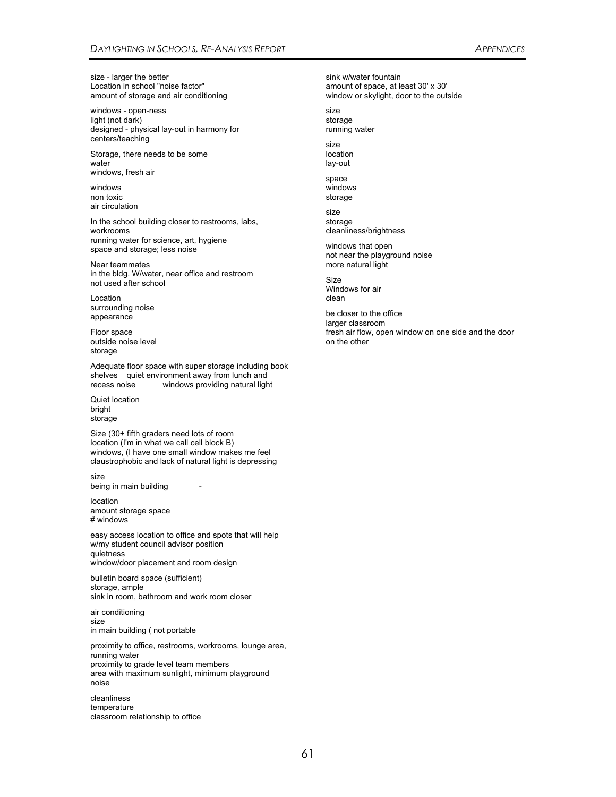size - larger the better Location in school "noise factor" amount of storage and air conditioning

windows - open-ness light (not dark) designed - physical lay-out in harmony for centers/teaching

Storage, there needs to be some water windows, fresh air

windows non toxic air circulation

In the school building closer to restrooms, labs, workrooms running water for science, art, hygiene space and storage; less noise

Near teammates in the bldg. W/water, near office and restroom not used after school

Location surrounding noise appearance

Floor space outside noise level storage

Adequate floor space with super storage including book shelves quiet environment away from lunch and recess noise windows providing natural light

Quiet location bright storage

Size (30+ fifth graders need lots of room location (I'm in what we call cell block B) windows, (I have one small window makes me feel claustrophobic and lack of natural light is depressing

size being in main building

location amount storage space # windows

easy access location to office and spots that will help w/my student council advisor position quietness window/door placement and room design

bulletin board space (sufficient) storage, ample sink in room, bathroom and work room closer

air conditioning size in main building ( not portable

proximity to office, restrooms, workrooms, lounge area, running water proximity to grade level team members area with maximum sunlight, minimum playground noise

cleanliness temperature classroom relationship to office

sink w/water fountain amount of space, at least 30' x 30' window or skylight, door to the outside

size storage running water

size location lay-out

space windows storage

size storage cleanliness/brightness

windows that open not near the playground noise more natural light

Size Windows for air clean

be closer to the office larger classroom fresh air flow, open window on one side and the door on the other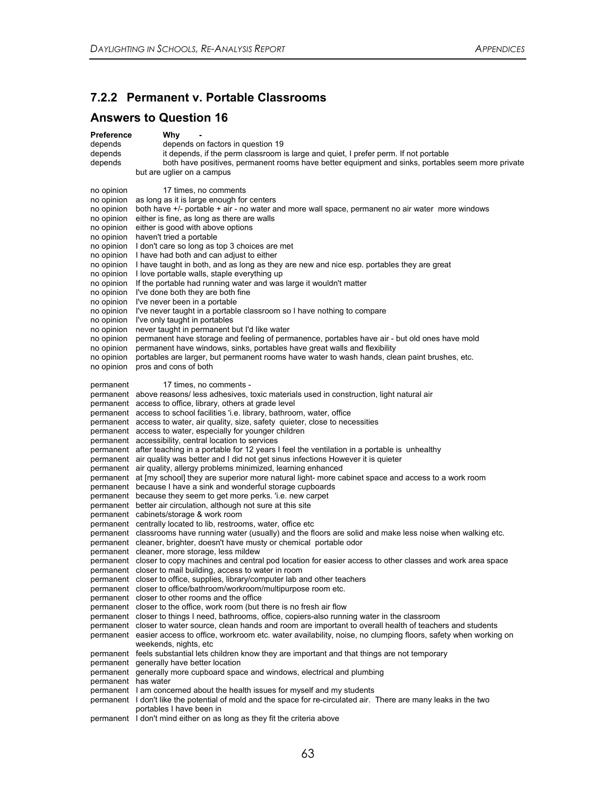## **7.2.2 Permanent v. Portable Classrooms**

## **Answers to Question 16**

| <b>Preference</b>        | Why                                                                                                                                                                             |
|--------------------------|---------------------------------------------------------------------------------------------------------------------------------------------------------------------------------|
| depends<br>depends       | depends on factors in question 19<br>it depends, if the perm classroom is large and quiet, I prefer perm. If not portable                                                       |
| depends                  | both have positives, permanent rooms have better equipment and sinks, portables seem more private                                                                               |
|                          | but are uglier on a campus                                                                                                                                                      |
| no opinion               | 17 times, no comments                                                                                                                                                           |
| no opinion               | as long as it is large enough for centers                                                                                                                                       |
| no opinion               | both have +/- portable + air - no water and more wall space, permanent no air water more windows<br>either is fine, as long as there are walls                                  |
| no opinion<br>no opinion | either is good with above options                                                                                                                                               |
| no opinion               | haven't tried a portable                                                                                                                                                        |
| no opinion               | I don't care so long as top 3 choices are met                                                                                                                                   |
| no opinion               | I have had both and can adjust to either                                                                                                                                        |
| no opinion               | I have taught in both, and as long as they are new and nice esp. portables they are great                                                                                       |
| no opinion               | I love portable walls, staple everything up                                                                                                                                     |
| no opinion               | If the portable had running water and was large it wouldn't matter<br>I've done both they are both fine                                                                         |
| no opinion<br>no opinion | I've never been in a portable                                                                                                                                                   |
| no opinion               | I've never taught in a portable classroom so I have nothing to compare                                                                                                          |
| no opinion               | I've only taught in portables                                                                                                                                                   |
| no opinion               | never taught in permanent but I'd like water                                                                                                                                    |
| no opinion               | permanent have storage and feeling of permanence, portables have air - but old ones have mold                                                                                   |
| no opinion               | permanent have windows, sinks, portables have great walls and flexibility                                                                                                       |
| no opinion               | portables are larger, but permanent rooms have water to wash hands, clean paint brushes, etc.                                                                                   |
| no opinion               | pros and cons of both                                                                                                                                                           |
| permanent                | 17 times, no comments -                                                                                                                                                         |
|                          | permanent above reasons/ less adhesives, toxic materials used in construction, light natural air                                                                                |
|                          | permanent access to office, library, others at grade level                                                                                                                      |
|                          | permanent access to school facilities 'i.e. library, bathroom, water, office<br>permanent access to water, air quality, size, safety quieter, close to necessities              |
|                          | permanent access to water, especially for younger children                                                                                                                      |
|                          | permanent accessibility, central location to services                                                                                                                           |
|                          | permanent after teaching in a portable for 12 years I feel the ventilation in a portable is unhealthy                                                                           |
|                          | permanent air quality was better and I did not get sinus infections However it is quieter                                                                                       |
|                          | permanent air quality, allergy problems minimized, learning enhanced                                                                                                            |
|                          | permanent at [my school] they are superior more natural light- more cabinet space and access to a work room                                                                     |
|                          | permanent because I have a sink and wonderful storage cupboards<br>permanent because they seem to get more perks. 'i.e. new carpet                                              |
|                          | permanent better air circulation, although not sure at this site                                                                                                                |
|                          | permanent cabinets/storage & work room                                                                                                                                          |
|                          | permanent centrally located to lib, restrooms, water, office etc                                                                                                                |
|                          | permanent classrooms have running water (usually) and the floors are solid and make less noise when walking etc.                                                                |
|                          | permanent cleaner, brighter, doesn't have musty or chemical portable odor                                                                                                       |
|                          | permanent cleaner, more storage, less mildew                                                                                                                                    |
|                          | permanent closer to copy machines and central pod location for easier access to other classes and work area space<br>permanent closer to mail building, access to water in room |
|                          | permanent closer to office, supplies, library/computer lab and other teachers                                                                                                   |
|                          | permanent closer to office/bathroom/workroom/multipurpose room etc.                                                                                                             |
|                          | permanent closer to other rooms and the office                                                                                                                                  |
|                          | permanent closer to the office, work room (but there is no fresh air flow                                                                                                       |
|                          | permanent closer to things I need, bathrooms, office, copiers-also running water in the classroom                                                                               |
|                          | permanent closer to water source, clean hands and room are important to overall health of teachers and students                                                                 |
|                          | permanent easier access to office, workroom etc. water availability, noise, no clumping floors, safety when working on<br>weekends, nights, etc.                                |
|                          | permanent feels substantial lets children know they are important and that things are not temporary                                                                             |
|                          | permanent generally have better location                                                                                                                                        |
|                          | permanent generally more cupboard space and windows, electrical and plumbing                                                                                                    |
| permanent has water      |                                                                                                                                                                                 |
|                          | permanent I am concerned about the health issues for myself and my students                                                                                                     |
|                          | permanent I don't like the potential of mold and the space for re-circulated air. There are many leaks in the two<br>portables I have been in                                   |
|                          | permanent I don't mind either on as long as they fit the criteria above                                                                                                         |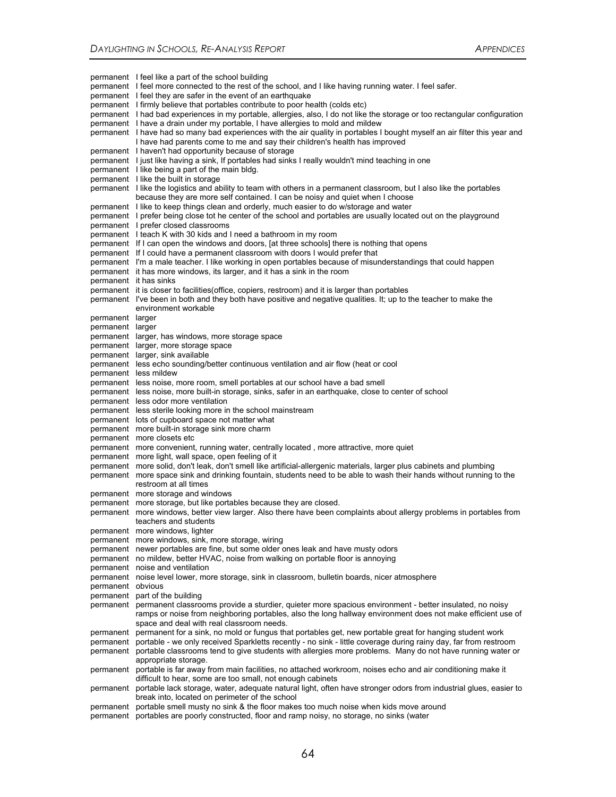permanent I feel like a part of the school building permanent I feel more connected to the rest of the school, and I like having running water. I feel safer. permanent I feel they are safer in the event of an earthquake permanent I firmly believe that portables contribute to poor health (colds etc) permanent I had bad experiences in my portable, allergies, also, I do not like the storage or too rectangular configuration permanent I have a drain under my portable, I have allergies to mold and mildew permanent I have had so many bad experiences with the air quality in portables I bought myself an air filter this year and I have had parents come to me and say their children's health has improved permanent I haven't had opportunity because of storage permanent I just like having a sink, If portables had sinks I really wouldn't mind teaching in one permanent I like being a part of the main bldg. permanent I like the built in storage permanent I like the logistics and ability to team with others in a permanent classroom, but I also like the portables because they are more self contained. I can be noisy and quiet when I choose permanent I like to keep things clean and orderly, much easier to do w/storage and water permanent I prefer being close tot he center of the school and portables are usually located out on the playground permanent I prefer closed classrooms permanent I teach K with 30 kids and I need a bathroom in my room permanent If I can open the windows and doors, [at three schools] there is nothing that opens permanent If I could have a permanent classroom with doors I would prefer that permanent I'm a male teacher. I like working in open portables because of misunderstandings that could happen permanent it has more windows, its larger, and it has a sink in the room permanent it has sinks permanent it is closer to facilities(office, copiers, restroom) and it is larger than portables permanent I've been in both and they both have positive and negative qualities. It; up to the teacher to make the environment workable permanent larger permanent larger permanent larger, has windows, more storage space permanent larger, more storage space permanent larger, sink available permanent less echo sounding/better continuous ventilation and air flow (heat or cool permanent less mildew permanent less noise, more room, smell portables at our school have a bad smell permanent less noise, more built-in storage, sinks, safer in an earthquake, close to center of school permanent less odor more ventilation permanent less sterile looking more in the school mainstream permanent lots of cupboard space not matter what permanent more built-in storage sink more charm permanent more closets etc .<br>permanent more convenient, running water, centrally located, more attractive, more quiet permanent more light, wall space, open feeling of it permanent more solid, don't leak, don't smell like artificial-allergenic materials, larger plus cabinets and plumbing permanent more space sink and drinking fountain, students need to be able to wash their hands without running to the restroom at all times permanent more storage and windows permanent more storage, but like portables because they are closed. permanent more windows, better view larger. Also there have been complaints about allergy problems in portables from teachers and students permanent more windows, lighter permanent more windows, sink, more storage, wiring permanent newer portables are fine, but some older ones leak and have musty odors permanent no mildew, better HVAC, noise from walking on portable floor is annoying permanent noise and ventilation permanent noise level lower, more storage, sink in classroom, bulletin boards, nicer atmosphere permanent obvious permanent part of the building permanent permanent classrooms provide a sturdier, quieter more spacious environment - better insulated, no noisy ramps or noise from neighboring portables, also the long hallway environment does not make efficient use of space and deal with real classroom needs. permanent permanent for a sink, no mold or fungus that portables get, new portable great for hanging student work permanent portable - we only received Sparkletts recently - no sink - little coverage during rainy day, far from restroom permanent portable classrooms tend to give students with allergies more problems. Many do not have running water or appropriate storage. permanent portable is far away from main facilities, no attached workroom, noises echo and air conditioning make it difficult to hear, some are too small, not enough cabinets permanent portable lack storage, water, adequate natural light, often have stronger odors from industrial glues, easier to break into, located on perimeter of the school permanent portable smell musty no sink & the floor makes too much noise when kids move around permanent portables are poorly constructed, floor and ramp noisy, no storage, no sinks (water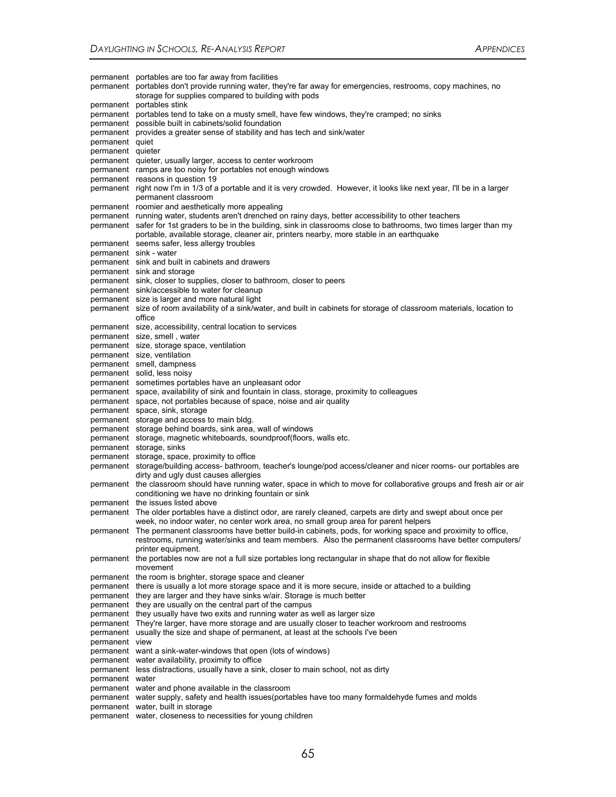permanent portables are too far away from facilities permanent portables don't provide running water, they're far away for emergencies, restrooms, copy machines, no storage for supplies compared to building with pods permanent portables stink permanent portables tend to take on a musty smell, have few windows, they're cramped; no sinks permanent possible built in cabinets/solid foundation permanent provides a greater sense of stability and has tech and sink/water permanent quiet permanent quieter permanent quieter, usually larger, access to center workroom permanent ramps are too noisy for portables not enough windows permanent reasons in question 19 permanent right now I'm in 1/3 of a portable and it is very crowded. However, it looks like next year, I'll be in a larger permanent classroom permanent roomier and aesthetically more appealing permanent running water, students aren't drenched on rainy days, better accessibility to other teachers permanent safer for 1st graders to be in the building, sink in classrooms close to bathrooms, two times larger than my portable, available storage, cleaner air, printers nearby, more stable in an earthquake permanent seems safer, less allergy troubles permanent sink - water permanent sink and built in cabinets and drawers permanent sink and storage permanent sink, closer to supplies, closer to bathroom, closer to peers permanent sink/accessible to water for cleanup permanent size is larger and more natural light permanent size of room availability of a sink/water, and built in cabinets for storage of classroom materials, location to office permanent size, accessibility, central location to services permanent size, smell , water permanent size, storage space, ventilation permanent size, ventilation permanent smell, dampness permanent solid, less noisy permanent sometimes portables have an unpleasant odor permanent space, availability of sink and fountain in class, storage, proximity to colleagues permanent space, not portables because of space, noise and air quality permanent space, sink, storage permanent storage and access to main bldg. permanent storage behind boards, sink area, wall of windows permanent storage, magnetic whiteboards, soundproof(floors, walls etc. permanent storage, sinks permanent storage, space, proximity to office permanent storage/building access- bathroom, teacher's lounge/pod access/cleaner and nicer rooms- our portables are dirty and ugly dust causes allergies permanent the classroom should have running water, space in which to move for collaborative groups and fresh air or air conditioning we have no drinking fountain or sink permanent the issues listed above permanent The older portables have a distinct odor, are rarely cleaned, carpets are dirty and swept about once per week, no indoor water, no center work area, no small group area for parent helpers permanent The permanent classrooms have better build-in cabinets, pods, for working space and proximity to office, restrooms, running water/sinks and team members. Also the permanent classrooms have better computers/ printer equipment. permanent the portables now are not a full size portables long rectangular in shape that do not allow for flexible movement permanent the room is brighter, storage space and cleaner permanent there is usually a lot more storage space and it is more secure, inside or attached to a building permanent they are larger and they have sinks w/air. Storage is much better permanent they are usually on the central part of the campus permanent they usually have two exits and running water as well as larger size permanent They're larger, have more storage and are usually closer to teacher workroom and restrooms permanent usually the size and shape of permanent, at least at the schools I've been permanent view permanent want a sink-water-windows that open (lots of windows) permanent water availability, proximity to office permanent less distractions, usually have a sink, closer to main school, not as dirty permanent water permanent water and phone available in the classroom permanent water supply, safety and health issues(portables have too many formaldehyde fumes and molds permanent water, built in storage permanent water, closeness to necessities for young children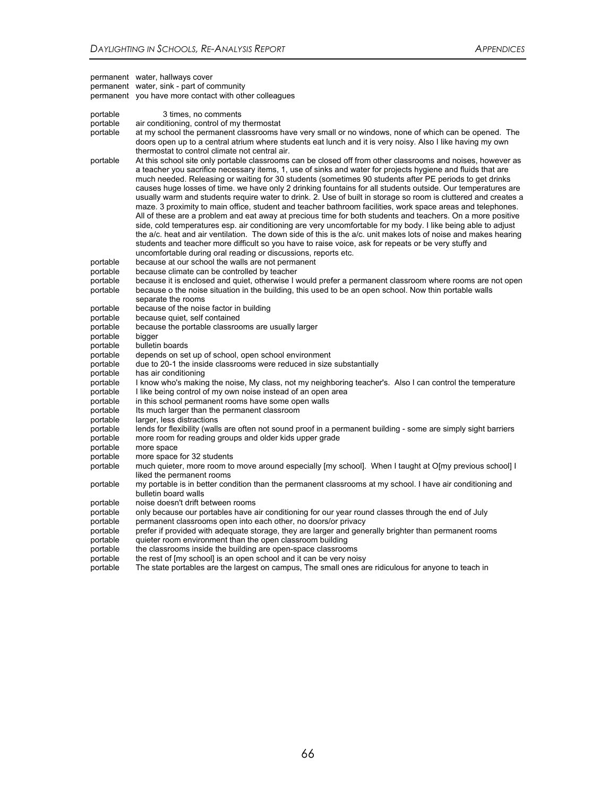|                      | permanent water, hallways cover<br>permanent water, sink - part of community<br>permanent you have more contact with other colleagues                                                                                                                                                                                                                                                                                                                                                                                                                                                                                                                                                                                                                                                                                                                                                                                                                                                                                                                                                                                                                                                                                 |
|----------------------|-----------------------------------------------------------------------------------------------------------------------------------------------------------------------------------------------------------------------------------------------------------------------------------------------------------------------------------------------------------------------------------------------------------------------------------------------------------------------------------------------------------------------------------------------------------------------------------------------------------------------------------------------------------------------------------------------------------------------------------------------------------------------------------------------------------------------------------------------------------------------------------------------------------------------------------------------------------------------------------------------------------------------------------------------------------------------------------------------------------------------------------------------------------------------------------------------------------------------|
| portable<br>portable | 3 times, no comments<br>air conditioning, control of my thermostat                                                                                                                                                                                                                                                                                                                                                                                                                                                                                                                                                                                                                                                                                                                                                                                                                                                                                                                                                                                                                                                                                                                                                    |
| portable             | at my school the permanent classrooms have very small or no windows, none of which can be opened. The<br>doors open up to a central atrium where students eat lunch and it is very noisy. Also I like having my own<br>thermostat to control climate not central air.                                                                                                                                                                                                                                                                                                                                                                                                                                                                                                                                                                                                                                                                                                                                                                                                                                                                                                                                                 |
| portable             | At this school site only portable classrooms can be closed off from other classrooms and noises, however as<br>a teacher you sacrifice necessary items, 1, use of sinks and water for projects hygiene and fluids that are<br>much needed. Releasing or waiting for 30 students (sometimes 90 students after PE periods to get drinks<br>causes huge losses of time. we have only 2 drinking fountains for all students outside. Our temperatures are<br>usually warm and students require water to drink. 2. Use of built in storage so room is cluttered and creates a<br>maze. 3 proximity to main office, student and teacher bathroom facilities, work space areas and telephones.<br>All of these are a problem and eat away at precious time for both students and teachers. On a more positive<br>side, cold temperatures esp. air conditioning are very uncomfortable for my body. I like being able to adjust<br>the a/c. heat and air ventilation. The down side of this is the a/c. unit makes lots of noise and makes hearing<br>students and teacher more difficult so you have to raise voice, ask for repeats or be very stuffy and<br>uncomfortable during oral reading or discussions, reports etc. |
| portable             | because at our school the walls are not permanent                                                                                                                                                                                                                                                                                                                                                                                                                                                                                                                                                                                                                                                                                                                                                                                                                                                                                                                                                                                                                                                                                                                                                                     |
| portable             | because climate can be controlled by teacher                                                                                                                                                                                                                                                                                                                                                                                                                                                                                                                                                                                                                                                                                                                                                                                                                                                                                                                                                                                                                                                                                                                                                                          |
| portable             | because it is enclosed and quiet, otherwise I would prefer a permanent classroom where rooms are not open                                                                                                                                                                                                                                                                                                                                                                                                                                                                                                                                                                                                                                                                                                                                                                                                                                                                                                                                                                                                                                                                                                             |
| portable             | because o the noise situation in the building, this used to be an open school. Now thin portable walls<br>separate the rooms                                                                                                                                                                                                                                                                                                                                                                                                                                                                                                                                                                                                                                                                                                                                                                                                                                                                                                                                                                                                                                                                                          |
| portable             | because of the noise factor in building                                                                                                                                                                                                                                                                                                                                                                                                                                                                                                                                                                                                                                                                                                                                                                                                                                                                                                                                                                                                                                                                                                                                                                               |
| portable             | because quiet, self contained                                                                                                                                                                                                                                                                                                                                                                                                                                                                                                                                                                                                                                                                                                                                                                                                                                                                                                                                                                                                                                                                                                                                                                                         |
| portable             | because the portable classrooms are usually larger                                                                                                                                                                                                                                                                                                                                                                                                                                                                                                                                                                                                                                                                                                                                                                                                                                                                                                                                                                                                                                                                                                                                                                    |
| portable             | bigger                                                                                                                                                                                                                                                                                                                                                                                                                                                                                                                                                                                                                                                                                                                                                                                                                                                                                                                                                                                                                                                                                                                                                                                                                |
| portable             | bulletin boards                                                                                                                                                                                                                                                                                                                                                                                                                                                                                                                                                                                                                                                                                                                                                                                                                                                                                                                                                                                                                                                                                                                                                                                                       |
| portable             | depends on set up of school, open school environment                                                                                                                                                                                                                                                                                                                                                                                                                                                                                                                                                                                                                                                                                                                                                                                                                                                                                                                                                                                                                                                                                                                                                                  |
| portable             | due to 20-1 the inside classrooms were reduced in size substantially                                                                                                                                                                                                                                                                                                                                                                                                                                                                                                                                                                                                                                                                                                                                                                                                                                                                                                                                                                                                                                                                                                                                                  |
| portable             | has air conditioning                                                                                                                                                                                                                                                                                                                                                                                                                                                                                                                                                                                                                                                                                                                                                                                                                                                                                                                                                                                                                                                                                                                                                                                                  |
| portable             | I know who's making the noise, My class, not my neighboring teacher's. Also I can control the temperature                                                                                                                                                                                                                                                                                                                                                                                                                                                                                                                                                                                                                                                                                                                                                                                                                                                                                                                                                                                                                                                                                                             |
| portable             | I like being control of my own noise instead of an open area                                                                                                                                                                                                                                                                                                                                                                                                                                                                                                                                                                                                                                                                                                                                                                                                                                                                                                                                                                                                                                                                                                                                                          |
| portable             | in this school permanent rooms have some open walls                                                                                                                                                                                                                                                                                                                                                                                                                                                                                                                                                                                                                                                                                                                                                                                                                                                                                                                                                                                                                                                                                                                                                                   |
| portable             | Its much larger than the permanent classroom                                                                                                                                                                                                                                                                                                                                                                                                                                                                                                                                                                                                                                                                                                                                                                                                                                                                                                                                                                                                                                                                                                                                                                          |
| portable             | larger, less distractions                                                                                                                                                                                                                                                                                                                                                                                                                                                                                                                                                                                                                                                                                                                                                                                                                                                                                                                                                                                                                                                                                                                                                                                             |
| portable<br>portable | lends for flexibility (walls are often not sound proof in a permanent building - some are simply sight barriers                                                                                                                                                                                                                                                                                                                                                                                                                                                                                                                                                                                                                                                                                                                                                                                                                                                                                                                                                                                                                                                                                                       |
| portable             | more room for reading groups and older kids upper grade<br>more space                                                                                                                                                                                                                                                                                                                                                                                                                                                                                                                                                                                                                                                                                                                                                                                                                                                                                                                                                                                                                                                                                                                                                 |
| portable             | more space for 32 students                                                                                                                                                                                                                                                                                                                                                                                                                                                                                                                                                                                                                                                                                                                                                                                                                                                                                                                                                                                                                                                                                                                                                                                            |
| portable             | much quieter, more room to move around especially [my school]. When I taught at O[my previous school] I                                                                                                                                                                                                                                                                                                                                                                                                                                                                                                                                                                                                                                                                                                                                                                                                                                                                                                                                                                                                                                                                                                               |
|                      | liked the permanent rooms                                                                                                                                                                                                                                                                                                                                                                                                                                                                                                                                                                                                                                                                                                                                                                                                                                                                                                                                                                                                                                                                                                                                                                                             |
| portable             | my portable is in better condition than the permanent classrooms at my school. I have air conditioning and<br>bulletin board walls                                                                                                                                                                                                                                                                                                                                                                                                                                                                                                                                                                                                                                                                                                                                                                                                                                                                                                                                                                                                                                                                                    |
| portable             | noise doesn't drift between rooms                                                                                                                                                                                                                                                                                                                                                                                                                                                                                                                                                                                                                                                                                                                                                                                                                                                                                                                                                                                                                                                                                                                                                                                     |
| portable             | only because our portables have air conditioning for our year round classes through the end of July                                                                                                                                                                                                                                                                                                                                                                                                                                                                                                                                                                                                                                                                                                                                                                                                                                                                                                                                                                                                                                                                                                                   |
| portable             | permanent classrooms open into each other, no doors/or privacy                                                                                                                                                                                                                                                                                                                                                                                                                                                                                                                                                                                                                                                                                                                                                                                                                                                                                                                                                                                                                                                                                                                                                        |
| portable             | prefer if provided with adequate storage, they are larger and generally brighter than permanent rooms                                                                                                                                                                                                                                                                                                                                                                                                                                                                                                                                                                                                                                                                                                                                                                                                                                                                                                                                                                                                                                                                                                                 |
| portable             | quieter room environment than the open classroom building                                                                                                                                                                                                                                                                                                                                                                                                                                                                                                                                                                                                                                                                                                                                                                                                                                                                                                                                                                                                                                                                                                                                                             |
| portable             | the classrooms inside the building are open-space classrooms                                                                                                                                                                                                                                                                                                                                                                                                                                                                                                                                                                                                                                                                                                                                                                                                                                                                                                                                                                                                                                                                                                                                                          |
| portable             | the rest of [my school] is an open school and it can be very noisy                                                                                                                                                                                                                                                                                                                                                                                                                                                                                                                                                                                                                                                                                                                                                                                                                                                                                                                                                                                                                                                                                                                                                    |
| portable             | The state portables are the largest on campus, The small ones are ridiculous for anyone to teach in                                                                                                                                                                                                                                                                                                                                                                                                                                                                                                                                                                                                                                                                                                                                                                                                                                                                                                                                                                                                                                                                                                                   |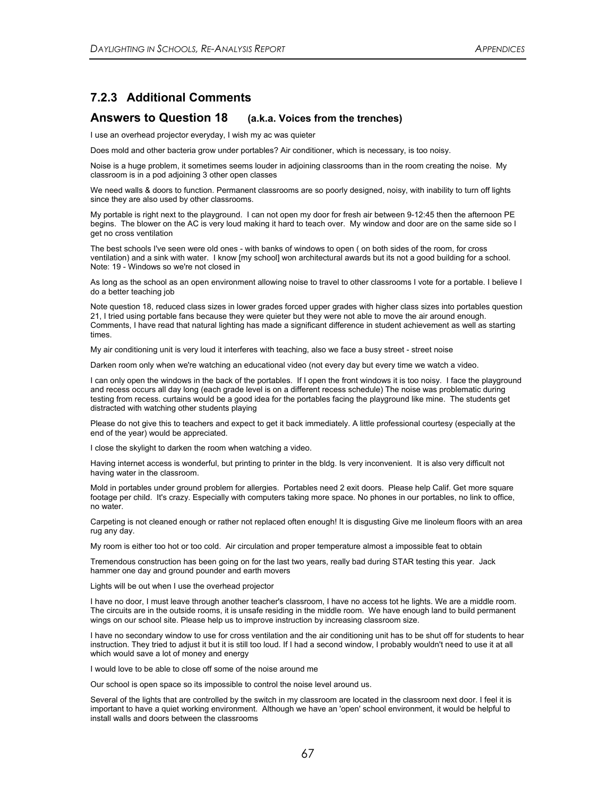### **7.2.3 Additional Comments**

### **Answers to Question 18 (a.k.a. Voices from the trenches)**

I use an overhead projector everyday, I wish my ac was quieter

Does mold and other bacteria grow under portables? Air conditioner, which is necessary, is too noisy.

Noise is a huge problem, it sometimes seems louder in adjoining classrooms than in the room creating the noise. My classroom is in a pod adjoining 3 other open classes

We need walls & doors to function. Permanent classrooms are so poorly designed, noisy, with inability to turn off lights since they are also used by other classrooms.

My portable is right next to the playground. I can not open my door for fresh air between 9-12:45 then the afternoon PE begins. The blower on the AC is very loud making it hard to teach over. My window and door are on the same side so I get no cross ventilation

The best schools I've seen were old ones - with banks of windows to open ( on both sides of the room, for cross ventilation) and a sink with water. I know [my school] won architectural awards but its not a good building for a school. Note: 19 - Windows so we're not closed in

As long as the school as an open environment allowing noise to travel to other classrooms I vote for a portable. I believe I do a better teaching job

Note question 18, reduced class sizes in lower grades forced upper grades with higher class sizes into portables question 21, I tried using portable fans because they were quieter but they were not able to move the air around enough. Comments, I have read that natural lighting has made a significant difference in student achievement as well as starting times.

My air conditioning unit is very loud it interferes with teaching, also we face a busy street - street noise

Darken room only when we're watching an educational video (not every day but every time we watch a video.

I can only open the windows in the back of the portables. If I open the front windows it is too noisy. I face the playground and recess occurs all day long (each grade level is on a different recess schedule) The noise was problematic during testing from recess. curtains would be a good idea for the portables facing the playground like mine. The students get distracted with watching other students playing

Please do not give this to teachers and expect to get it back immediately. A little professional courtesy (especially at the end of the year) would be appreciated.

I close the skylight to darken the room when watching a video.

Having internet access is wonderful, but printing to printer in the bldg. Is very inconvenient. It is also very difficult not having water in the classroom.

Mold in portables under ground problem for allergies. Portables need 2 exit doors. Please help Calif. Get more square footage per child. It's crazy. Especially with computers taking more space. No phones in our portables, no link to office, no water.

Carpeting is not cleaned enough or rather not replaced often enough! It is disgusting Give me linoleum floors with an area rug any day.

My room is either too hot or too cold. Air circulation and proper temperature almost a impossible feat to obtain

Tremendous construction has been going on for the last two years, really bad during STAR testing this year. Jack hammer one day and ground pounder and earth movers

Lights will be out when I use the overhead projector

I have no door, I must leave through another teacher's classroom, I have no access tot he lights. We are a middle room. The circuits are in the outside rooms, it is unsafe residing in the middle room. We have enough land to build permanent wings on our school site. Please help us to improve instruction by increasing classroom size.

I have no secondary window to use for cross ventilation and the air conditioning unit has to be shut off for students to hear instruction. They tried to adjust it but it is still too loud. If I had a second window, I probably wouldn't need to use it at all which would save a lot of money and energy

I would love to be able to close off some of the noise around me

Our school is open space so its impossible to control the noise level around us.

Several of the lights that are controlled by the switch in my classroom are located in the classroom next door. I feel it is important to have a quiet working environment. Although we have an 'open' school environment, it would be helpful to install walls and doors between the classrooms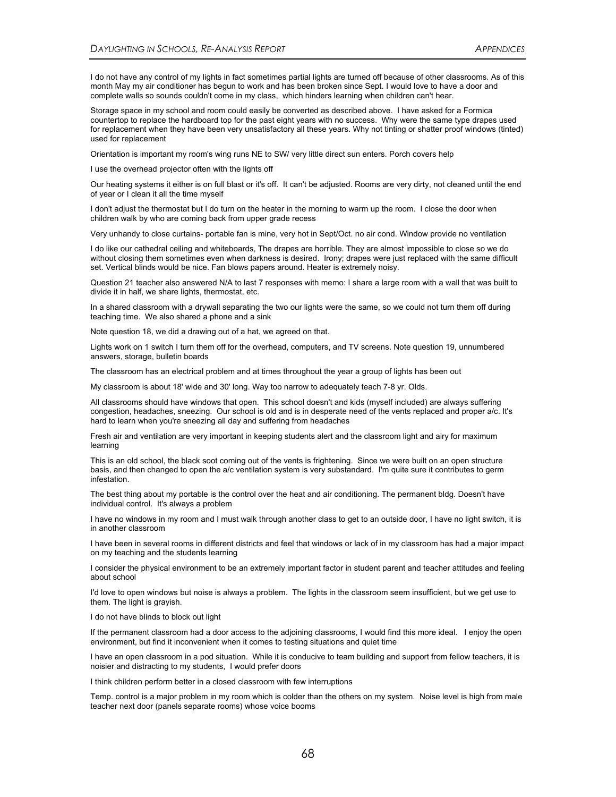I do not have any control of my lights in fact sometimes partial lights are turned off because of other classrooms. As of this month May my air conditioner has begun to work and has been broken since Sept. I would love to have a door and complete walls so sounds couldn't come in my class, which hinders learning when children can't hear.

Storage space in my school and room could easily be converted as described above. I have asked for a Formica countertop to replace the hardboard top for the past eight years with no success. Why were the same type drapes used for replacement when they have been very unsatisfactory all these years. Why not tinting or shatter proof windows (tinted) used for replacement

Orientation is important my room's wing runs NE to SW/ very little direct sun enters. Porch covers help

I use the overhead projector often with the lights off

Our heating systems it either is on full blast or it's off. It can't be adjusted. Rooms are very dirty, not cleaned until the end of year or I clean it all the time myself

I don't adjust the thermostat but I do turn on the heater in the morning to warm up the room. I close the door when children walk by who are coming back from upper grade recess

Very unhandy to close curtains- portable fan is mine, very hot in Sept/Oct. no air cond. Window provide no ventilation

I do like our cathedral ceiling and whiteboards, The drapes are horrible. They are almost impossible to close so we do without closing them sometimes even when darkness is desired. Irony; drapes were just replaced with the same difficult set. Vertical blinds would be nice. Fan blows papers around. Heater is extremely noisy.

Question 21 teacher also answered N/A to last 7 responses with memo: I share a large room with a wall that was built to divide it in half, we share lights, thermostat, etc.

In a shared classroom with a drywall separating the two our lights were the same, so we could not turn them off during teaching time. We also shared a phone and a sink

Note question 18, we did a drawing out of a hat, we agreed on that.

Lights work on 1 switch I turn them off for the overhead, computers, and TV screens. Note question 19, unnumbered answers, storage, bulletin boards

The classroom has an electrical problem and at times throughout the year a group of lights has been out

My classroom is about 18' wide and 30' long. Way too narrow to adequately teach 7-8 yr. Olds.

All classrooms should have windows that open. This school doesn't and kids (myself included) are always suffering congestion, headaches, sneezing. Our school is old and is in desperate need of the vents replaced and proper a/c. It's hard to learn when you're sneezing all day and suffering from headaches

Fresh air and ventilation are very important in keeping students alert and the classroom light and airy for maximum learning

This is an old school, the black soot coming out of the vents is frightening. Since we were built on an open structure basis, and then changed to open the a/c ventilation system is very substandard. I'm quite sure it contributes to germ infestation.

The best thing about my portable is the control over the heat and air conditioning. The permanent bldg. Doesn't have individual control. It's always a problem

I have no windows in my room and I must walk through another class to get to an outside door, I have no light switch, it is in another classroom

I have been in several rooms in different districts and feel that windows or lack of in my classroom has had a major impact on my teaching and the students learning

I consider the physical environment to be an extremely important factor in student parent and teacher attitudes and feeling about school

I'd love to open windows but noise is always a problem. The lights in the classroom seem insufficient, but we get use to them. The light is grayish.

#### I do not have blinds to block out light

If the permanent classroom had a door access to the adjoining classrooms, I would find this more ideal. I enjoy the open environment, but find it inconvenient when it comes to testing situations and quiet time

I have an open classroom in a pod situation. While it is conducive to team building and support from fellow teachers, it is noisier and distracting to my students, I would prefer doors

I think children perform better in a closed classroom with few interruptions

Temp. control is a major problem in my room which is colder than the others on my system. Noise level is high from male teacher next door (panels separate rooms) whose voice booms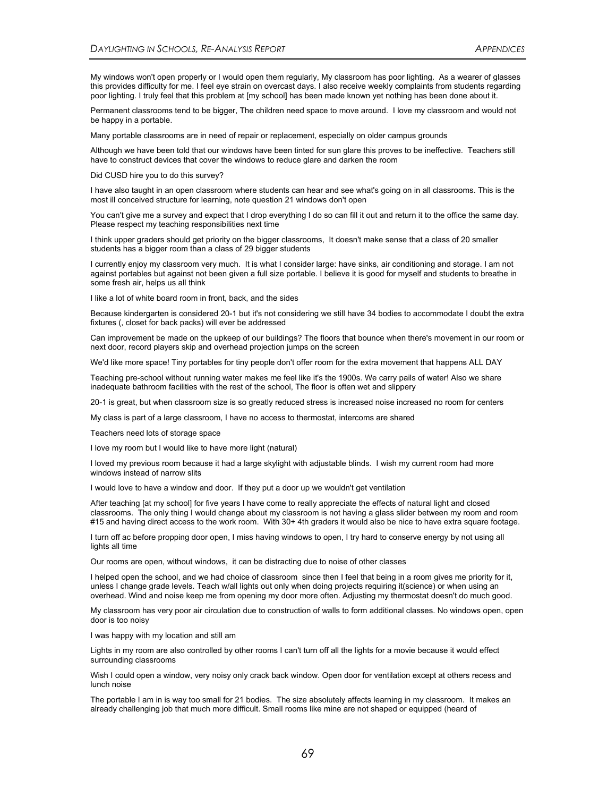My windows won't open properly or I would open them regularly, My classroom has poor lighting. As a wearer of glasses this provides difficulty for me. I feel eye strain on overcast days. I also receive weekly complaints from students regarding poor lighting. I truly feel that this problem at [my school] has been made known yet nothing has been done about it.

Permanent classrooms tend to be bigger, The children need space to move around. I love my classroom and would not be happy in a portable.

Many portable classrooms are in need of repair or replacement, especially on older campus grounds

Although we have been told that our windows have been tinted for sun glare this proves to be ineffective. Teachers still have to construct devices that cover the windows to reduce glare and darken the room

Did CUSD hire you to do this survey?

I have also taught in an open classroom where students can hear and see what's going on in all classrooms. This is the most ill conceived structure for learning, note question 21 windows don't open

You can't give me a survey and expect that I drop everything I do so can fill it out and return it to the office the same day. Please respect my teaching responsibilities next time

I think upper graders should get priority on the bigger classrooms, It doesn't make sense that a class of 20 smaller students has a bigger room than a class of 29 bigger students

I currently enjoy my classroom very much. It is what I consider large: have sinks, air conditioning and storage. I am not against portables but against not been given a full size portable. I believe it is good for myself and students to breathe in some fresh air, helps us all think

I like a lot of white board room in front, back, and the sides

Because kindergarten is considered 20-1 but it's not considering we still have 34 bodies to accommodate I doubt the extra fixtures (, closet for back packs) will ever be addressed

Can improvement be made on the upkeep of our buildings? The floors that bounce when there's movement in our room or next door, record players skip and overhead projection jumps on the screen

We'd like more space! Tiny portables for tiny people don't offer room for the extra movement that happens ALL DAY

Teaching pre-school without running water makes me feel like it's the 1900s. We carry pails of water! Also we share inadequate bathroom facilities with the rest of the school, The floor is often wet and slippery

20-1 is great, but when classroom size is so greatly reduced stress is increased noise increased no room for centers

My class is part of a large classroom, I have no access to thermostat, intercoms are shared

Teachers need lots of storage space

I love my room but I would like to have more light (natural)

I loved my previous room because it had a large skylight with adjustable blinds. I wish my current room had more windows instead of narrow slits

I would love to have a window and door. If they put a door up we wouldn't get ventilation

After teaching [at my school] for five years I have come to really appreciate the effects of natural light and closed classrooms. The only thing I would change about my classroom is not having a glass slider between my room and room #15 and having direct access to the work room. With 30+ 4th graders it would also be nice to have extra square footage.

I turn off ac before propping door open, I miss having windows to open, I try hard to conserve energy by not using all lights all time

Our rooms are open, without windows, it can be distracting due to noise of other classes

I helped open the school, and we had choice of classroom since then I feel that being in a room gives me priority for it, unless I change grade levels. Teach w/all lights out only when doing projects requiring it(science) or when using an overhead. Wind and noise keep me from opening my door more often. Adjusting my thermostat doesn't do much good.

My classroom has very poor air circulation due to construction of walls to form additional classes. No windows open, open door is too noisy

I was happy with my location and still am

Lights in my room are also controlled by other rooms I can't turn off all the lights for a movie because it would effect surrounding classrooms

Wish I could open a window, very noisy only crack back window. Open door for ventilation except at others recess and lunch noise

The portable I am in is way too small for 21 bodies. The size absolutely affects learning in my classroom. It makes an already challenging job that much more difficult. Small rooms like mine are not shaped or equipped (heard of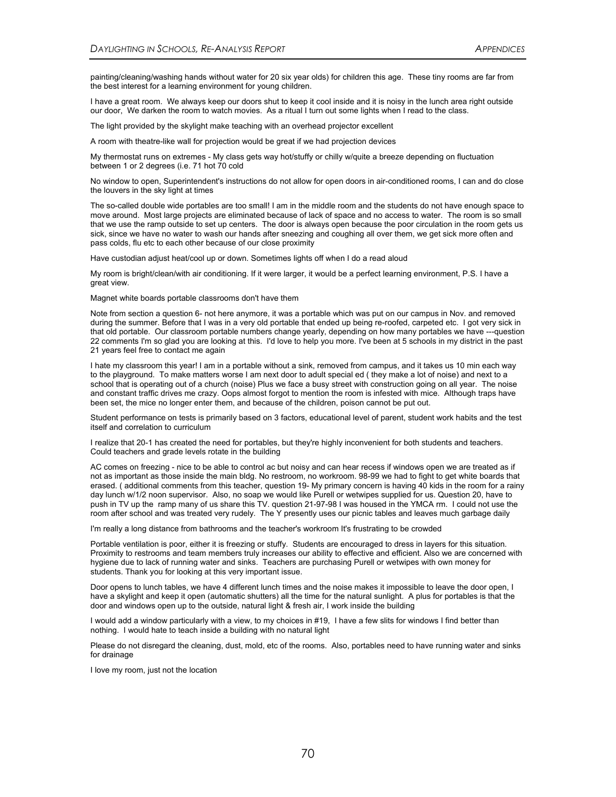painting/cleaning/washing hands without water for 20 six year olds) for children this age. These tiny rooms are far from the best interest for a learning environment for young children.

I have a great room. We always keep our doors shut to keep it cool inside and it is noisy in the lunch area right outside our door, We darken the room to watch movies. As a ritual I turn out some lights when I read to the class.

The light provided by the skylight make teaching with an overhead projector excellent

A room with theatre-like wall for projection would be great if we had projection devices

My thermostat runs on extremes - My class gets way hot/stuffy or chilly w/quite a breeze depending on fluctuation between 1 or 2 degrees (i.e. 71 hot 70 cold

No window to open, Superintendent's instructions do not allow for open doors in air-conditioned rooms, I can and do close the louvers in the sky light at times

The so-called double wide portables are too small! I am in the middle room and the students do not have enough space to move around. Most large projects are eliminated because of lack of space and no access to water. The room is so small that we use the ramp outside to set up centers. The door is always open because the poor circulation in the room gets us sick, since we have no water to wash our hands after sneezing and coughing all over them, we get sick more often and pass colds, flu etc to each other because of our close proximity

Have custodian adjust heat/cool up or down. Sometimes lights off when I do a read aloud

My room is bright/clean/with air conditioning. If it were larger, it would be a perfect learning environment, P.S. I have a great view.

Magnet white boards portable classrooms don't have them

Note from section a question 6- not here anymore, it was a portable which was put on our campus in Nov. and removed during the summer. Before that I was in a very old portable that ended up being re-roofed, carpeted etc. I got very sick in that old portable. Our classroom portable numbers change yearly, depending on how many portables we have ---question 22 comments I'm so glad you are looking at this. I'd love to help you more. I've been at 5 schools in my district in the past 21 years feel free to contact me again

I hate my classroom this year! I am in a portable without a sink, removed from campus, and it takes us 10 min each way to the playground. To make matters worse I am next door to adult special ed ( they make a lot of noise) and next to a school that is operating out of a church (noise) Plus we face a busy street with construction going on all year. The noise and constant traffic drives me crazy. Oops almost forgot to mention the room is infested with mice. Although traps have been set, the mice no longer enter them, and because of the children, poison cannot be put out.

Student performance on tests is primarily based on 3 factors, educational level of parent, student work habits and the test itself and correlation to curriculum

I realize that 20-1 has created the need for portables, but they're highly inconvenient for both students and teachers. Could teachers and grade levels rotate in the building

AC comes on freezing - nice to be able to control ac but noisy and can hear recess if windows open we are treated as if not as important as those inside the main bldg. No restroom, no workroom. 98-99 we had to fight to get white boards that erased. ( additional comments from this teacher, question 19- My primary concern is having 40 kids in the room for a rainy day lunch w/1/2 noon supervisor. Also, no soap we would like Purell or wetwipes supplied for us. Question 20, have to push in TV up the ramp many of us share this TV. question 21-97-98 I was housed in the YMCA rm. I could not use the room after school and was treated very rudely. The Y presently uses our picnic tables and leaves much garbage daily

I'm really a long distance from bathrooms and the teacher's workroom It's frustrating to be crowded

Portable ventilation is poor, either it is freezing or stuffy. Students are encouraged to dress in layers for this situation. Proximity to restrooms and team members truly increases our ability to effective and efficient. Also we are concerned with hygiene due to lack of running water and sinks. Teachers are purchasing Purell or wetwipes with own money for students. Thank you for looking at this very important issue.

Door opens to lunch tables, we have 4 different lunch times and the noise makes it impossible to leave the door open, I have a skylight and keep it open (automatic shutters) all the time for the natural sunlight. A plus for portables is that the door and windows open up to the outside, natural light & fresh air, I work inside the building

I would add a window particularly with a view, to my choices in #19, I have a few slits for windows I find better than nothing. I would hate to teach inside a building with no natural light

Please do not disregard the cleaning, dust, mold, etc of the rooms. Also, portables need to have running water and sinks for drainage

I love my room, just not the location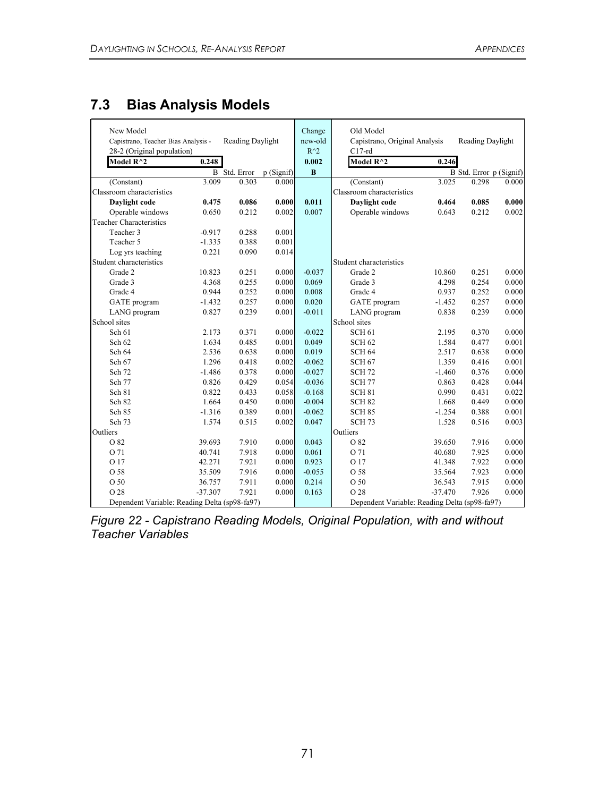# **7.3 Bias Analysis Models**

| New Model<br>Capistrano, Teacher Bias Analysis -<br>28-2 (Original population) |           | Reading Daylight    |           | Change<br>new-old<br>$R^{\wedge}2$ | Old Model<br>Capistrano, Original Analysis<br>$C17-rd$ |           | Reading Daylight        |       |
|--------------------------------------------------------------------------------|-----------|---------------------|-----------|------------------------------------|--------------------------------------------------------|-----------|-------------------------|-------|
| Model $R^2$                                                                    | 0.248     |                     |           | 0.002                              | Model $R^2$                                            | 0.246     |                         |       |
|                                                                                |           | <b>B</b> Std. Error | p(Signif) | $\bf{B}$                           |                                                        |           | B Std. Error p (Signif) |       |
| (Constant)                                                                     | 3.009     | 0.303               | 0.000     |                                    | (Constant)                                             | 3.025     | 0.298                   | 0.000 |
| Classroom characteristics                                                      |           |                     |           |                                    | Classroom characteristics                              |           |                         |       |
| Daylight code                                                                  | 0.475     | 0.086               | 0.000     | 0.011                              | Daylight code                                          | 0.464     | 0.085                   | 0.000 |
| Operable windows                                                               | 0.650     | 0.212               | 0.002     | 0.007                              | Operable windows                                       | 0.643     | 0.212                   | 0.002 |
| <b>Teacher Characteristics</b>                                                 |           |                     |           |                                    |                                                        |           |                         |       |
| Teacher 3                                                                      | $-0.917$  | 0.288               | 0.001     |                                    |                                                        |           |                         |       |
| Teacher 5                                                                      | $-1.335$  | 0.388               | 0.001     |                                    |                                                        |           |                         |       |
| Log yrs teaching                                                               | 0.221     | 0.090               | 0.014     |                                    |                                                        |           |                         |       |
| Student characteristics                                                        |           |                     |           |                                    | Student characteristics                                |           |                         |       |
| Grade 2                                                                        | 10.823    | 0.251               | 0.000     | $-0.037$                           | Grade 2                                                | 10.860    | 0.251                   | 0.000 |
| Grade 3                                                                        | 4.368     | 0.255               | 0.000     | 0.069                              | Grade 3                                                | 4.298     | 0.254                   | 0.000 |
| Grade 4                                                                        | 0.944     | 0.252               | 0.000     | 0.008                              | Grade 4                                                | 0.937     | 0.252                   | 0.000 |
| GATE program                                                                   | $-1.432$  | 0.257               | 0.000     | 0.020                              | GATE program                                           | $-1.452$  | 0.257                   | 0.000 |
| LANG program                                                                   | 0.827     | 0.239               | 0.001     | $-0.011$                           | LANG program                                           | 0.838     | 0.239                   | 0.000 |
| School sites                                                                   |           |                     |           |                                    | School sites                                           |           |                         |       |
| Sch 61                                                                         | 2.173     | 0.371               | 0.000     | $-0.022$                           | <b>SCH 61</b>                                          | 2.195     | 0.370                   | 0.000 |
| Sch 62                                                                         | 1.634     | 0.485               | 0.001     | 0.049                              | SCH <sub>62</sub>                                      | 1.584     | 0.477                   | 0.001 |
| Sch 64                                                                         | 2.536     | 0.638               | 0.000     | 0.019                              | <b>SCH 64</b>                                          | 2.517     | 0.638                   | 0.000 |
| Sch 67                                                                         | 1.296     | 0.418               | 0.002     | $-0.062$                           | <b>SCH 67</b>                                          | 1.359     | 0.416                   | 0.001 |
| Sch 72                                                                         | $-1.486$  | 0.378               | 0.000     | $-0.027$                           | <b>SCH 72</b>                                          | $-1.460$  | 0.376                   | 0.000 |
| Sch 77                                                                         | 0.826     | 0.429               | 0.054     | $-0.036$                           | <b>SCH 77</b>                                          | 0.863     | 0.428                   | 0.044 |
| Sch 81                                                                         | 0.822     | 0.433               | 0.058     | $-0.168$                           | <b>SCH 81</b>                                          | 0.990     | 0.431                   | 0.022 |
| Sch 82                                                                         | 1.664     | 0.450               | 0.000     | $-0.004$                           | <b>SCH 82</b>                                          | 1.668     | 0.449                   | 0.000 |
| Sch 85                                                                         | $-1.316$  | 0.389               | 0.001     | $-0.062$                           | <b>SCH 85</b>                                          | $-1.254$  | 0.388                   | 0.001 |
| Sch 73                                                                         | 1.574     | 0.515               | 0.002     | 0.047                              | <b>SCH 73</b>                                          | 1.528     | 0.516                   | 0.003 |
| Outliers                                                                       |           |                     |           |                                    | Outliers                                               |           |                         |       |
| O 82                                                                           | 39.693    | 7.910               | 0.000     | 0.043                              | O 82                                                   | 39.650    | 7.916                   | 0.000 |
| O 71                                                                           | 40.741    | 7.918               | 0.000     | 0.061                              | O 71                                                   | 40.680    | 7.925                   | 0.000 |
| O 17                                                                           | 42.271    | 7.921               | 0.000     | 0.923                              | O 17                                                   | 41.348    | 7.922                   | 0.000 |
| O 58                                                                           | 35.509    | 7.916               | 0.000     | $-0.055$                           | O 58                                                   | 35.564    | 7.923                   | 0.000 |
| O 50                                                                           | 36.757    | 7.911               | 0.000     | 0.214                              | O 50                                                   | 36.543    | 7.915                   | 0.000 |
| O 28                                                                           | $-37.307$ | 7.921               | 0.000     | 0.163                              | O 28                                                   | $-37.470$ | 7.926                   | 0.000 |
| Dependent Variable: Reading Delta (sp98-fa97)                                  |           |                     |           |                                    | Dependent Variable: Reading Delta (sp98-fa97)          |           |                         |       |

*Figure 22 - Capistrano Reading Models, Original Population, with and without Teacher Variables*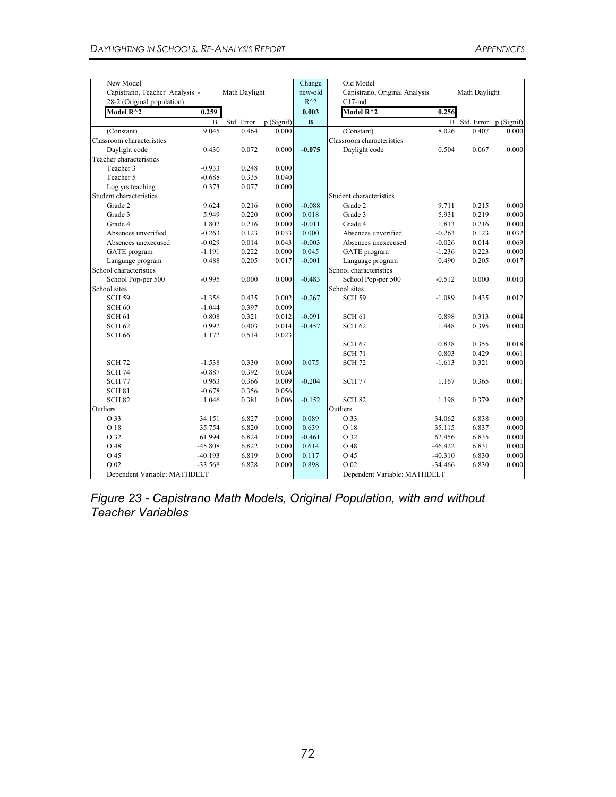| New Model                                                    |                |               |           | Change                   | Old Model                                 |           |                         |       |
|--------------------------------------------------------------|----------------|---------------|-----------|--------------------------|-------------------------------------------|-----------|-------------------------|-------|
| Capistrano, Teacher Analysis -<br>28-2 (Original population) |                | Math Daylight |           | new-old<br>$R^{\wedge}2$ | Capistrano, Original Analysis<br>$C17-md$ |           | Math Daylight           |       |
| Model R^2                                                    | 0.259          |               |           | 0.003                    | Model $R^2$                               | 0.256     |                         |       |
|                                                              | $\overline{B}$ | Std. Error    | p(Signif) | B                        |                                           |           | B Std. Error p (Signif) |       |
| (Constant)                                                   | 9.045          | 0.464         | 0.000     |                          | (Constant)                                | 8.026     | 0.407                   | 0.000 |
| Classroom characteristics                                    |                |               |           |                          | Classroom characteristics                 |           |                         |       |
| Daylight code                                                | 0.430          | 0.072         | 0.000     | $-0.075$                 | Daylight code                             | 0.504     | 0.067                   | 0.000 |
| Teacher characteristics                                      |                |               |           |                          |                                           |           |                         |       |
| Teacher 3                                                    | $-0.933$       | 0.248         | 0.000     |                          |                                           |           |                         |       |
| Teacher 5                                                    | $-0.688$       | 0.335         | 0.040     |                          |                                           |           |                         |       |
| Log yrs teaching                                             | 0.373          | 0.077         | 0.000     |                          |                                           |           |                         |       |
| Student characteristics                                      |                |               |           |                          | Student characteristics                   |           |                         |       |
| Grade 2                                                      | 9.624          | 0.216         | 0.000     | $-0.088$                 | Grade 2                                   | 9.711     | 0.215                   | 0.000 |
| Grade 3                                                      | 5.949          | 0.220         | 0.000     | 0.018                    | Grade 3                                   | 5.931     | 0.219                   | 0.000 |
| Grade 4                                                      | 1.802          | 0.216         | 0.000     | $-0.011$                 | Grade 4                                   | 1.813     | 0.216                   | 0.000 |
| Absences unverified                                          | $-0.263$       | 0.123         | 0.033     | 0.000                    | Absences unverified                       | $-0.263$  | 0.123                   | 0.032 |
| Absences unexecused                                          | $-0.029$       | 0.014         | 0.043     | $-0.003$                 | Absences unexecused                       | $-0.026$  | 0.014                   | 0.069 |
| GATE program                                                 | $-1.191$       | 0.222         | 0.000     | 0.045                    | <b>GATE</b> program                       | $-1.236$  | 0.223                   | 0.000 |
| Language program                                             | 0.488          | 0.205         | 0.017     | $-0.001$                 | Language program                          | 0.490     | 0.205                   | 0.017 |
| School characteristics                                       |                |               |           |                          | School characteristics                    |           |                         |       |
| School Pop-per 500                                           | $-0.995$       | 0.000         | 0.000     | $-0.483$                 | School Pop-per 500                        | $-0.512$  | 0.000                   | 0.010 |
| School sites                                                 |                |               |           |                          | School sites                              |           |                         |       |
| <b>SCH 59</b>                                                | $-1.356$       | 0.435         | 0.002     | $-0.267$                 | <b>SCH 59</b>                             | $-1.089$  | 0.435                   | 0.012 |
| SCH <sub>60</sub>                                            | $-1.044$       | 0.397         | 0.009     |                          |                                           |           |                         |       |
| SCH <sub>61</sub>                                            | 0.808          | 0.321         | 0.012     | $-0.091$                 | <b>SCH 61</b>                             | 0.898     | 0.313                   | 0.004 |
| <b>SCH 62</b>                                                | 0.992          | 0.403         | 0.014     | $-0.457$                 | <b>SCH 62</b>                             | 1.448     | 0.395                   | 0.000 |
| <b>SCH 66</b>                                                | 1.172          | 0.514         | 0.023     |                          |                                           |           |                         |       |
|                                                              |                |               |           |                          | <b>SCH 67</b>                             | 0.838     | 0.355                   | 0.018 |
|                                                              |                |               |           |                          | <b>SCH 71</b>                             | 0.803     | 0.429                   | 0.061 |
| <b>SCH 72</b>                                                | $-1.538$       | 0.330         | 0.000     | 0.075                    | <b>SCH 72</b>                             | $-1.613$  | 0.321                   | 0.000 |
| <b>SCH 74</b>                                                | $-0.887$       | 0.392         | 0.024     |                          |                                           |           |                         |       |
| <b>SCH 77</b>                                                | 0.963          | 0.366         | 0.009     | $-0.204$                 | <b>SCH 77</b>                             | 1.167     | 0.365                   | 0.001 |
| SCH <sub>81</sub>                                            | $-0.678$       | 0.356         | 0.056     |                          |                                           |           |                         |       |
| SCH <sub>82</sub>                                            | 1.046          | 0.381         | 0.006     | $-0.152$                 | <b>SCH 82</b>                             | 1.198     | 0.379                   | 0.002 |
| Outliers                                                     |                |               |           |                          | Outliers                                  |           |                         |       |
| O 33                                                         | 34.151         | 6.827         | 0.000     | 0.089                    | O 33                                      | 34.062    | 6.838                   | 0.000 |
| O 18                                                         | 35.754         | 6.820         | 0.000     | 0.639                    | O 18                                      | 35.115    | 6.837                   | 0.000 |
| O 32                                                         | 61.994         | 6.824         | 0.000     | $-0.461$                 | O 32                                      | 62.456    | 6.835                   | 0.000 |
| O 48                                                         | $-45.808$      | 6.822         | 0.000     | 0.614                    | O 48                                      | $-46.422$ | 6.831                   | 0.000 |
| O 45                                                         | $-40.193$      | 6.819         | 0.000     | 0.117                    | O 45                                      | $-40.310$ | 6.830                   | 0.000 |
| O 02                                                         | $-33.568$      | 6.828         | 0.000     | 0.898                    | O 02                                      | $-34.466$ | 6.830                   | 0.000 |
| Dependent Variable: MATHDELT                                 |                |               |           |                          | Dependent Variable: MATHDELT              |           |                         |       |

*Figure 23 - Capistrano Math Models, Original Population, with and without Teacher Variables*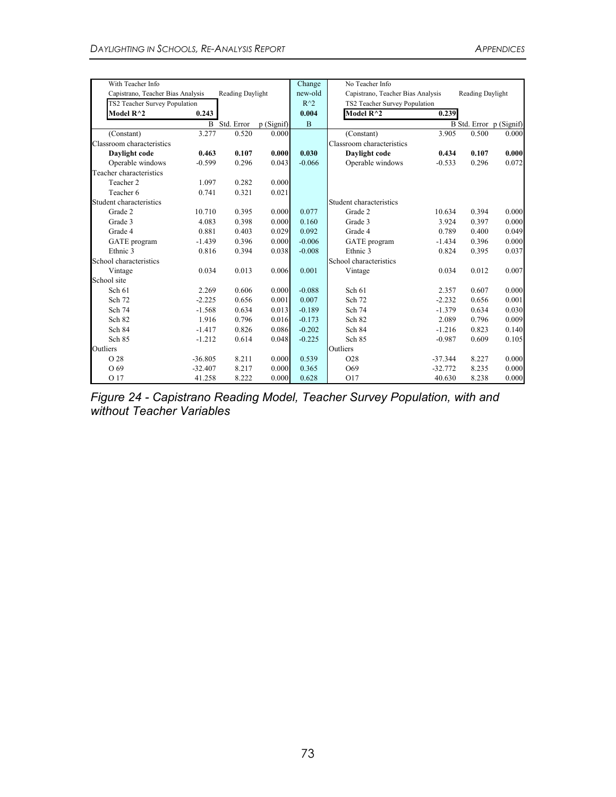| With Teacher Info                 |           |                     |           | Change         | No Teacher Info                                       |           |       |                         |
|-----------------------------------|-----------|---------------------|-----------|----------------|-------------------------------------------------------|-----------|-------|-------------------------|
| Capistrano, Teacher Bias Analysis |           | Reading Daylight    |           | new-old        | Capistrano, Teacher Bias Analysis<br>Reading Daylight |           |       |                         |
| TS2 Teacher Survey Population     |           |                     |           | $R^{\wedge}2$  | TS2 Teacher Survey Population                         |           |       |                         |
| Model $R^2$                       | 0.243     |                     |           | 0.004          | Model $R^2$                                           | 0.239     |       |                         |
|                                   |           | <b>B</b> Std. Error | p(Signif) | $\overline{B}$ |                                                       |           |       | B Std. Error p (Signif) |
| (Constant)                        | 3.277     | 0.520               | 0.000     |                | (Constant)                                            | 3.905     | 0.500 | 0.000                   |
| Classroom characteristics         |           |                     |           |                | Classroom characteristics                             |           |       |                         |
| Daylight code                     | 0.463     | 0.107               | 0.000     | 0.030          | Daylight code                                         | 0.434     | 0.107 | 0.000                   |
| Operable windows                  | $-0.599$  | 0.296               | 0.043     | $-0.066$       | Operable windows                                      | $-0.533$  | 0.296 | 0.072                   |
| Teacher characteristics           |           |                     |           |                |                                                       |           |       |                         |
| Teacher 2                         | 1.097     | 0.282               | 0.000     |                |                                                       |           |       |                         |
| Teacher 6                         | 0.741     | 0.321               | 0.021     |                |                                                       |           |       |                         |
| Student characteristics           |           |                     |           |                | Student characteristics                               |           |       |                         |
| Grade 2                           | 10.710    | 0.395               | 0.000     | 0.077          | Grade 2                                               | 10.634    | 0.394 | 0.000                   |
| Grade 3                           | 4.083     | 0.398               | 0.000     | 0.160          | Grade 3                                               | 3.924     | 0.397 | 0.000                   |
| Grade 4                           | 0.881     | 0.403               | 0.029     | 0.092          | Grade 4                                               | 0.789     | 0.400 | 0.049                   |
| GATE program                      | $-1.439$  | 0.396               | 0.000     | $-0.006$       | GATE program                                          | $-1.434$  | 0.396 | 0.000                   |
| Ethnic <sub>3</sub>               | 0.816     | 0.394               | 0.038     | $-0.008$       | Ethnic <sub>3</sub>                                   | 0.824     | 0.395 | 0.037                   |
| School characteristics            |           |                     |           |                | School characteristics                                |           |       |                         |
| Vintage                           | 0.034     | 0.013               | 0.006     | 0.001          | Vintage                                               | 0.034     | 0.012 | 0.007                   |
| School site                       |           |                     |           |                |                                                       |           |       |                         |
| Sch 61                            | 2.269     | 0.606               | 0.000     | $-0.088$       | Sch 61                                                | 2.357     | 0.607 | 0.000                   |
| Sch 72                            | $-2.225$  | 0.656               | 0.001     | 0.007          | Sch 72                                                | $-2.232$  | 0.656 | 0.001                   |
| Sch 74                            | $-1.568$  | 0.634               | 0.013     | $-0.189$       | Sch 74                                                | $-1.379$  | 0.634 | 0.030                   |
| Sch 82                            | 1.916     | 0.796               | 0.016     | $-0.173$       | Sch 82                                                | 2.089     | 0.796 | 0.009                   |
| Sch 84                            | $-1.417$  | 0.826               | 0.086     | $-0.202$       | Sch 84                                                | $-1.216$  | 0.823 | 0.140                   |
| Sch 85                            | $-1.212$  | 0.614               | 0.048     | $-0.225$       | Sch 85                                                | $-0.987$  | 0.609 | 0.105                   |
| Outliers                          |           |                     |           |                | Outliers                                              |           |       |                         |
| O 28                              | $-36.805$ | 8.211               | 0.000     | 0.539          | O <sub>28</sub>                                       | $-37.344$ | 8.227 | 0.000                   |
| O 69                              | $-32.407$ | 8.217               | 0.000     | 0.365          | O69                                                   | $-32.772$ | 8.235 | 0.000                   |
| O 17                              | 41.258    | 8.222               | 0.000     | 0.628          | O17                                                   | 40.630    | 8.238 | 0.000                   |

*Figure 24 - Capistrano Reading Model, Teacher Survey Population, with and without Teacher Variables*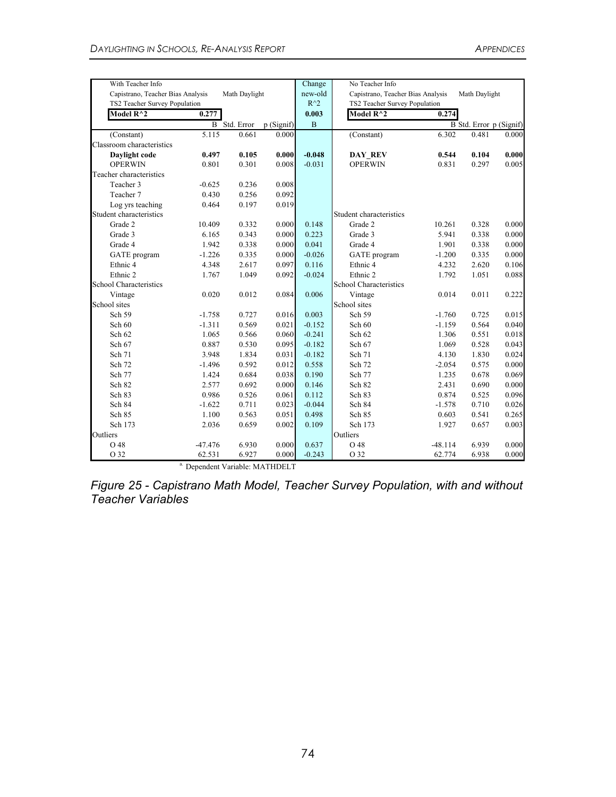| With Teacher Info                 |           |                     |           | Change        | No Teacher Info                   |           |                         |       |
|-----------------------------------|-----------|---------------------|-----------|---------------|-----------------------------------|-----------|-------------------------|-------|
| Capistrano, Teacher Bias Analysis |           | Math Daylight       |           | new-old       | Capistrano, Teacher Bias Analysis |           | Math Daylight           |       |
| TS2 Teacher Survey Population     |           |                     |           | $R^{\wedge}2$ | TS2 Teacher Survey Population     |           |                         |       |
| Model R <sup>^2</sup>             | 0.277     |                     |           | 0.003         | Model R <sup>^2</sup>             | 0.274     |                         |       |
|                                   |           | <b>B</b> Std. Error | p(Signif) | $\mathbf B$   |                                   |           | B Std. Error p (Signif) |       |
| (Constant)                        | 5.115     | 0.661               | 0.000     |               | (Constant)                        | 6.302     | 0.481                   | 0.000 |
| Classroom characteristics         |           |                     |           |               |                                   |           |                         |       |
| Daylight code                     | 0.497     | 0.105               | 0.000     | $-0.048$      | DAY REV                           | 0.544     | 0.104                   | 0.000 |
| <b>OPERWIN</b>                    | 0.801     | 0.301               | 0.008     | $-0.031$      | <b>OPERWIN</b>                    | 0.831     | 0.297                   | 0.005 |
| Teacher characteristics           |           |                     |           |               |                                   |           |                         |       |
| Teacher 3                         | $-0.625$  | 0.236               | 0.008     |               |                                   |           |                         |       |
| Teacher 7                         | 0.430     | 0.256               | 0.092     |               |                                   |           |                         |       |
| Log yrs teaching                  | 0.464     | 0.197               | 0.019     |               |                                   |           |                         |       |
| Student characteristics           |           |                     |           |               | Student characteristics           |           |                         |       |
| Grade 2                           | 10.409    | 0.332               | 0.000     | 0.148         | Grade 2                           | 10.261    | 0.328                   | 0.000 |
| Grade 3                           | 6.165     | 0.343               | 0.000     | 0.223         | Grade 3                           | 5.941     | 0.338                   | 0.000 |
| Grade 4                           | 1.942     | 0.338               | 0.000     | 0.041         | Grade 4                           | 1.901     | 0.338                   | 0.000 |
| GATE program                      | $-1.226$  | 0.335               | 0.000     | $-0.026$      | GATE program                      | $-1.200$  | 0.335                   | 0.000 |
| Ethnic <sub>4</sub>               | 4.348     | 2.617               | 0.097     | 0.116         | Ethnic <sub>4</sub>               | 4.232     | 2.620                   | 0.106 |
| Ethnic 2                          | 1.767     | 1.049               | 0.092     | $-0.024$      | Ethnic <sub>2</sub>               | 1.792     | 1.051                   | 0.088 |
| <b>School Characteristics</b>     |           |                     |           |               | School Characteristics            |           |                         |       |
| Vintage                           | 0.020     | 0.012               | 0.084     | 0.006         | Vintage                           | 0.014     | 0.011                   | 0.222 |
| School sites                      |           |                     |           |               | School sites                      |           |                         |       |
| Sch 59                            | $-1.758$  | 0.727               | 0.016     | 0.003         | Sch 59                            | $-1.760$  | 0.725                   | 0.015 |
| Sch 60                            | $-1.311$  | 0.569               | 0.021     | $-0.152$      | Sch 60                            | $-1.159$  | 0.564                   | 0.040 |
| Sch 62                            | 1.065     | 0.566               | 0.060     | $-0.241$      | Sch 62                            | 1.306     | 0.551                   | 0.018 |
| Sch 67                            | 0.887     | 0.530               | 0.095     | $-0.182$      | Sch 67                            | 1.069     | 0.528                   | 0.043 |
| Sch 71                            | 3.948     | 1.834               | 0.031     | $-0.182$      | Sch 71                            | 4.130     | 1.830                   | 0.024 |
| Sch 72                            | $-1.496$  | 0.592               | 0.012     | 0.558         | Sch 72                            | $-2.054$  | 0.575                   | 0.000 |
| Sch 77                            | 1.424     | 0.684               | 0.038     | 0.190         | Sch 77                            | 1.235     | 0.678                   | 0.069 |
| Sch 82                            | 2.577     | 0.692               | 0.000     | 0.146         | Sch 82                            | 2.431     | 0.690                   | 0.000 |
| Sch 83                            | 0.986     | 0.526               | 0.061     | 0.112         | Sch 83                            | 0.874     | 0.525                   | 0.096 |
| Sch 84                            | $-1.622$  | 0.711               | 0.023     | $-0.044$      | Sch 84                            | $-1.578$  | 0.710                   | 0.026 |
| Sch 85                            | 1.100     | 0.563               | 0.051     | 0.498         | Sch 85                            | 0.603     | 0.541                   | 0.265 |
| Sch 173                           | 2.036     | 0.659               | 0.002     | 0.109         | Sch 173                           | 1.927     | 0.657                   | 0.003 |
| Outliers                          |           |                     |           |               | Outliers                          |           |                         |       |
| O 48                              | $-47.476$ | 6.930               | 0.000     | 0.637         | O 48                              | $-48.114$ | 6.939                   | 0.000 |
| O 32                              | 62.531    | 6.927               | 0.000     | $-0.243$      | O 32                              | 62.774    | 6.938                   | 0.000 |

a. Dependent Variable: MATHDELT

*Figure 25 - Capistrano Math Model, Teacher Survey Population, with and without Teacher Variables*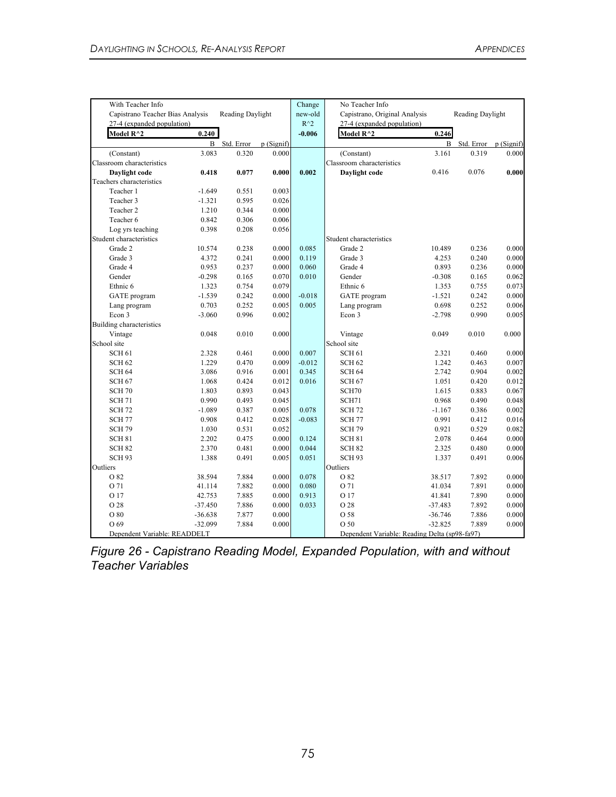| With Teacher Info                |           |                  |           | Change        | No Teacher Info                               |              |                       |       |
|----------------------------------|-----------|------------------|-----------|---------------|-----------------------------------------------|--------------|-----------------------|-------|
| Capistrano Teacher Bias Analysis |           | Reading Daylight |           | new-old       | Capistrano, Original Analysis                 |              | Reading Daylight      |       |
| 27-4 (expanded population)       |           |                  |           | $R^{\wedge}2$ | 27-4 (expanded population)                    |              |                       |       |
| Model $R^{\wedge}2$              | 0.240     |                  |           | $-0.006$      | Model R^2                                     | 0.246        |                       |       |
|                                  | B         | Std. Error       | p(Signif) |               |                                               | $\, {\bf B}$ | Std. Error p (Signif) |       |
| (Constant)                       | 3.083     | 0.320            | 0.000     |               | (Constant)                                    | 3.161        | 0.319                 | 0.000 |
| Classroom characteristics        |           |                  |           |               | Classroom characteristics                     |              |                       |       |
| Daylight code                    | 0.418     | 0.077            | 0.000     | 0.002         | Daylight code                                 | 0.416        | 0.076                 | 0.000 |
| Teachers characteristics         |           |                  |           |               |                                               |              |                       |       |
| Teacher 1                        | $-1.649$  | 0.551            | 0.003     |               |                                               |              |                       |       |
| Teacher 3                        | $-1.321$  | 0.595            | 0.026     |               |                                               |              |                       |       |
| Teacher 2                        | 1.210     | 0.344            | 0.000     |               |                                               |              |                       |       |
| Teacher 6                        | 0.842     | 0.306            | 0.006     |               |                                               |              |                       |       |
| Log yrs teaching                 | 0.398     | 0.208            | 0.056     |               |                                               |              |                       |       |
| Student characteristics          |           |                  |           |               | Student characteristics                       |              |                       |       |
| Grade 2                          | 10.574    | 0.238            | 0.000     | 0.085         | Grade 2                                       | 10.489       | 0.236                 | 0.000 |
| Grade 3                          | 4.372     | 0.241            | 0.000     | 0.119         | Grade 3                                       | 4.253        | 0.240                 | 0.000 |
| Grade 4                          | 0.953     | 0.237            | 0.000     | 0.060         | Grade 4                                       | 0.893        | 0.236                 | 0.000 |
| Gender                           | $-0.298$  | 0.165            | 0.070     | 0.010         | Gender                                        | $-0.308$     | 0.165                 | 0.062 |
| Ethnic 6                         | 1.323     | 0.754            | 0.079     |               | Ethnic 6                                      | 1.353        | 0.755                 | 0.073 |
| GATE program                     | $-1.539$  | 0.242            | 0.000     | $-0.018$      | GATE program                                  | $-1.521$     | 0.242                 | 0.000 |
| Lang program                     | 0.703     | 0.252            | 0.005     | 0.005         | Lang program                                  | 0.698        | 0.252                 | 0.006 |
| Econ 3                           | $-3.060$  | 0.996            | 0.002     |               | Econ 3                                        | $-2.798$     | 0.990                 | 0.005 |
| Building characteristics         |           |                  |           |               |                                               |              |                       |       |
| Vintage                          | 0.048     | 0.010            | 0.000     |               | Vintage                                       | 0.049        | 0.010                 | 0.000 |
| School site                      |           |                  |           |               | School site                                   |              |                       |       |
| <b>SCH 61</b>                    | 2.328     | 0.461            | 0.000     | 0.007         | <b>SCH 61</b>                                 | 2.321        | 0.460                 | 0.000 |
| <b>SCH 62</b>                    | 1.229     | 0.470            | 0.009     | $-0.012$      | SCH <sub>62</sub>                             | 1.242        | 0.463                 | 0.007 |
| <b>SCH 64</b>                    | 3.086     | 0.916            | 0.001     | 0.345         | <b>SCH 64</b>                                 | 2.742        | 0.904                 | 0.002 |
| <b>SCH 67</b>                    | 1.068     | 0.424            | 0.012     | 0.016         | <b>SCH 67</b>                                 | 1.051        | 0.420                 | 0.012 |
| <b>SCH 70</b>                    | 1.803     | 0.893            | 0.043     |               | SCH70                                         | 1.615        | 0.883                 | 0.067 |
| <b>SCH 71</b>                    | 0.990     | 0.493            | 0.045     |               | SCH71                                         | 0.968        | 0.490                 | 0.048 |
| <b>SCH 72</b>                    | $-1.089$  | 0.387            | 0.005     | 0.078         | <b>SCH 72</b>                                 | $-1.167$     | 0.386                 | 0.002 |
| <b>SCH 77</b>                    | 0.908     | 0.412            | 0.028     | $-0.083$      | <b>SCH 77</b>                                 | 0.991        | 0.412                 | 0.016 |
| <b>SCH 79</b>                    | 1.030     | 0.531            | 0.052     |               | <b>SCH 79</b>                                 | 0.921        | 0.529                 | 0.082 |
| <b>SCH 81</b>                    | 2.202     | 0.475            | 0.000     | 0.124         | SCH <sub>81</sub>                             | 2.078        | 0.464                 | 0.000 |
| <b>SCH 82</b>                    | 2.370     | 0.481            | 0.000     | 0.044         | <b>SCH 82</b>                                 | 2.325        | 0.480                 | 0.000 |
| <b>SCH 93</b>                    | 1.388     | 0.491            | 0.005     | 0.051         | <b>SCH 93</b>                                 | 1.337        | 0.491                 | 0.006 |
| Outliers                         |           |                  |           |               | Outliers                                      |              |                       |       |
| O 82                             | 38.594    | 7.884            | 0.000     | 0.078         | O 82                                          | 38.517       | 7.892                 | 0.000 |
| O 71                             | 41.114    | 7.882            | 0.000     | 0.080         | O 71                                          | 41.034       | 7.891                 | 0.000 |
| O 17                             | 42.753    | 7.885            | 0.000     | 0.913         | O 17                                          | 41.841       | 7.890                 | 0.000 |
| O 28                             | $-37.450$ | 7.886            | 0.000     | 0.033         | O 28                                          | $-37.483$    | 7.892                 | 0.000 |
| O 80                             | $-36.638$ | 7.877            | 0.000     |               | O 58                                          | $-36.746$    | 7.886                 | 0.000 |
| O 69                             | $-32.099$ | 7.884            | 0.000     |               | O 50                                          | $-32.825$    | 7.889                 | 0.000 |
| Dependent Variable: READDELT     |           |                  |           |               | Dependent Variable: Reading Delta (sp98-fa97) |              |                       |       |

*Figure 26 - Capistrano Reading Model, Expanded Population, with and without Teacher Variables*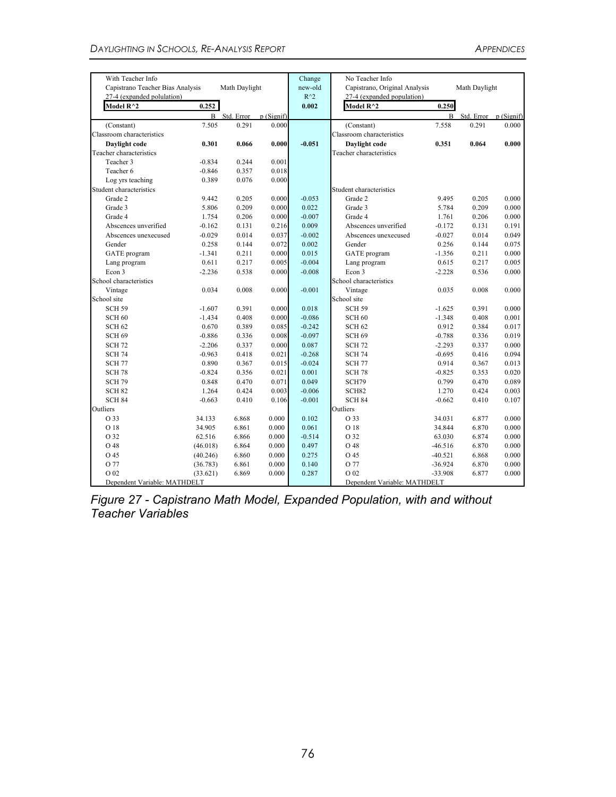| With Teacher Info                |          |                     |           | Change        | No Teacher Info               |           |                         |       |
|----------------------------------|----------|---------------------|-----------|---------------|-------------------------------|-----------|-------------------------|-------|
| Capistrano Teacher Bias Analysis |          | Math Daylight       |           | new-old       | Capistrano, Original Analysis |           | Math Daylight           |       |
| 27-4 (expanded polulation)       |          |                     |           | $R^{\wedge}2$ | 27-4 (expanded population)    |           |                         |       |
| Model $R^{\wedge}2$              | 0.252    |                     |           | 0.002         | Model R^2                     | 0.250     |                         |       |
|                                  |          | <b>B</b> Std. Error | p(Signif) |               |                               |           | B Std. Error p (Signif) |       |
| (Constant)                       | 7.505    | 0.291               | 0.000     |               | (Constant)                    | 7.558     | 0.291                   | 0.000 |
| Classroom characteristics        |          |                     |           |               | Classroom characteristics     |           |                         |       |
| Davlight code                    | 0.301    | 0.066               | 0.000     | $-0.051$      | Daylight code                 | 0.351     | 0.064                   | 0.000 |
| Teacher characteristics          |          |                     |           |               | Teacher characteristics       |           |                         |       |
| Teacher 3                        | $-0.834$ | 0.244               | 0.001     |               |                               |           |                         |       |
| Teacher 6                        | $-0.846$ | 0.357               | 0.018     |               |                               |           |                         |       |
| Log yrs teaching                 | 0.389    | 0.076               | 0.000     |               |                               |           |                         |       |
| Student characteristics          |          |                     |           |               | Student characteristics       |           |                         |       |
| Grade 2                          | 9.442    | 0.205               | 0.000     | $-0.053$      | Grade 2                       | 9.495     | 0.205                   | 0.000 |
| Grade 3                          | 5.806    | 0.209               | 0.000     | 0.022         | Grade 3                       | 5.784     | 0.209                   | 0.000 |
| Grade 4                          | 1.754    | 0.206               | 0.000     | $-0.007$      | Grade 4                       | 1.761     | 0.206                   | 0.000 |
| Abscences unverified             | $-0.162$ | 0.131               | 0.216     | 0.009         | Abscences unverified          | $-0.172$  | 0.131                   | 0.191 |
| Abscences unexecused             | $-0.029$ | 0.014               | 0.037     | $-0.002$      | Abscences unexecused          | $-0.027$  | 0.014                   | 0.049 |
| Gender                           | 0.258    | 0.144               | 0.072     | 0.002         | Gender                        | 0.256     | 0.144                   | 0.075 |
| GATE program                     | $-1.341$ | 0.211               | 0.000     | 0.015         | GATE program                  | $-1.356$  | 0.211                   | 0.000 |
| Lang program                     | 0.611    | 0.217               | 0.005     | $-0.004$      | Lang program                  | 0.615     | 0.217                   | 0.005 |
| Econ 3                           | $-2.236$ | 0.538               | 0.000     | $-0.008$      | Econ 3                        | $-2.228$  | 0.536                   | 0.000 |
| School characteristics           |          |                     |           |               | School characteristics        |           |                         |       |
| Vintage                          | 0.034    | 0.008               | 0.000     | $-0.001$      | Vintage                       | 0.035     | 0.008                   | 0.000 |
| School site                      |          |                     |           |               | School site                   |           |                         |       |
| <b>SCH 59</b>                    | $-1.607$ | 0.391               | 0.000     | 0.018         | <b>SCH 59</b>                 | $-1.625$  | 0.391                   | 0.000 |
| SCH <sub>60</sub>                | $-1.434$ | 0.408               | 0.000     | $-0.086$      | SCH <sub>60</sub>             | $-1.348$  | 0.408                   | 0.001 |
| <b>SCH 62</b>                    | 0.670    | 0.389               | 0.085     | $-0.242$      | <b>SCH 62</b>                 | 0.912     | 0.384                   | 0.017 |
| SCH <sub>69</sub>                | $-0.886$ | 0.336               | 0.008     | $-0.097$      | SCH <sub>69</sub>             | $-0.788$  | 0.336                   | 0.019 |
| <b>SCH 72</b>                    | $-2.206$ | 0.337               | 0.000     | 0.087         | <b>SCH 72</b>                 | $-2.293$  | 0.337                   | 0.000 |
| <b>SCH 74</b>                    | $-0.963$ | 0.418               | 0.021     | $-0.268$      | <b>SCH 74</b>                 | $-0.695$  | 0.416                   | 0.094 |
| <b>SCH 77</b>                    | 0.890    | 0.367               | 0.015     | $-0.024$      | <b>SCH 77</b>                 | 0.914     | 0.367                   | 0.013 |
| <b>SCH 78</b>                    | $-0.824$ | 0.356               | 0.021     | 0.001         | SCH <sub>78</sub>             | $-0.825$  | 0.353                   | 0.020 |
| <b>SCH 79</b>                    | 0.848    | 0.470               | 0.071     | 0.049         | SCH79                         | 0.799     | 0.470                   | 0.089 |
| SCH <sub>82</sub>                | 1.264    | 0.424               | 0.003     | $-0.006$      | SCH <sub>82</sub>             | 1.270     | 0.424                   | 0.003 |
| SCH <sub>84</sub>                | $-0.663$ | 0.410               | 0.106     | $-0.001$      | <b>SCH 84</b>                 | $-0.662$  | 0.410                   | 0.107 |
| Outliers                         |          |                     |           |               | Outliers                      |           |                         |       |
| O 33                             | 34.133   | 6.868               | 0.000     | 0.102         | O 33                          | 34.031    | 6.877                   | 0.000 |
| O 18                             | 34.905   | 6.861               | 0.000     | 0.061         | O 18                          | 34.844    | 6.870                   | 0.000 |
| O 32                             | 62.516   | 6.866               | 0.000     | $-0.514$      | O 32                          | 63.030    | 6.874                   | 0.000 |
| O 48                             | (46.018) | 6.864               | 0.000     | 0.497         | O 48                          | $-46.516$ | 6.870                   | 0.000 |
| O 45                             | (40.246) | 6.860               | 0.000     | 0.275         | O 45                          | $-40.521$ | 6.868                   | 0.000 |
| O 77                             | (36.783) | 6.861               | 0.000     | 0.140         | O 77                          | $-36.924$ | 6.870                   | 0.000 |
| O 02                             | (33.621) | 6.869               | 0.000     | 0.287         | O 02                          | $-33.908$ | 6.877                   | 0.000 |
| Dependent Variable: MATHDELT     |          |                     |           |               | Dependent Variable: MATHDELT  |           |                         |       |

*Figure 27 - Capistrano Math Model, Expanded Population, with and without Teacher Variables*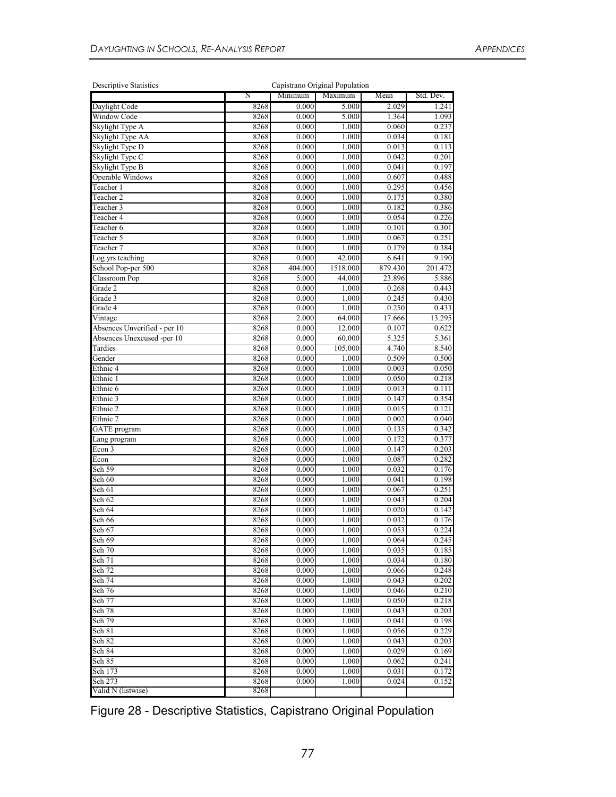| <b>Descriptive Statistics</b> |      |         | Capistrano Original Population |         |           |
|-------------------------------|------|---------|--------------------------------|---------|-----------|
|                               | Ν    | Minimum | Maximum                        | Mean    | Std. Dev. |
| Daylight Code                 | 8268 | 0.000   | 5.000                          | 2.029   | 1.241     |
| Window Code                   | 8268 | 0.000   | 5.000                          | 1.364   | 1.093     |
| Skylight Type A               | 8268 | 0.000   | 1.000                          | 0.060   | 0.237     |
| Skylight Type AA              | 8268 | 0.000   | 1.000                          | 0.034   | 0.181     |
| Skylight Type D               | 8268 | 0.000   | 1.000                          | 0.013   | 0.113     |
| Skylight Type C               | 8268 | 0.000   | 1.000                          | 0.042   | 0.201     |
| Skylight Type B               | 8268 | 0.000   | 1.000                          | 0.041   | 0.197     |
| Operable Windows              | 8268 | 0.000   | 1.000                          | 0.607   | 0.488     |
| Teacher 1                     | 8268 | 0.000   | 1.000                          | 0.295   | 0.456     |
| Teacher 2                     | 8268 | 0.000   | 1.000                          | 0.175   | 0.380     |
| Teacher 3                     | 8268 | 0.000   | 1.000                          | 0.182   | 0.386     |
| Teacher 4                     | 8268 | 0.000   | 1.000                          | 0.054   | 0.226     |
| Teacher 6                     | 8268 | 0.000   | 1.000                          | 0.101   | 0.301     |
| Teacher 5                     | 8268 | 0.000   | 1.000                          | 0.067   | 0.251     |
| Teacher 7                     | 8268 | 0.000   | 1.000                          | 0.179   | 0.384     |
| Log yrs teaching              | 8268 | 0.000   | 42.000                         | 6.641   | 9.190     |
| School Pop-per 500            | 8268 | 404.000 | 1518.000                       | 879.430 | 201.472   |
| Classroom Pop                 | 8268 | 5.000   | 44.000                         | 23.896  | 5.886     |
| Grade 2                       | 8268 | 0.000   | 1.000                          | 0.268   | 0.443     |
| Grade 3                       | 8268 | 0.000   | 1.000                          | 0.245   | 0.430     |
| Grade 4                       | 8268 | 0.000   | 1.000                          | 0.250   | 0.433     |
| Vintage                       | 8268 | 2.000   | 64.000                         | 17.666  | 13.295    |
| Absences Unverified - per 10  | 8268 | 0.000   | 12.000                         | 0.107   | 0.622     |
| Absences Unexcused -per 10    | 8268 | 0.000   | 60.000                         | 5.325   | 5.361     |
| Tardies                       | 8268 | 0.000   | 105.000                        | 4.740   | 8.540     |
| Gender                        | 8268 | 0.000   | 1.000                          | 0.509   | 0.500     |
| Ethnic 4                      | 8268 | 0.000   | 1.000                          | 0.003   | 0.050     |
| Ethnic 1                      | 8268 | 0.000   | 1.000                          | 0.050   | 0.218     |
| Ethnic 6                      | 8268 | 0.000   | 1.000                          | 0.013   | 0.111     |
| Ethnic 3                      | 8268 | 0.000   | 1.000                          | 0.147   | 0.354     |
| Ethnic 2                      | 8268 | 0.000   | 1.000                          | 0.015   | 0.121     |
| Ethnic 7                      | 8268 | 0.000   | 1.000                          | 0.002   | 0.040     |
| <b>GATE</b> program           | 8268 | 0.000   | 1.000                          | 0.135   | 0.342     |
| Lang program                  | 8268 | 0.000   | 1.000                          | 0.172   | 0.377     |
| Econ 3                        | 8268 | 0.000   | 1.000                          | 0.147   | 0.203     |
| Econ                          | 8268 | 0.000   | 1.000                          | 0.087   | 0.282     |
| Sch 59                        | 8268 | 0.000   | 1.000                          | 0.032   | 0.176     |
| Sch 60                        | 8268 | 0.000   | 1.000                          | 0.041   | 0.198     |
| Sch 61                        | 8268 | 0.000   | 1.000                          | 0.067   | 0.251     |
| Sch 62                        | 8268 | 0.000   | 1.000                          | 0.043   | 0.204     |
| Sch 64                        | 8268 | 0.000   | 1.000                          | 0.020   | 0.142     |
| Sch 66                        | 8268 | 0.000   | 1.000                          | 0.032   | 0.176     |
| Sch 67                        | 8268 | 0.000   | 1.000                          | 0.053   | 0.224     |
| Sch 69                        | 8268 | 0.000   | 1.000                          | 0.064   | 0.245     |
| Sch 70                        | 8268 | 0.000   | 1.000                          | 0.035   | 0.185     |
| Sch 71                        | 8268 | 0.000   | 1.000                          | 0.034   | 0.180     |
| Sch 72                        | 8268 | 0.000   | 1.000                          | 0.066   | 0.248     |
| Sch 74                        | 8268 | 0.000   | 1.000                          | 0.043   | 0.202     |
| Sch 76                        | 8268 | 0.000   | 1.000                          | 0.046   | 0.210     |
| Sch 77                        | 8268 | 0.000   | 1.000                          | 0.050   | 0.218     |
| Sch 78                        | 8268 | 0.000   | 1.000                          | 0.043   | 0.203     |
| Sch 79                        | 8268 | 0.000   | 1.000                          | 0.041   | 0.198     |
| Sch 81                        | 8268 | 0.000   | 1.000                          | 0.056   | 0.229     |
| Sch 82                        | 8268 | 0.000   | 1.000                          | 0.043   | 0.203     |
| Sch 84                        | 8268 | 0.000   | 1.000                          | 0.029   | 0.169     |
| Sch 85                        | 8268 | 0.000   | 1.000                          | 0.062   | 0.241     |
| Sch 173                       | 8268 | 0.000   | 1.000                          | 0.031   | 0.172     |
| Sch 273                       | 8268 | 0.000   | 1.000                          | 0.024   | 0.152     |
| Valid N (listwise)            | 8268 |         |                                |         |           |

Figure 28 - Descriptive Statistics, Capistrano Original Population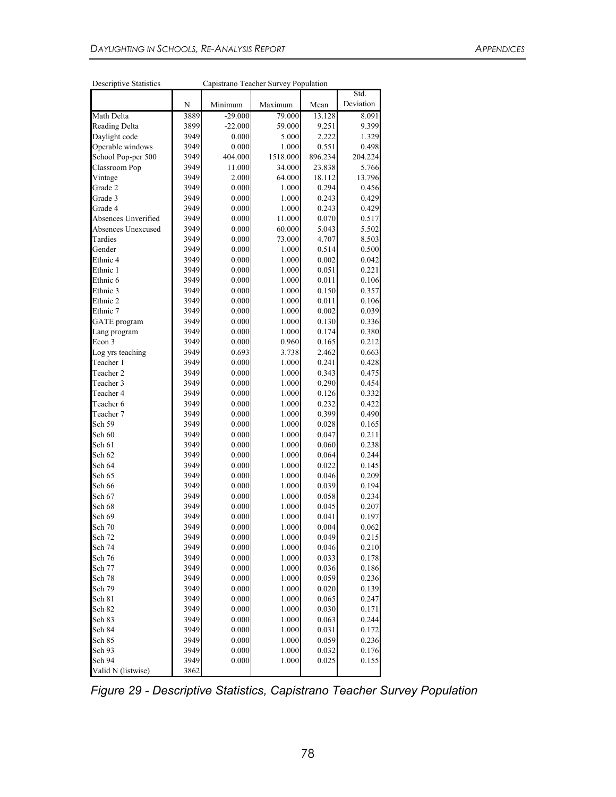| Descriptive statistics |      | Capistration cactier Survey Fopulation |          |         | Std.      |
|------------------------|------|----------------------------------------|----------|---------|-----------|
|                        | N    | Minimum                                | Maximum  | Mean    | Deviation |
| Math Delta             | 3889 | $-29.000$                              | 79.000   | 13.128  | 8.091     |
| Reading Delta          | 3899 | $-22.000$                              | 59.000   | 9.251   | 9.399     |
| Daylight code          | 3949 | 0.000                                  | 5.000    | 2.222   | 1.329     |
| Operable windows       | 3949 | 0.000                                  | 1.000    | 0.551   | 0.498     |
| School Pop-per 500     | 3949 | 404.000                                | 1518.000 | 896.234 | 204.224   |
| Classroom Pop          | 3949 | 11.000                                 | 34.000   | 23.838  | 5.766     |
| Vintage                | 3949 | 2.000                                  | 64.000   | 18.112  | 13.796    |
| Grade 2                | 3949 | 0.000                                  | 1.000    | 0.294   | 0.456     |
| Grade 3                | 3949 | 0.000                                  | 1.000    | 0.243   | 0.429     |
| Grade 4                | 3949 | 0.000                                  | 1.000    | 0.243   | 0.429     |
| Absences Unverified    | 3949 | 0.000                                  | 11.000   | 0.070   | 0.517     |
| Absences Unexcused     | 3949 | 0.000                                  | 60.000   | 5.043   | 5.502     |
| Tardies                | 3949 | 0.000                                  | 73.000   | 4.707   | 8.503     |
| Gender                 | 3949 | 0.000                                  | 1.000    | 0.514   | 0.500     |
| Ethnic 4               | 3949 | 0.000                                  | 1.000    | 0.002   | 0.042     |
| Ethnic 1               | 3949 | 0.000                                  | 1.000    | 0.051   | 0.221     |
| Ethnic 6               | 3949 | 0.000                                  | 1.000    | 0.011   | 0.106     |
| Ethnic 3               | 3949 | 0.000                                  | 1.000    | 0.150   | 0.357     |
| Ethnic 2               | 3949 | 0.000                                  | 1.000    | 0.011   | 0.106     |
| Ethnic 7               | 3949 | 0.000                                  | 1.000    | 0.002   | 0.039     |
| <b>GATE</b> program    | 3949 | 0.000                                  | 1.000    | 0.130   | 0.336     |
| Lang program           | 3949 | 0.000                                  | 1.000    | 0.174   | 0.380     |
| Econ 3                 | 3949 | 0.000                                  | 0.960    | 0.165   | 0.212     |
| Log yrs teaching       | 3949 | 0.693                                  | 3.738    | 2.462   | 0.663     |
| Teacher 1              | 3949 | 0.000                                  | 1.000    | 0.241   | 0.428     |
| Teacher 2              | 3949 | 0.000                                  | 1.000    | 0.343   | 0.475     |
| Teacher 3              | 3949 | 0.000                                  | 1.000    | 0.290   | 0.454     |
| Teacher 4              | 3949 | 0.000                                  | 1.000    | 0.126   | 0.332     |
| Teacher 6              | 3949 | 0.000                                  | 1.000    | 0.232   | 0.422     |
| Teacher 7              | 3949 | 0.000                                  | 1.000    | 0.399   | 0.490     |
| Sch 59                 | 3949 | 0.000                                  | 1.000    | 0.028   | 0.165     |
| Sch 60                 | 3949 | 0.000                                  | 1.000    | 0.047   | 0.211     |
| Sch 61                 | 3949 | 0.000                                  | 1.000    | 0.060   | 0.238     |
| Sch 62                 | 3949 | 0.000                                  | 1.000    | 0.064   | 0.244     |
| Sch 64                 | 3949 | 0.000                                  | 1.000    | 0.022   | 0.145     |
| Sch 65                 | 3949 | 0.000                                  | 1.000    | 0.046   | 0.209     |
| Sch 66                 | 3949 | 0.000                                  | 1.000    | 0.039   | 0.194     |
| Sch 67                 | 3949 | 0.000                                  | 1.000    | 0.058   | 0.234     |
| Sch 68                 | 3949 | 0.000                                  | 1.000    | 0.045   | 0.207     |
| Sch 69                 | 3949 | 0.000                                  | 1.000    | 0.041   | 0.197     |
| Sch 70                 | 3949 | 0.000                                  | 1.000    | 0.004   | 0.062     |
| Sch 72                 | 3949 | 0.000                                  | 1.000    | 0.049   | 0.215     |
| Sch 74                 | 3949 | 0.000                                  | 1.000    | 0.046   | 0.210     |
| Sch 76                 | 3949 | 0.000                                  | 1.000    | 0.033   | 0.178     |
| Sch 77                 | 3949 | 0.000                                  | 1.000    | 0.036   | 0.186     |
| Sch 78                 | 3949 | 0.000                                  | 1.000    | 0.059   | 0.236     |
| Sch 79                 | 3949 | 0.000                                  | 1.000    | 0.020   | 0.139     |
| Sch 81                 | 3949 | 0.000                                  | 1.000    | 0.065   | 0.247     |
| Sch 82                 | 3949 | 0.000                                  | 1.000    | 0.030   | 0.171     |
| Sch 83                 | 3949 | 0.000                                  | 1.000    | 0.063   | 0.244     |
| Sch 84                 | 3949 | 0.000                                  | 1.000    | 0.031   | 0.172     |
| Sch 85                 | 3949 | 0.000                                  | 1.000    | 0.059   | 0.236     |
| Sch 93                 | 3949 | 0.000                                  | 1.000    | 0.032   | 0.176     |
| Sch 94                 | 3949 | 0.000                                  | 1.000    | 0.025   | 0.155     |
| Valid N (listwise)     | 3862 |                                        |          |         |           |

Descriptive Statistics Capistrano Teacher Survey Population

*Figure 29 - Descriptive Statistics, Capistrano Teacher Survey Population*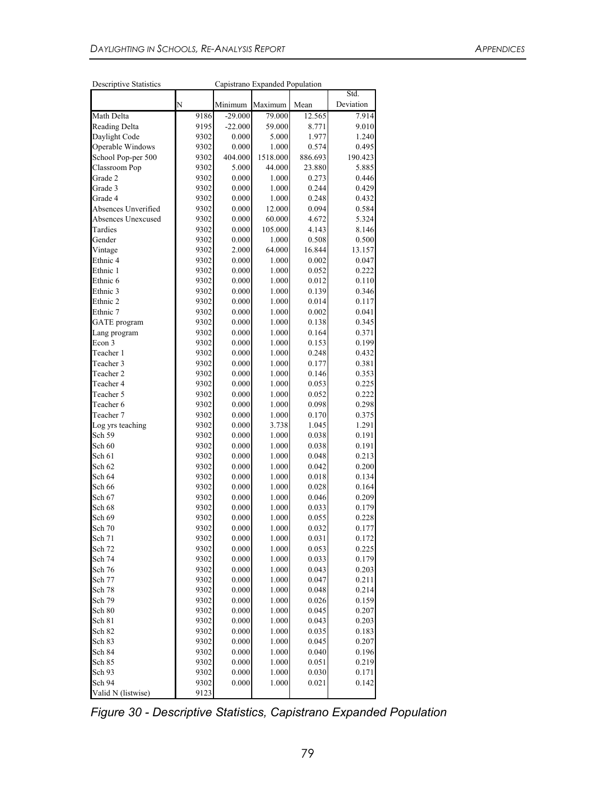| <b>Descriptive Statistics</b> |              |                | Capistrano Expanded Population |                |                |
|-------------------------------|--------------|----------------|--------------------------------|----------------|----------------|
|                               |              |                |                                |                | Std.           |
|                               | N            | Minimum        | Maximum                        | Mean           | Deviation      |
| <b>Math Delta</b>             | 9186         | $-29.000$      | 79.000                         | 12.565         | 7.914          |
| Reading Delta                 | 9195         | $-22.000$      | 59.000                         | 8.771          | 9.010          |
| Daylight Code                 | 9302         | 0.000          | 5.000                          | 1.977          | 1.240          |
| Operable Windows              | 9302         | 0.000          | 1.000                          | 0.574          | 0.495          |
| School Pop-per 500            | 9302         | 404.000        | 1518.000                       | 886.693        | 190.423        |
| Classroom Pop                 | 9302         | 5.000          | 44.000                         | 23.880         | 5.885          |
| Grade 2                       | 9302         | 0.000          | 1.000                          | 0.273          | 0.446          |
| Grade 3                       | 9302         | 0.000          | 1.000                          | 0.244          | 0.429          |
| Grade 4                       | 9302         | 0.000          | 1.000                          | 0.248          | 0.432          |
| Absences Unverified           | 9302         | 0.000          | 12.000                         | 0.094          | 0.584          |
| Absences Unexcused            | 9302         | 0.000          | 60.000                         | 4.672          | 5.324          |
| Tardies                       | 9302         | 0.000          | 105.000                        | 4.143          | 8.146          |
| Gender                        | 9302         | 0.000          | 1.000                          | 0.508          | 0.500          |
| Vintage                       | 9302         | 2.000          | 64.000                         | 16.844         | 13.157         |
| Ethnic 4                      | 9302         | 0.000          | 1.000                          | 0.002          | 0.047          |
| Ethnic 1                      | 9302         | 0.000          | 1.000                          | 0.052          | 0.222          |
| Ethnic 6                      | 9302         | 0.000          | 1.000                          | 0.012          | 0.110          |
| Ethnic 3                      | 9302         | 0.000          | 1.000                          | 0.139          | 0.346          |
| Ethnic 2                      | 9302         | 0.000          | 1.000                          | 0.014          | 0.117          |
| Ethnic 7                      | 9302         | 0.000          | 1.000                          | 0.002          | 0.041          |
| <b>GATE</b> program           | 9302         | 0.000          | 1.000                          | 0.138          | 0.345          |
| Lang program                  | 9302         | 0.000          | 1.000                          | 0.164          | 0.371          |
| Econ 3                        | 9302         | 0.000          | 1.000                          | 0.153          | 0.199          |
| Teacher 1                     | 9302         | 0.000          | 1.000                          | 0.248          | 0.432          |
| Teacher 3                     | 9302         | 0.000          | 1.000                          | 0.177          | 0.381          |
| Teacher 2                     | 9302         | 0.000          | 1.000                          | 0.146          | 0.353          |
| Teacher 4                     | 9302         | 0.000          | 1.000                          | 0.053          | 0.225          |
| Teacher 5                     | 9302         | 0.000          | 1.000                          | 0.052          | 0.222          |
| Teacher 6                     | 9302         | 0.000          | 1.000                          | 0.098          | 0.298          |
| Teacher 7                     | 9302         | 0.000          | 1.000                          | 0.170          | 0.375          |
| Log yrs teaching              | 9302         | 0.000          | 3.738                          | 1.045          | 1.291          |
| Sch 59                        | 9302         | 0.000          | 1.000                          | 0.038          | 0.191          |
| Sch 60                        | 9302         | 0.000          | 1.000                          | 0.038          | 0.191          |
| Sch 61                        | 9302         | 0.000          | 1.000                          | 0.048          | 0.213          |
| Sch 62                        | 9302         | 0.000          | 1.000                          | 0.042          | 0.200          |
| Sch 64                        | 9302         | 0.000          | 1.000                          | 0.018          | 0.134          |
| Sch 66                        | 9302         | 0.000          | 1.000                          | 0.028          | 0.164          |
| Sch 67                        | 9302         | 0.000<br>0.000 | 1.000                          | 0.046          | 0.209          |
| Sch 68                        | 9302         |                | 1.000                          | 0.033          | 0.179          |
| Sch 69                        | 9302         | 0.000          | 1.000                          | 0.055          | 0.228          |
| Sch 70                        | 9302         | 0.000          | 1.000                          | 0.032          | 0.177          |
| Sch 71<br>Sch 72              | 9302<br>9302 | 0.000<br>0.000 | 1.000<br>1.000                 | 0.031<br>0.053 | 0.172<br>0.225 |
| Sch 74                        | 9302         | 0.000          | 1.000                          | 0.033          | 0.179          |
|                               |              |                | 1.000                          |                | 0.203          |
| Sch 76<br>Sch 77              | 9302         | 0.000          |                                | 0.043          | 0.211          |
| Sch 78                        | 9302<br>9302 | 0.000<br>0.000 | 1.000<br>1.000                 | 0.047<br>0.048 | 0.214          |
| Sch 79                        | 9302         | 0.000          | 1.000                          |                |                |
| Sch 80                        | 9302         | 0.000          | 1.000                          | 0.026<br>0.045 | 0.159<br>0.207 |
| Sch 81                        | 9302         | 0.000          | 1.000                          | 0.043          | 0.203          |
| Sch 82                        | 9302         | 0.000          | 1.000                          | 0.035          | 0.183          |
| Sch 83                        | 9302         | 0.000          |                                | 0.045          | 0.207          |
| Sch 84                        | 9302         | 0.000          | 1.000<br>1.000                 | 0.040          | 0.196          |
| Sch 85                        |              | 0.000          | 1.000                          | 0.051          |                |
|                               | 9302         |                |                                |                | 0.219          |
| Sch 93<br>Sch 94              | 9302         | 0.000<br>0.000 | 1.000                          | 0.030          | 0.171          |
| Valid N (listwise)            | 9302<br>9123 |                | 1.000                          | 0.021          | 0.142          |
|                               |              |                |                                |                |                |

*Figure 30 - Descriptive Statistics, Capistrano Expanded Population*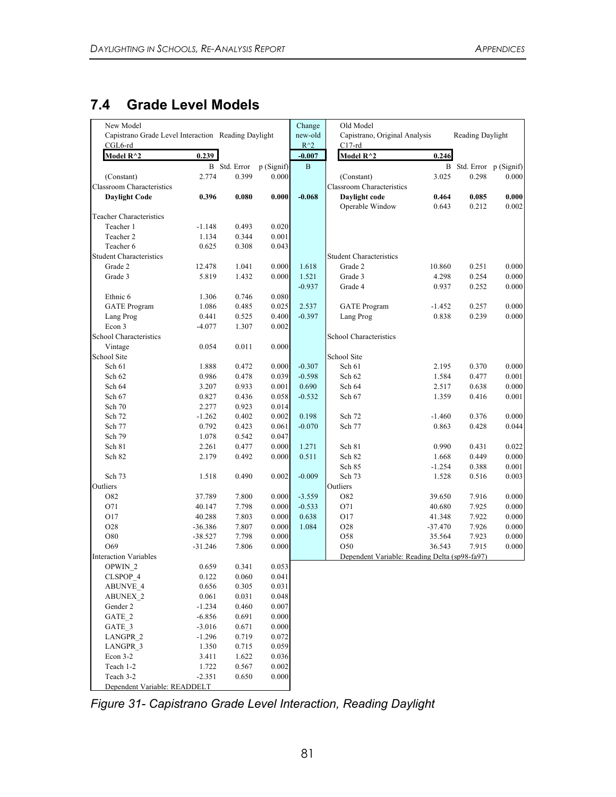## **7.4 Grade Level Models**

| New Model                                                      |           |                     |            | Change                       | Old Model                                     |                |                         |                |
|----------------------------------------------------------------|-----------|---------------------|------------|------------------------------|-----------------------------------------------|----------------|-------------------------|----------------|
| Capistrano Grade Level Interaction Reading Daylight<br>CGL6-rd |           |                     |            | new-old<br>$\rm R^{\wedge}2$ | Capistrano, Original Analysis<br>$C17-rd$     |                | Reading Daylight        |                |
| Model R^2                                                      | 0.239     |                     |            | $-0.007$                     | Model R^2                                     | 0.246          |                         |                |
|                                                                |           | <b>B</b> Std. Error | p (Signif) | B                            |                                               |                | B Std. Error p (Signif) |                |
| (Constant)                                                     | 2.774     | 0.399               | 0.000      |                              | (Constant)                                    | 3.025          | 0.298                   | 0.000          |
| <b>Classroom Characteristics</b>                               |           |                     |            |                              | <b>Classroom Characteristics</b>              |                |                         |                |
| <b>Daylight Code</b>                                           | 0.396     | 0.080               | 0.000      | $-0.068$                     | Daylight code<br>Operable Window              | 0.464<br>0.643 | 0.085<br>0.212          | 0.000<br>0.002 |
| <b>Teacher Characteristics</b>                                 |           |                     |            |                              |                                               |                |                         |                |
| Teacher 1                                                      | $-1.148$  | 0.493               | 0.020      |                              |                                               |                |                         |                |
| Teacher 2                                                      | 1.134     | 0.344               | 0.001      |                              |                                               |                |                         |                |
| Teacher 6                                                      | 0.625     | 0.308               | 0.043      |                              |                                               |                |                         |                |
| <b>Student Characteristics</b>                                 |           |                     |            |                              | <b>Student Characteristics</b>                |                |                         |                |
| Grade 2                                                        | 12.478    | 1.041               | 0.000      | 1.618                        | Grade 2                                       | 10.860         | 0.251                   | 0.000          |
| Grade 3                                                        | 5.819     | 1.432               | 0.000      | 1.521                        | Grade 3                                       | 4.298          | 0.254                   | 0.000          |
|                                                                |           |                     |            | $-0.937$                     | Grade 4                                       | 0.937          | 0.252                   | 0.000          |
| Ethnic 6                                                       | 1.306     | 0.746               | 0.080      |                              |                                               |                |                         |                |
| <b>GATE</b> Program                                            | 1.086     | 0.485               | 0.025      | 2.537                        | <b>GATE</b> Program                           | $-1.452$       | 0.257                   | 0.000          |
| Lang Prog                                                      | 0.441     | 0.525               | 0.400      | $-0.397$                     | Lang Prog                                     | 0.838          | 0.239                   | 0.000          |
| Econ 3                                                         | $-4.077$  | 1.307               | 0.002      |                              |                                               |                |                         |                |
| School Characteristics                                         |           |                     |            |                              | School Characteristics                        |                |                         |                |
| Vintage                                                        | 0.054     | 0.011               | 0.000      |                              |                                               |                |                         |                |
| School Site                                                    |           |                     |            |                              | School Site                                   |                |                         |                |
| Sch 61                                                         | 1.888     | 0.472               | 0.000      | $-0.307$                     | Sch 61                                        | 2.195          | 0.370                   | 0.000          |
| Sch 62                                                         | 0.986     | 0.478               | 0.039      | $-0.598$                     | Sch 62                                        | 1.584          | 0.477                   | 0.001          |
| Sch 64                                                         | 3.207     | 0.933               | 0.001      | 0.690                        | Sch 64                                        | 2.517          | 0.638                   | 0.000          |
| Sch 67                                                         | 0.827     | 0.436               | 0.058      | $-0.532$                     | Sch 67                                        | 1.359          | 0.416                   | 0.001          |
| Sch 70                                                         | 2.277     | 0.923               | 0.014      |                              |                                               |                |                         |                |
| Sch 72                                                         | $-1.262$  | 0.402               | 0.002      | 0.198                        | Sch 72                                        | $-1.460$       | 0.376                   | 0.000          |
| Sch 77                                                         | 0.792     | 0.423               | 0.061      | $-0.070$                     | Sch 77                                        | 0.863          | 0.428                   | 0.044          |
| Sch 79                                                         | 1.078     | 0.542               | 0.047      |                              |                                               |                |                         |                |
| Sch 81                                                         | 2.261     | 0.477               | 0.000      | 1.271                        | Sch 81                                        | 0.990          | 0.431                   | 0.022          |
| Sch 82                                                         | 2.179     | 0.492               | 0.000      | 0.511                        | Sch 82                                        | 1.668          | 0.449                   | 0.000          |
|                                                                |           |                     |            |                              | Sch 85                                        | $-1.254$       | 0.388                   | 0.001          |
| Sch 73                                                         | 1.518     | 0.490               | 0.002      | $-0.009$                     | Sch 73                                        | 1.528          | 0.516                   | 0.003          |
| Outliers                                                       |           |                     |            |                              | Outliers                                      |                |                         |                |
| O82                                                            | 37.789    | 7.800               | 0.000      | $-3.559$                     | O82                                           | 39.650         | 7.916                   | 0.000          |
| O71                                                            | 40.147    | 7.798               | 0.000      | $-0.533$                     | O71                                           | 40.680         | 7.925                   | 0.000          |
| O17                                                            | 40.288    | 7.803               | 0.000      | 0.638                        | O17                                           | 41.348         | 7.922                   | 0.000          |
| O <sub>28</sub>                                                | $-36.386$ | 7.807               | 0.000      | 1.084                        | O28                                           | $-37.470$      | 7.926                   | 0.000          |
| O80                                                            | $-38.527$ | 7.798               | 0.000      |                              | O58                                           | 35.564         | 7.923                   | 0.000          |
| O69                                                            | $-31.246$ | 7.806               | 0.000      |                              | O50                                           | 36.543         | 7.915                   | 0.000          |
| <b>Interaction Variables</b>                                   |           |                     |            |                              | Dependent Variable: Reading Delta (sp98-fa97) |                |                         |                |
| OPWIN_2                                                        | 0.659     | 0.341               | 0.053      |                              |                                               |                |                         |                |
| CLSPOP 4                                                       | 0.122     | 0.060               | 0.041      |                              |                                               |                |                         |                |
| ABUNVE_4                                                       | 0.656     | 0.305               | 0.031      |                              |                                               |                |                         |                |
| <b>ABUNEX 2</b>                                                | 0.061     | 0.031               | 0.048      |                              |                                               |                |                         |                |
| Gender 2                                                       | $-1.234$  | 0.460               | 0.007      |                              |                                               |                |                         |                |
| GATE 2                                                         | $-6.856$  | 0.691               | 0.000      |                              |                                               |                |                         |                |
| GATE 3                                                         | $-3.016$  | 0.671               | 0.000      |                              |                                               |                |                         |                |
| LANGPR 2                                                       | $-1.296$  | 0.719               | 0.072      |                              |                                               |                |                         |                |
| LANGPR 3                                                       | 1.350     | 0.715               | 0.059      |                              |                                               |                |                         |                |
| Econ $3-2$                                                     | 3.411     | 1.622               | 0.036      |                              |                                               |                |                         |                |
| Teach 1-2                                                      | 1.722     | 0.567               | 0.002      |                              |                                               |                |                         |                |
| Teach 3-2                                                      | $-2.351$  | 0.650               | 0.000      |                              |                                               |                |                         |                |
| Dependent Variable: READDELT                                   |           |                     |            |                              |                                               |                |                         |                |

*Figure 31- Capistrano Grade Level Interaction, Reading Daylight*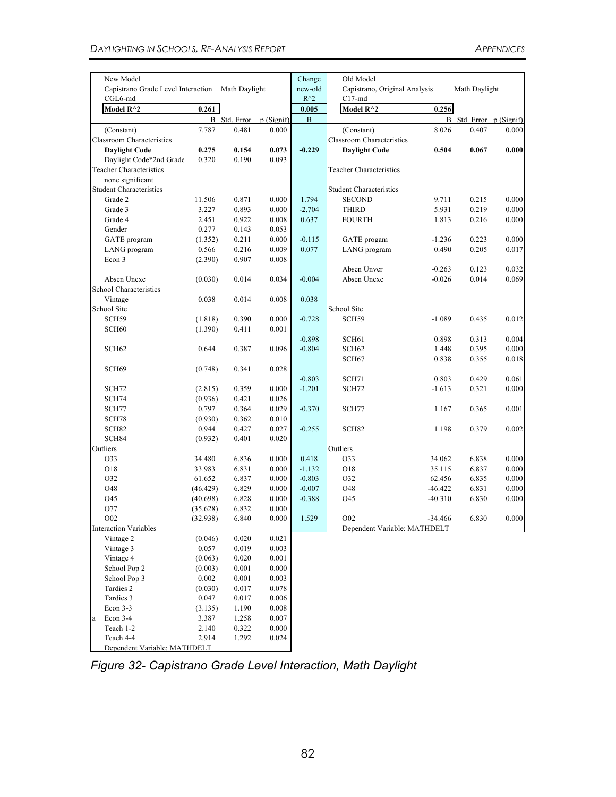| New Model                                                   |          |                     |           | Change                   | Old Model                                 |           |                         |       |  |
|-------------------------------------------------------------|----------|---------------------|-----------|--------------------------|-------------------------------------------|-----------|-------------------------|-------|--|
| Capistrano Grade Level Interaction Math Daylight<br>CGL6-md |          |                     |           | new-old<br>$R^{\wedge}2$ | Capistrano, Original Analysis<br>$C17-md$ |           | Math Daylight           |       |  |
| Model R^2                                                   | 0.261    |                     |           | 0.005                    | Model $R^{\wedge}2$                       | 0.256     |                         |       |  |
|                                                             |          | <b>B</b> Std. Error | p(Signif) | $\mathbf{B}$             |                                           |           | B Std. Error p (Signif) |       |  |
| (Constant)                                                  | 7.787    | 0.481               | 0.000     |                          | (Constant)                                | 8.026     | 0.407                   | 0.000 |  |
| <b>Classroom Characteristics</b>                            |          |                     |           |                          | <b>Classroom Characteristics</b>          |           |                         |       |  |
| <b>Daylight Code</b>                                        | 0.275    | 0.154               | 0.073     | $-0.229$                 | <b>Daylight Code</b>                      | 0.504     | 0.067                   | 0.000 |  |
| Daylight Code*2nd Grade                                     | 0.320    | 0.190               | 0.093     |                          |                                           |           |                         |       |  |
| <b>Teacher Characteristics</b>                              |          |                     |           |                          | <b>Teacher Characteristics</b>            |           |                         |       |  |
| none significant                                            |          |                     |           |                          |                                           |           |                         |       |  |
| <b>Student Characteristics</b>                              |          |                     |           |                          | <b>Student Characteristics</b>            |           |                         |       |  |
| Grade 2                                                     | 11.506   | 0.871               | 0.000     | 1.794                    | <b>SECOND</b>                             | 9.711     | 0.215                   | 0.000 |  |
| Grade 3                                                     | 3.227    | 0.893               | 0.000     | $-2.704$                 | <b>THIRD</b>                              | 5.931     | 0.219                   | 0.000 |  |
| Grade 4                                                     | 2.451    | 0.922               | 0.008     | 0.637                    | <b>FOURTH</b>                             | 1.813     | 0.216                   | 0.000 |  |
| Gender                                                      | 0.277    | 0.143               | 0.053     |                          |                                           |           |                         |       |  |
| GATE program                                                | (1.352)  | 0.211               | 0.000     | $-0.115$                 | GATE progam                               | $-1.236$  | 0.223                   | 0.000 |  |
| LANG program                                                | 0.566    | 0.216               | 0.009     | 0.077                    | LANG program                              | 0.490     | 0.205                   | 0.017 |  |
| Econ 3                                                      | (2.390)  | 0.907               | 0.008     |                          |                                           |           |                         |       |  |
|                                                             |          |                     |           |                          | Absen Unver                               | $-0.263$  | 0.123                   | 0.032 |  |
| Absen Unexc                                                 | (0.030)  | 0.014               | 0.034     | $-0.004$                 | Absen Unexc                               | $-0.026$  | 0.014                   | 0.069 |  |
| School Characteristics                                      |          |                     |           |                          |                                           |           |                         |       |  |
| Vintage                                                     | 0.038    | 0.014               | 0.008     | 0.038                    |                                           |           |                         |       |  |
| School Site                                                 |          |                     |           |                          | School Site                               |           |                         |       |  |
| SCH59                                                       | (1.818)  | 0.390               | 0.000     | $-0.728$                 | SCH59                                     | $-1.089$  | 0.435                   | 0.012 |  |
| SCH <sub>60</sub>                                           | (1.390)  | 0.411               | 0.001     |                          |                                           |           |                         |       |  |
|                                                             |          |                     |           | $-0.898$                 | SCH <sub>61</sub>                         | 0.898     | 0.313                   | 0.004 |  |
| SCH <sub>62</sub>                                           | 0.644    | 0.387               | 0.096     | $-0.804$                 | SCH <sub>62</sub>                         | 1.448     | 0.395                   | 0.000 |  |
|                                                             |          |                     |           |                          | SCH <sub>67</sub>                         | 0.838     | 0.355                   | 0.018 |  |
| SCH <sub>69</sub>                                           | (0.748)  | 0.341               | 0.028     |                          |                                           |           |                         |       |  |
|                                                             |          |                     |           | $-0.803$                 | SCH71                                     | 0.803     | 0.429                   | 0.061 |  |
|                                                             |          | 0.359               | 0.000     | $-1.201$                 |                                           | $-1.613$  |                         | 0.000 |  |
| SCH72                                                       | (2.815)  | 0.421               |           |                          | SCH72                                     |           | 0.321                   |       |  |
| SCH74                                                       | (0.936)  |                     | 0.026     |                          |                                           |           |                         |       |  |
| SCH77                                                       | 0.797    | 0.364               | 0.029     | $-0.370$                 | SCH77                                     | 1.167     | 0.365                   | 0.001 |  |
| SCH78                                                       | (0.930)  | 0.362               | 0.010     |                          |                                           |           |                         |       |  |
| SCH82                                                       | 0.944    | 0.427               | 0.027     | $-0.255$                 | SCH <sub>82</sub>                         | 1.198     | 0.379                   | 0.002 |  |
| SCH84                                                       | (0.932)  | 0.401               | 0.020     |                          |                                           |           |                         |       |  |
| Outliers                                                    |          |                     |           |                          | Outliers                                  |           |                         |       |  |
| O33                                                         | 34.480   | 6.836               | 0.000     | 0.418                    | O33                                       | 34.062    | 6.838                   | 0.000 |  |
| O18                                                         | 33.983   | 6.831               | 0.000     | $-1.132$                 | O18                                       | 35.115    | 6.837                   | 0.000 |  |
| 032                                                         | 61.652   | 6.837               | 0.000     | $-0.803$                 | O32                                       | 62.456    | 6.835                   | 0.000 |  |
| O48                                                         | (46.429) | 6.829               | 0.000     | $-0.007$                 | O48                                       | $-46.422$ | 6.831                   | 0.000 |  |
| O45                                                         | (40.698) | 6.828               | 0.000     | $-0.388$                 | O45                                       | $-40.310$ | 6.830                   | 0.000 |  |
| O77                                                         | (35.628) | 6.832               | 0.000     |                          |                                           |           |                         |       |  |
| O <sub>0</sub> 2                                            | (32.938) | 6.840               | 0.000     | 1.529                    | O <sub>0</sub> 2                          | $-34.466$ | 6.830                   | 0.000 |  |
| <b>Interaction Variables</b>                                |          |                     |           |                          | Dependent Variable: MATHDELT              |           |                         |       |  |
| Vintage 2                                                   | (0.046)  | 0.020               | 0.021     |                          |                                           |           |                         |       |  |
| Vintage 3                                                   | 0.057    | 0.019               | 0.003     |                          |                                           |           |                         |       |  |
| Vintage 4                                                   | (0.063)  | 0.020               | 0.001     |                          |                                           |           |                         |       |  |
| School Pop 2                                                | (0.003)  | 0.001               | 0.000     |                          |                                           |           |                         |       |  |
| School Pop 3                                                | 0.002    | 0.001               | 0.003     |                          |                                           |           |                         |       |  |
| Tardies 2                                                   | (0.030)  | 0.017               | 0.078     |                          |                                           |           |                         |       |  |
| Tardies 3                                                   | 0.047    | 0.017               | 0.006     |                          |                                           |           |                         |       |  |
| Econ 3-3                                                    | (3.135)  | 1.190               | 0.008     |                          |                                           |           |                         |       |  |
| Econ 3-4<br>a                                               | 3.387    | 1.258               | 0.007     |                          |                                           |           |                         |       |  |
| Teach 1-2                                                   | 2.140    | 0.322               | 0.000     |                          |                                           |           |                         |       |  |
| Teach 4-4                                                   | 2.914    | 1.292               | 0.024     |                          |                                           |           |                         |       |  |
| Dependent Variable: MATHDELT                                |          |                     |           |                          |                                           |           |                         |       |  |

*Figure 32- Capistrano Grade Level Interaction, Math Daylight*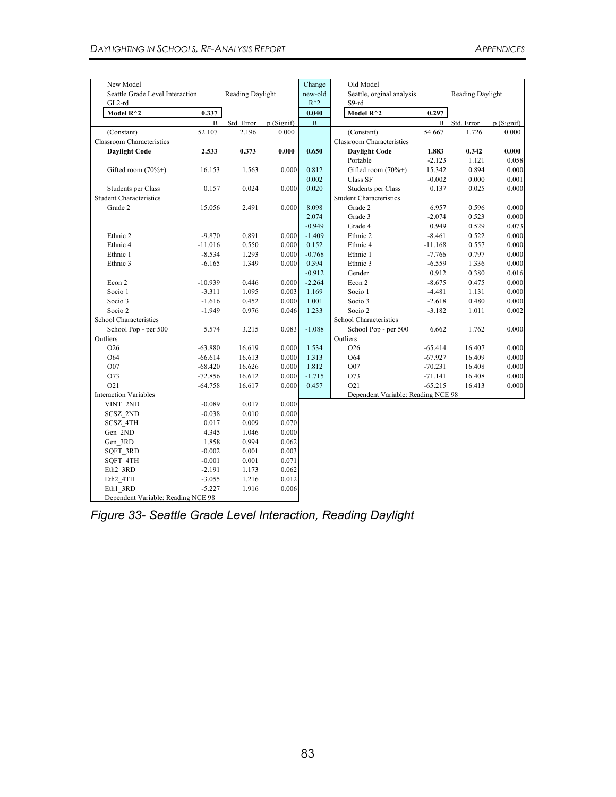| New Model                                 |           |                  |            | Change                   | Old Model                          |           |                  |           |
|-------------------------------------------|-----------|------------------|------------|--------------------------|------------------------------------|-----------|------------------|-----------|
| Seattle Grade Level Interaction<br>GL2-rd |           | Reading Daylight |            | new-old<br>$R^{\wedge}2$ | Seattle, orginal analysis<br>S9-rd |           | Reading Daylight |           |
| Model $R^2$                               | 0.337     |                  |            | 0.040                    | Model R^2                          | 0.297     |                  |           |
|                                           | B         | Std. Error       | p (Signif) | $\, {\bf B}$             |                                    | B         | Std. Error       | p(Signif) |
| (Constant)                                | 52.107    | 2.196            | 0.000      |                          | (Constant)                         | 54.667    | 1.726            | 0.000     |
| <b>Classroom Characteristics</b>          |           |                  |            |                          | <b>Classroom Characteristics</b>   |           |                  |           |
| <b>Daylight Code</b>                      | 2.533     | 0.373            | 0.000      | 0.650                    | <b>Daylight Code</b>               | 1.883     | 0.342            | 0.000     |
|                                           |           |                  |            |                          | Portable                           | $-2.123$  | 1.121            | 0.058     |
| Gifted room (70%+)                        | 16.153    | 1.563            | 0.000      | 0.812                    | Gifted room $(70\%+)$              | 15.342    | 0.894            | 0.000     |
|                                           |           |                  |            | 0.002                    | Class SF                           | $-0.002$  | 0.000            | 0.001     |
| Students per Class                        | 0.157     | 0.024            | 0.000      | 0.020                    | Students per Class                 | 0.137     | 0.025            | 0.000     |
| <b>Student Characteristics</b>            |           |                  |            |                          | <b>Student Characteristics</b>     |           |                  |           |
| Grade 2                                   | 15.056    | 2.491            | 0.000      | 8.098                    | Grade 2                            | 6.957     | 0.596            | 0.000     |
|                                           |           |                  |            | 2.074                    | Grade 3                            | $-2.074$  | 0.523            | 0.000     |
|                                           |           |                  |            | $-0.949$                 | Grade 4                            | 0.949     | 0.529            | 0.073     |
| Ethnic 2                                  | $-9.870$  | 0.891            | 0.000      | $-1.409$                 | Ethnic 2                           | $-8.461$  | 0.522            | 0.000     |
| Ethnic <sub>4</sub>                       | $-11.016$ | 0.550            | 0.000      | 0.152                    | Ethnic 4                           | $-11.168$ | 0.557            | 0.000     |
| Ethnic 1                                  | $-8.534$  | 1.293            | 0.000      | $-0.768$                 | Ethnic 1                           | $-7.766$  | 0.797            | 0.000     |
| Ethnic 3                                  | $-6.165$  | 1.349            | 0.000      | 0.394                    | Ethnic 3<br>$-6.559$               |           | 1.336            | 0.000     |
|                                           |           |                  |            | $-0.912$                 | Gender<br>0.912                    |           | 0.380            | 0.016     |
| Econ 2                                    | $-10.939$ | 0.446            | 0.000      | $-2.264$                 | Econ 2<br>$-8.675$                 |           | 0.475            | 0.000     |
| Socio 1                                   | $-3.311$  | 1.095            | 0.003      | 1.169                    | Socio 1                            | $-4.481$  | 1.131            | 0.000     |
| Socio 3                                   | $-1.616$  | 0.452            | 0.000      | 1.001                    | Socio 3                            | $-2.618$  | 0.480            | 0.000     |
| Socio 2                                   | $-1.949$  | 0.976            | 0.046      | 1.233                    | Socio 2                            | $-3.182$  | 1.011            | 0.002     |
| School Characteristics                    |           |                  |            |                          | School Characteristics             |           |                  |           |
| School Pop - per 500                      | 5.574     | 3.215            | 0.083      | $-1.088$                 | School Pop - per 500               | 6.662     | 1.762            | 0.000     |
| Outliers                                  |           |                  |            |                          | Outliers                           |           |                  |           |
| O <sub>26</sub>                           | $-63.880$ | 16.619           | 0.000      | 1.534                    | O <sub>26</sub>                    | $-65.414$ | 16.407           | 0.000     |
| O64                                       | $-66.614$ | 16.613           | 0.000      | 1.313                    | O64                                | $-67.927$ | 16.409           | 0.000     |
| O07                                       | $-68.420$ | 16.626           | 0.000      | 1.812                    | O07                                | $-70.231$ | 16.408           | 0.000     |
| O73                                       | $-72.856$ | 16.612           | 0.000      | $-1.715$                 | O73                                | $-71.141$ | 16.408           | 0.000     |
| O <sub>21</sub>                           | $-64.758$ | 16.617           | 0.000      | 0.457                    | O <sub>21</sub>                    | $-65.215$ | 16.413           | 0.000     |
| <b>Interaction Variables</b>              |           |                  |            |                          | Dependent Variable: Reading NCE 98 |           |                  |           |
| VINT 2ND                                  | $-0.089$  | 0.017            | 0.000      |                          |                                    |           |                  |           |
| SCSZ 2ND                                  | $-0.038$  | 0.010            | 0.000      |                          |                                    |           |                  |           |
| SCSZ 4TH                                  | 0.017     | 0.009            | 0.070      |                          |                                    |           |                  |           |
| Gen 2ND                                   | 4.345     | 1.046            | 0.000      |                          |                                    |           |                  |           |
| Gen 3RD                                   | 1.858     | 0.994            | 0.062      |                          |                                    |           |                  |           |
| SQFT 3RD                                  | $-0.002$  | 0.001            | 0.003      |                          |                                    |           |                  |           |
| SQFT 4TH                                  | $-0.001$  | 0.001            | 0.071      |                          |                                    |           |                  |           |
| Eth2 3RD                                  | $-2.191$  | 1.173            | 0.062      |                          |                                    |           |                  |           |
| Eth2 4TH                                  | $-3.055$  | 1.216            | 0.012      |                          |                                    |           |                  |           |
| Eth1 3RD                                  | $-5.227$  | 1.916            | 0.006      |                          |                                    |           |                  |           |
| Dependent Variable: Reading NCE 98        |           |                  |            |                          |                                    |           |                  |           |

*Figure 33- Seattle Grade Level Interaction, Reading Daylight*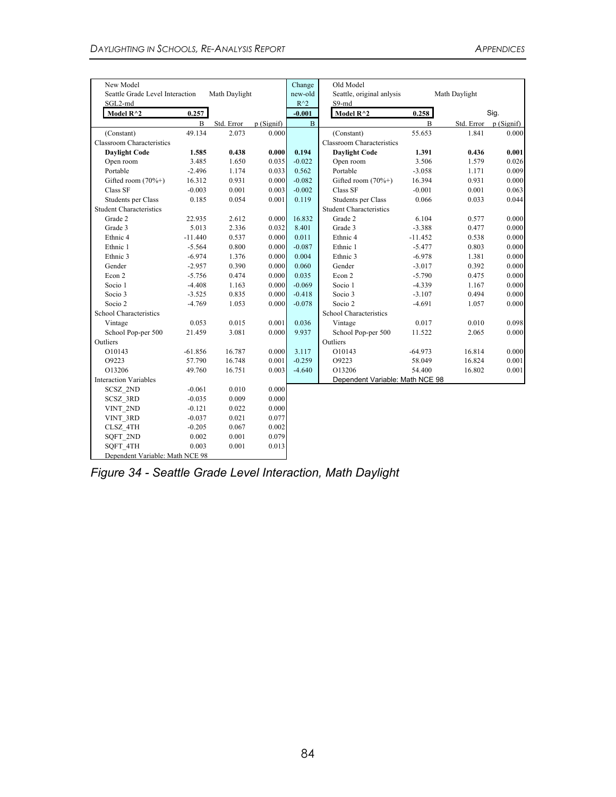| New Model                       |              |               |           | Change        | Old Model                        |           |               |                        |
|---------------------------------|--------------|---------------|-----------|---------------|----------------------------------|-----------|---------------|------------------------|
| Seattle Grade Level Interaction |              | Math Daylight |           | new-old       | Seattle, original anlysis        |           | Math Daylight |                        |
| SGL2-md                         |              |               |           | $R^{\wedge}2$ | $S9-md$                          |           |               |                        |
| Model $R^2$                     | 0.257        |               |           | $-0.001$      | Model $R^{\wedge}2$              | 0.258     |               | Sig.                   |
|                                 | $\mathbf{B}$ | Std. Error    | p(Signif) | $\mathbf{B}$  |                                  | B         |               | Std. Error $p(Signif)$ |
| (Constant)                      | 49.134       | 2.073         | 0.000     |               | (Constant)                       | 55.653    | 1.841         | 0.000                  |
| Classroom Characteristics       |              |               |           |               | <b>Classroom Characteristics</b> |           |               |                        |
| <b>Daylight Code</b>            | 1.585        | 0.438         | 0.000     | 0.194         | <b>Daylight Code</b>             | 1.391     | 0.436         | 0.001                  |
| Open room                       | 3.485        | 1.650         | 0.035     | $-0.022$      | Open room                        | 3.506     | 1.579         | 0.026                  |
| Portable                        | $-2.496$     | 1.174         | 0.033     | 0.562         | Portable                         | $-3.058$  | 1.171         | 0.009                  |
| Gifted room (70%+)              | 16.312       | 0.931         | 0.000     | $-0.082$      | Gifted room (70%+)               | 16.394    | 0.931         | 0.000                  |
| Class SF                        | $-0.003$     | 0.001         | 0.003     | $-0.002$      | Class SF                         | $-0.001$  | 0.001         | 0.063                  |
| Students per Class              | 0.185        | 0.054         | 0.001     | 0.119         | Students per Class               | 0.066     | 0.033         | 0.044                  |
| <b>Student Characteristics</b>  |              |               |           |               | <b>Student Characteristics</b>   |           |               |                        |
| Grade 2                         | 22.935       | 2.612         | 0.000     | 16.832        | Grade 2                          | 6.104     | 0.577         | 0.000                  |
| Grade 3                         | 5.013        | 2.336         | 0.032     | 8.401         | Grade 3                          | $-3.388$  | 0.477         | 0.000                  |
| Ethnic <sub>4</sub>             | $-11.440$    | 0.537         | 0.000     | 0.011         | Ethnic 4                         | $-11.452$ | 0.538         | 0.000                  |
| Ethnic 1                        | $-5.564$     | 0.800         | 0.000     | $-0.087$      | Ethnic 1                         | $-5.477$  | 0.803         | 0.000                  |
| Ethnic 3                        | $-6.974$     | 1.376         | 0.000     | 0.004         | Ethnic 3                         | $-6.978$  | 1.381         | 0.000                  |
| Gender                          | $-2.957$     | 0.390         | 0.000     | 0.060         | Gender                           | $-3.017$  | 0.392         | 0.000                  |
| Econ 2                          | $-5.756$     | 0.474         | 0.000     | 0.035         | Econ 2                           | $-5.790$  | 0.475         | 0.000                  |
| Socio 1                         | $-4.408$     | 1.163         | 0.000     | $-0.069$      | Socio 1                          | $-4.339$  | 1.167         | 0.000                  |
| Socio 3                         | $-3.525$     | 0.835         | 0.000     | $-0.418$      | Socio 3                          | $-3.107$  | 0.494         | 0.000                  |
| Socio 2                         | $-4.769$     | 1.053         | 0.000     | $-0.078$      | Socio 2                          | $-4.691$  | 1.057         | 0.000                  |
| School Characteristics          |              |               |           |               | School Characteristics           |           |               |                        |
| Vintage                         | 0.053        | 0.015         | 0.001     | 0.036         | Vintage                          | 0.017     | 0.010         | 0.098                  |
| School Pop-per 500              | 21.459       | 3.081         | 0.000     | 9.937         | School Pop-per 500               | 11.522    | 2.065         | 0.000                  |
| Outliers                        |              |               |           |               | Outliers                         |           |               |                        |
| O10143                          | $-61.856$    | 16.787        | 0.000     | 3.117         | O10143                           | $-64.973$ | 16.814        | 0.000                  |
| O9223                           | 57.790       | 16.748        | 0.001     | $-0.259$      | O9223                            | 58.049    | 16.824        | 0.001                  |
| O13206                          | 49.760       | 16.751        | 0.003     | $-4.640$      | O13206                           | 54.400    | 16.802        | 0.001                  |
| <b>Interaction Variables</b>    |              |               |           |               | Dependent Variable: Math NCE 98  |           |               |                        |
| SCSZ 2ND                        | $-0.061$     | 0.010         | 0.000     |               |                                  |           |               |                        |
| SCSZ 3RD                        | $-0.035$     | 0.009         | 0.000     |               |                                  |           |               |                        |
| VINT 2ND                        | $-0.121$     | 0.022         | 0.000     |               |                                  |           |               |                        |
| VINT 3RD                        | $-0.037$     | 0.021         | 0.077     |               |                                  |           |               |                        |
| CLSZ 4TH                        | $-0.205$     | 0.067         | 0.002     |               |                                  |           |               |                        |
| SQFT 2ND                        | 0.002        | 0.001         | 0.079     |               |                                  |           |               |                        |
| SQFT 4TH                        | 0.003        | 0.001         | 0.013     |               |                                  |           |               |                        |
| Dependent Variable: Math NCE 98 |              |               |           |               |                                  |           |               |                        |

*Figure 34 - Seattle Grade Level Interaction, Math Daylight*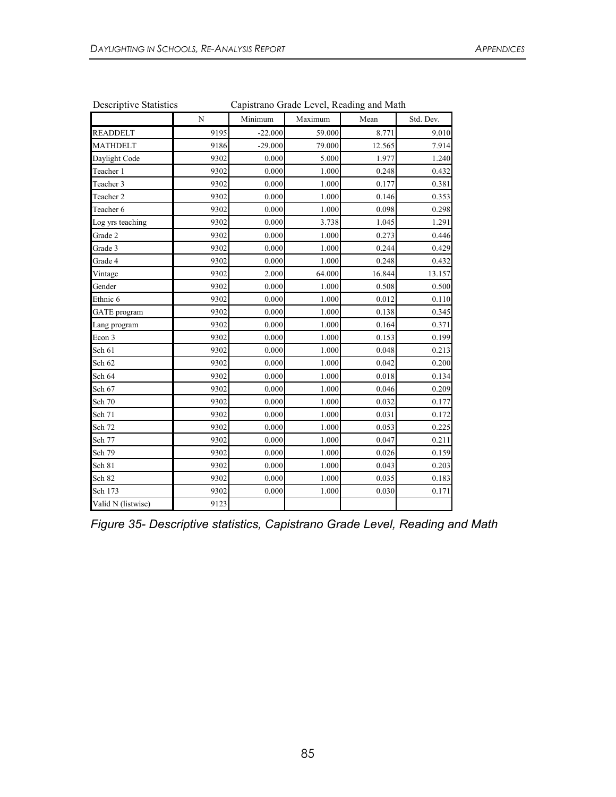|                     | $\mathbf N$ | Minimum   | Maximum | Mean   | Std. Dev. |
|---------------------|-------------|-----------|---------|--------|-----------|
| <b>READDELT</b>     | 9195        | $-22.000$ | 59.000  | 8.771  | 9.010     |
| <b>MATHDELT</b>     | 9186        | $-29.000$ | 79.000  | 12.565 | 7.914     |
| Daylight Code       | 9302        | 0.000     | 5.000   | 1.977  | 1.240     |
| Teacher 1           | 9302        | 0.000     | 1.000   | 0.248  | 0.432     |
| Teacher 3           | 9302        | 0.000     | 1.000   | 0.177  | 0.381     |
| Teacher 2           | 9302        | 0.000     | 1.000   | 0.146  | 0.353     |
| Teacher 6           | 9302        | 0.000     | 1.000   | 0.098  | 0.298     |
| Log yrs teaching    | 9302        | 0.000     | 3.738   | 1.045  | 1.291     |
| Grade 2             | 9302        | 0.000     | 1.000   | 0.273  | 0.446     |
| Grade 3             | 9302        | 0.000     | 1.000   | 0.244  | 0.429     |
| Grade 4             | 9302        | 0.000     | 1.000   | 0.248  | 0.432     |
| Vintage             | 9302        | 2.000     | 64.000  | 16.844 | 13.157    |
| Gender              | 9302        | 0.000     | 1.000   | 0.508  | 0.500     |
| Ethnic 6            | 9302        | 0.000     | 1.000   | 0.012  | 0.110     |
| <b>GATE</b> program | 9302        | 0.000     | 1.000   | 0.138  | 0.345     |
| Lang program        | 9302        | 0.000     | 1.000   | 0.164  | 0.371     |
| Econ 3              | 9302        | 0.000     | 1.000   | 0.153  | 0.199     |
| Sch 61              | 9302        | 0.000     | 1.000   | 0.048  | 0.213     |
| Sch 62              | 9302        | 0.000     | 1.000   | 0.042  | 0.200     |
| Sch 64              | 9302        | 0.000     | 1.000   | 0.018  | 0.134     |
| Sch 67              | 9302        | 0.000     | 1.000   | 0.046  | 0.209     |
| Sch 70              | 9302        | 0.000     | 1.000   | 0.032  | 0.177     |
| Sch 71              | 9302        | 0.000     | 1.000   | 0.031  | 0.172     |
| Sch 72              | 9302        | 0.000     | 1.000   | 0.053  | 0.225     |
| Sch 77              | 9302        | 0.000     | 1.000   | 0.047  | 0.211     |
| Sch 79              | 9302        | 0.000     | 1.000   | 0.026  | 0.159     |
| Sch 81              | 9302        | 0.000     | 1.000   | 0.043  | 0.203     |
| Sch 82              | 9302        | 0.000     | 1.000   | 0.035  | 0.183     |
| Sch 173             | 9302        | 0.000     | 1.000   | 0.030  | 0.171     |
| Valid N (listwise)  | 9123        |           |         |        |           |

| <b>Descriptive Statistics</b> | Capistrano Grade Level, Reading and Math |  |
|-------------------------------|------------------------------------------|--|
|                               |                                          |  |

*Figure 35- Descriptive statistics, Capistrano Grade Level, Reading and Math*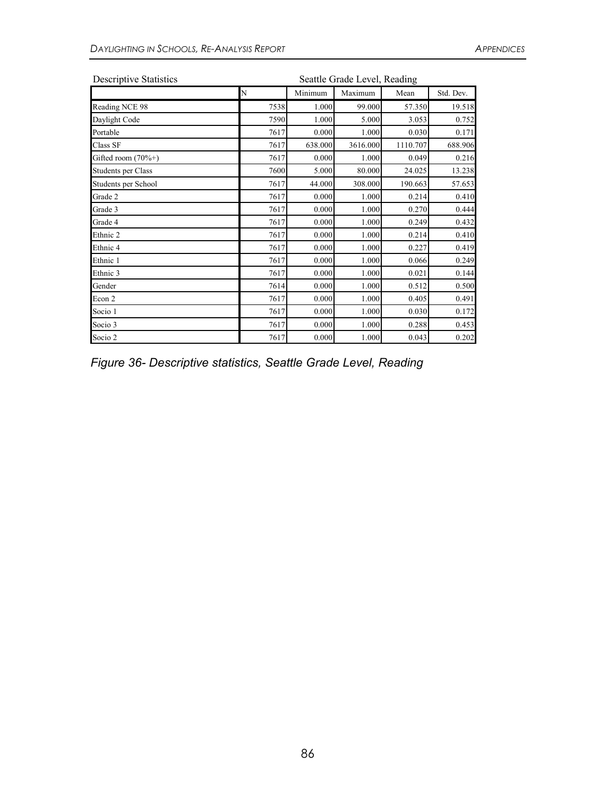| <b>Descriptive Statistics</b> | Seattle Grade Level, Reading |         |          |          |           |  |  |  |
|-------------------------------|------------------------------|---------|----------|----------|-----------|--|--|--|
|                               | N                            | Minimum | Maximum  | Mean     | Std. Dev. |  |  |  |
| Reading NCE 98                | 7538                         | 1.000   | 99.000   | 57.350   | 19.518    |  |  |  |
| Daylight Code                 | 7590                         | 1.000   | 5.000    | 3.053    | 0.752     |  |  |  |
| Portable                      | 7617                         | 0.000   | 1.000    | 0.030    | 0.171     |  |  |  |
| Class SF                      | 7617                         | 638.000 | 3616.000 | 1110.707 | 688.906   |  |  |  |
| Gifted room $(70\%+)$         | 7617                         | 0.000   | 1.000    | 0.049    | 0.216     |  |  |  |
| Students per Class            | 7600                         | 5.000   | 80.000   | 24.025   | 13.238    |  |  |  |
| Students per School           | 7617                         | 44.000  | 308.000  | 190.663  | 57.653    |  |  |  |
| Grade 2                       | 7617                         | 0.000   | 1.000    | 0.214    | 0.410     |  |  |  |
| Grade 3                       | 7617                         | 0.000   | 1.000    | 0.270    | 0.444     |  |  |  |
| Grade 4                       | 7617                         | 0.000   | 1.000    | 0.249    | 0.432     |  |  |  |
| Ethnic 2                      | 7617                         | 0.000   | 1.000    | 0.214    | 0.410     |  |  |  |
| Ethnic 4                      | 7617                         | 0.000   | 1.000    | 0.227    | 0.419     |  |  |  |
| Ethnic 1                      | 7617                         | 0.000   | 1.000    | 0.066    | 0.249     |  |  |  |
| Ethnic 3                      | 7617                         | 0.000   | 1.000    | 0.021    | 0.144     |  |  |  |
| Gender                        | 7614                         | 0.000   | 1.000    | 0.512    | 0.500     |  |  |  |
| Econ 2                        | 7617                         | 0.000   | 1.000    | 0.405    | 0.491     |  |  |  |
| Socio 1                       | 7617                         | 0.000   | 1.000    | 0.030    | 0.172     |  |  |  |
| Socio 3                       | 7617                         | 0.000   | 1.000    | 0.288    | 0.453     |  |  |  |
| Socio 2                       | 7617                         | 0.000   | 1.000    | 0.043    | 0.202     |  |  |  |

*Figure 36- Descriptive statistics, Seattle Grade Level, Reading*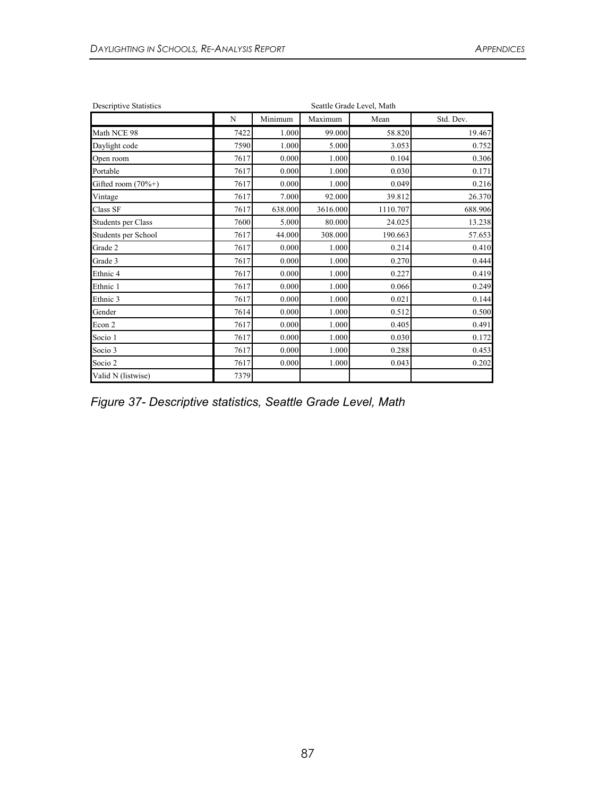| <b>Descriptive Statistics</b> |      | Seattle Grade Level, Math |          |          |           |  |  |  |  |
|-------------------------------|------|---------------------------|----------|----------|-----------|--|--|--|--|
|                               | N    | Minimum                   | Maximum  | Mean     | Std. Dev. |  |  |  |  |
| Math NCE 98                   | 7422 | 1.000                     | 99.000   | 58.820   | 19.467    |  |  |  |  |
| Daylight code                 | 7590 | 1.000                     | 5.000    | 3.053    | 0.752     |  |  |  |  |
| Open room                     | 7617 | 0.000                     | 1.000    | 0.104    | 0.306     |  |  |  |  |
| Portable                      | 7617 | 0.000                     | 1.000    | 0.030    | 0.171     |  |  |  |  |
| Gifted room $(70\%+)$         | 7617 | 0.000                     | 1.000    | 0.049    | 0.216     |  |  |  |  |
| Vintage                       | 7617 | 7.000                     | 92.000   | 39.812   | 26.370    |  |  |  |  |
| Class SF                      | 7617 | 638.000                   | 3616.000 | 1110.707 | 688.906   |  |  |  |  |
| Students per Class            | 7600 | 5.000                     | 80.000   | 24.025   | 13.238    |  |  |  |  |
| Students per School           | 7617 | 44.000                    | 308.000  | 190.663  | 57.653    |  |  |  |  |
| Grade 2                       | 7617 | 0.000                     | 1.000    | 0.214    | 0.410     |  |  |  |  |
| Grade 3                       | 7617 | 0.000                     | 1.000    | 0.270    | 0.444     |  |  |  |  |
| Ethnic 4                      | 7617 | 0.000                     | 1.000    | 0.227    | 0.419     |  |  |  |  |
| Ethnic 1                      | 7617 | 0.000                     | 1.000    | 0.066    | 0.249     |  |  |  |  |
| Ethnic 3                      | 7617 | 0.000                     | 1.000    | 0.021    | 0.144     |  |  |  |  |
| Gender                        | 7614 | 0.000                     | 1.000    | 0.512    | 0.500     |  |  |  |  |
| Econ 2                        | 7617 | 0.000                     | 1.000    | 0.405    | 0.491     |  |  |  |  |
| Socio 1                       | 7617 | 0.000                     | 1.000    | 0.030    | 0.172     |  |  |  |  |
| Socio 3                       | 7617 | 0.000                     | 1.000    | 0.288    | 0.453     |  |  |  |  |
| Socio 2                       | 7617 | 0.000                     | 1.000    | 0.043    | 0.202     |  |  |  |  |
| Valid N (listwise)            | 7379 |                           |          |          |           |  |  |  |  |

*Figure 37- Descriptive statistics, Seattle Grade Level, Math*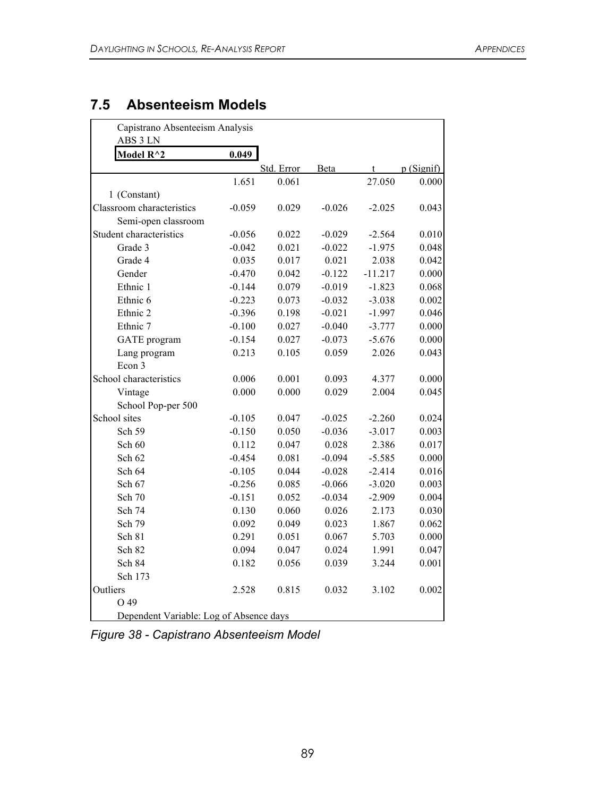## **7.5 Absenteeism Models**

|                           | 0.049    |            |             |           |           |
|---------------------------|----------|------------|-------------|-----------|-----------|
| Model R^2                 |          | Std. Error | <b>Beta</b> | t         | p(Signif) |
|                           | 1.651    | 0.061      |             | 27.050    | 0.000     |
| 1 (Constant)              |          |            |             |           |           |
| Classroom characteristics | $-0.059$ | 0.029      | $-0.026$    | $-2.025$  | 0.043     |
| Semi-open classroom       |          |            |             |           |           |
| Student characteristics   | $-0.056$ | 0.022      | $-0.029$    | $-2.564$  | 0.010     |
| Grade 3                   | $-0.042$ | 0.021      | $-0.022$    | $-1.975$  | 0.048     |
| Grade 4                   | 0.035    | 0.017      | 0.021       | 2.038     | 0.042     |
| Gender                    | $-0.470$ | 0.042      | $-0.122$    | $-11.217$ | 0.000     |
| Ethnic 1                  | $-0.144$ | 0.079      | $-0.019$    | $-1.823$  | 0.068     |
| Ethnic 6                  | $-0.223$ | 0.073      | $-0.032$    | $-3.038$  | 0.002     |
| Ethnic 2                  | $-0.396$ | 0.198      | $-0.021$    | $-1.997$  | 0.046     |
| Ethnic 7                  | $-0.100$ | 0.027      | $-0.040$    | $-3.777$  | 0.000     |
| <b>GATE</b> program       | $-0.154$ | 0.027      | $-0.073$    | $-5.676$  | 0.000     |
| Lang program              | 0.213    | 0.105      | 0.059       | 2.026     | 0.043     |
| Econ 3                    |          |            |             |           |           |
| School characteristics    | 0.006    | 0.001      | 0.093       | 4.377     | 0.000     |
| Vintage                   | 0.000    | 0.000      | 0.029       | 2.004     | 0.045     |
| School Pop-per 500        |          |            |             |           |           |
| School sites              | $-0.105$ | 0.047      | $-0.025$    | $-2.260$  | 0.024     |
| Sch 59                    | $-0.150$ | 0.050      | $-0.036$    | $-3.017$  | 0.003     |
| Sch 60                    | 0.112    | 0.047      | 0.028       | 2.386     | 0.017     |
| Sch 62                    | $-0.454$ | 0.081      | $-0.094$    | $-5.585$  | 0.000     |
| Sch 64                    | $-0.105$ | 0.044      | $-0.028$    | $-2.414$  | 0.016     |
| Sch 67                    | $-0.256$ | 0.085      | $-0.066$    | $-3.020$  | 0.003     |
| Sch 70                    | $-0.151$ | 0.052      | $-0.034$    | $-2.909$  | 0.004     |
| Sch 74                    | 0.130    | 0.060      | 0.026       | 2.173     | 0.030     |
| Sch 79                    | 0.092    | 0.049      | 0.023       | 1.867     | 0.062     |
| Sch 81                    | 0.291    | 0.051      | 0.067       | 5.703     | 0.000     |
| Sch 82                    | 0.094    | 0.047      | 0.024       | 1.991     | 0.047     |
| Sch 84                    | 0.182    | 0.056      | 0.039       | 3.244     | 0.001     |
| Sch 173                   |          |            |             |           |           |
| Outliers                  | 2.528    | 0.815      | 0.032       | 3.102     | 0.002     |
| O 49                      |          |            |             |           |           |

*Figure 38 - Capistrano Absenteeism Model*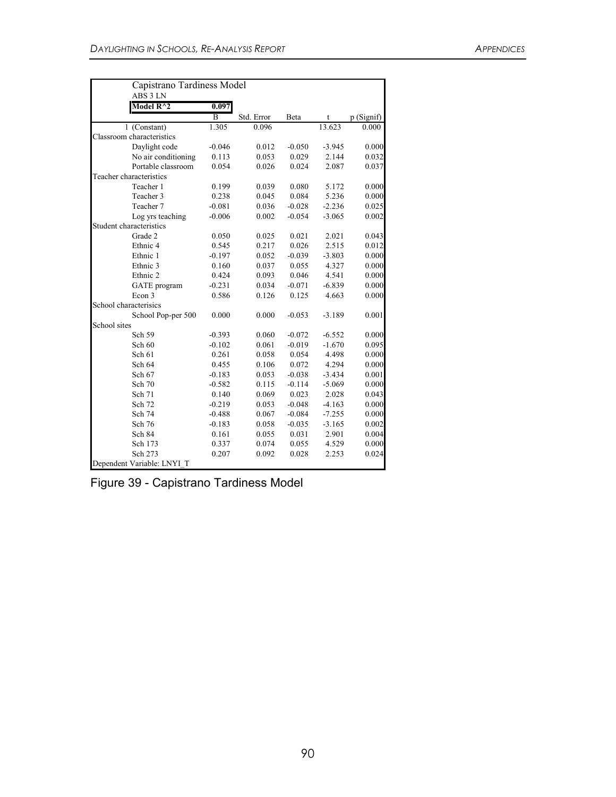| Capistrano Tardiness Model<br>ABS 3 LN |                |            |          |          |            |
|----------------------------------------|----------------|------------|----------|----------|------------|
| Model $\rm R^{\wedge}2$                | 0.097          |            |          |          |            |
|                                        | $\overline{B}$ | Std. Error | Beta     | t        | p (Signif) |
| 1 (Constant)                           | 1.305          | 0.096      |          | 13.623   | 0.000      |
| Classroom characteristics              |                |            |          |          |            |
| Daylight code                          | $-0.046$       | 0.012      | $-0.050$ | $-3.945$ | 0.000      |
| No air conditioning                    | 0.113          | 0.053      | 0.029    | 2.144    | 0.032      |
| Portable classroom                     | 0.054          | 0.026      | 0.024    | 2.087    | 0.037      |
| Teacher characteristics                |                |            |          |          |            |
| Teacher 1                              | 0.199          | 0.039      | 0.080    | 5.172    | 0.000      |
| Teacher 3                              | 0.238          | 0.045      | 0.084    | 5.236    | 0.000      |
| Teacher 7                              | $-0.081$       | 0.036      | $-0.028$ | $-2.236$ | 0.025      |
| Log yrs teaching                       | $-0.006$       | 0.002      | $-0.054$ | $-3.065$ | 0.002      |
| Student characteristics                |                |            |          |          |            |
| Grade 2                                | 0.050          | 0.025      | 0.021    | 2.021    | 0.043      |
| Ethnic <sub>4</sub>                    | 0.545          | 0.217      | 0.026    | 2.515    | 0.012      |
| Ethnic 1                               | $-0.197$       | 0.052      | $-0.039$ | $-3.803$ | 0.000      |
| Ethnic 3                               | 0.160          | 0.037      | 0.055    | 4.327    | 0.000      |
| Ethnic 2                               | 0.424          | 0.093      | 0.046    | 4.541    | 0.000      |
| GATE program                           | $-0.231$       | 0.034      | $-0.071$ | $-6.839$ | 0.000      |
| Econ 3                                 | 0.586          | 0.126      | 0.125    | 4.663    | 0.000      |
| School characterisics                  |                |            |          |          |            |
| School Pop-per 500                     | 0.000          | 0.000      | $-0.053$ | $-3.189$ | 0.001      |
| School sites                           |                |            |          |          |            |
| Sch 59                                 | $-0.393$       | 0.060      | $-0.072$ | $-6.552$ | 0.000      |
| Sch 60                                 | $-0.102$       | 0.061      | $-0.019$ | $-1.670$ | 0.095      |
| Sch 61                                 | 0.261          | 0.058      | 0.054    | 4.498    | 0.000      |
| Sch 64                                 | 0.455          | 0.106      | 0.072    | 4.294    | 0.000      |
| Sch 67                                 | $-0.183$       | 0.053      | $-0.038$ | $-3.434$ | 0.001      |
| Sch 70                                 | $-0.582$       | 0.115      | $-0.114$ | $-5.069$ | 0.000      |
| Sch 71                                 | 0.140          | 0.069      | 0.023    | 2.028    | 0.043      |
| Sch 72                                 | $-0.219$       | 0.053      | $-0.048$ | $-4.163$ | 0.000      |
| Sch 74                                 | $-0.488$       | 0.067      | $-0.084$ | $-7.255$ | 0.000      |
| Sch 76                                 | $-0.183$       | 0.058      | $-0.035$ | $-3.165$ | 0.002      |
| Sch 84                                 | 0.161          | 0.055      | 0.031    | 2.901    | 0.004      |
| Sch 173                                | 0.337          | 0.074      | 0.055    | 4.529    | 0.000      |
| Sch 273                                | 0.207          | 0.092      | 0.028    | 2.253    | 0.024      |
| Dependent Variable: LNYI T             |                |            |          |          |            |

| Figure 39 - Capistrano Tardiness Model |  |
|----------------------------------------|--|
|----------------------------------------|--|